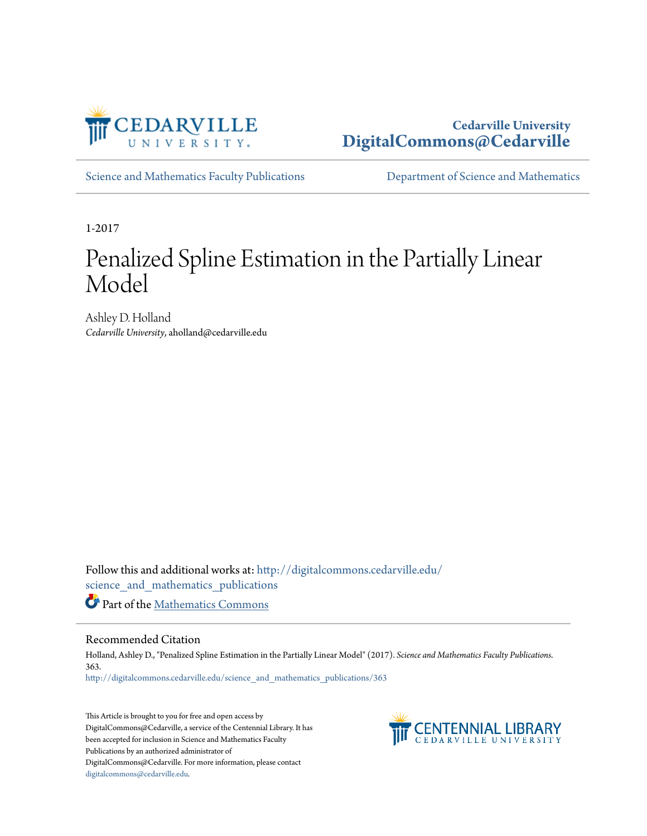

## **Cedarville University [DigitalCommons@Cedarville](http://digitalcommons.cedarville.edu?utm_source=digitalcommons.cedarville.edu%2Fscience_and_mathematics_publications%2F363&utm_medium=PDF&utm_campaign=PDFCoverPages)**

[Science and Mathematics Faculty Publications](http://digitalcommons.cedarville.edu/science_and_mathematics_publications?utm_source=digitalcommons.cedarville.edu%2Fscience_and_mathematics_publications%2F363&utm_medium=PDF&utm_campaign=PDFCoverPages) **[Department of Science and Mathematics](http://digitalcommons.cedarville.edu/science_and_mathematics?utm_source=digitalcommons.cedarville.edu%2Fscience_and_mathematics_publications%2F363&utm_medium=PDF&utm_campaign=PDFCoverPages)** 

1-2017

# Penalized Spline Estimation in the Partially Linear Model

Ashley D. Holland *Cedarville University*, aholland@cedarville.edu

Follow this and additional works at: [http://digitalcommons.cedarville.edu/](http://digitalcommons.cedarville.edu/science_and_mathematics_publications?utm_source=digitalcommons.cedarville.edu%2Fscience_and_mathematics_publications%2F363&utm_medium=PDF&utm_campaign=PDFCoverPages) [science\\_and\\_mathematics\\_publications](http://digitalcommons.cedarville.edu/science_and_mathematics_publications?utm_source=digitalcommons.cedarville.edu%2Fscience_and_mathematics_publications%2F363&utm_medium=PDF&utm_campaign=PDFCoverPages)

Part of the [Mathematics Commons](http://network.bepress.com/hgg/discipline/174?utm_source=digitalcommons.cedarville.edu%2Fscience_and_mathematics_publications%2F363&utm_medium=PDF&utm_campaign=PDFCoverPages)

## Recommended Citation

Holland, Ashley D., "Penalized Spline Estimation in the Partially Linear Model" (2017). *Science and Mathematics Faculty Publications*. 363. [http://digitalcommons.cedarville.edu/science\\_and\\_mathematics\\_publications/363](http://digitalcommons.cedarville.edu/science_and_mathematics_publications/363?utm_source=digitalcommons.cedarville.edu%2Fscience_and_mathematics_publications%2F363&utm_medium=PDF&utm_campaign=PDFCoverPages)

This Article is brought to you for free and open access by DigitalCommons@Cedarville, a service of the Centennial Library. It has been accepted for inclusion in Science and Mathematics Faculty Publications by an authorized administrator of DigitalCommons@Cedarville. For more information, please contact [digitalcommons@cedarville.edu](mailto:digitalcommons@cedarville.edu).

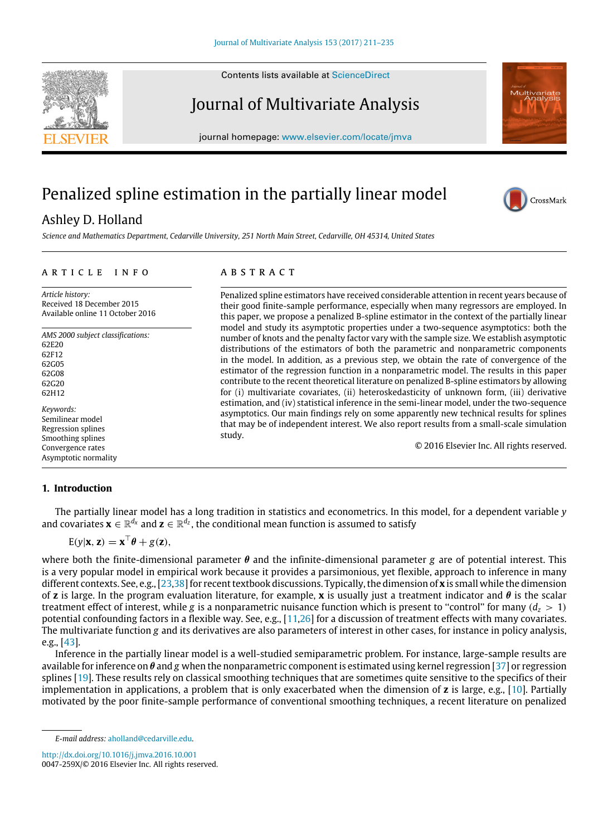Contents lists available at [ScienceDirect](http://www.elsevier.com/locate/jmva)

## Journal of Multivariate Analysis

journal homepage: [www.elsevier.com/locate/jmva](http://www.elsevier.com/locate/jmva)

## Penalized spline estimation in the partially linear model

## Ashley D. Holland

*Science and Mathematics Department, Cedarville University, 251 North Main Street, Cedarville, OH 45314, United States*

## a r t i c l e i n f o

*Article history:* Received 18 December 2015 Available online 11 October 2016

*AMS 2000 subject classifications:* 62E20 62F12 62G05 62G08 62G20 62H12 *Keywords:*

Semilinear model Regression splines Smoothing splines Convergence rates Asymptotic normality

## **1. Introduction**

The partially linear model has a long tradition in statistics and econometrics. In this model, for a dependent variable *y* and covariates  $\mathbf{x} \in \mathbb{R}^{d_x}$  and  $\mathbf{z} \in \mathbb{R}^{d_z}$ , the conditional mean function is assumed to satisfy

$$
E(y|\mathbf{x}, \mathbf{z}) = \mathbf{x}^\top \boldsymbol{\theta} + g(\mathbf{z}),
$$

where both the finite-dimensional parameter  $\theta$  and the infinite-dimensional parameter *g* are of potential interest. This is a very popular model in empirical work because it provides a parsimonious, yet flexible, approach to inference in many different contexts. See, e.g., [\[23,](#page-25-0)[38\]](#page-25-1) for recent textbook discussions. Typically, the dimension of **x** is small while the dimension of **z** is large. In the program evaluation literature, for example, **x** is usually just a treatment indicator and θ is the scalar treatment effect of interest, while *g* is a nonparametric nuisance function which is present to "control" for many  $(d_z > 1)$ potential confounding factors in a flexible way. See, e.g., [\[11,](#page-24-0)[26\]](#page-25-2) for a discussion of treatment effects with many covariates. The multivariate function *g* and its derivatives are also parameters of interest in other cases, for instance in policy analysis, e.g., [\[43\]](#page-25-3).

Inference in the partially linear model is a well-studied semiparametric problem. For instance, large-sample results are available for inference on  $\theta$  and g when the nonparametric component is estimated using kernel regression [\[37\]](#page-25-4) or regression splines [\[19\]](#page-25-5). These results rely on classical smoothing techniques that are sometimes quite sensitive to the specifics of their implementation in applications, a problem that is only exacerbated when the dimension of **z** is large, e.g., [\[10\]](#page-24-1). Partially motivated by the poor finite-sample performance of conventional smoothing techniques, a recent literature on penalized

<http://dx.doi.org/10.1016/j.jmva.2016.10.001> 0047-259X/© 2016 Elsevier Inc. All rights reserved.









Penalized spline estimators have received considerable attention in recent years because of their good finite-sample performance, especially when many regressors are employed. In this paper, we propose a penalized B-spline estimator in the context of the partially linear model and study its asymptotic properties under a two-sequence asymptotics: both the number of knots and the penalty factor vary with the sample size. We establish asymptotic distributions of the estimators of both the parametric and nonparametric components in the model. In addition, as a previous step, we obtain the rate of convergence of the estimator of the regression function in a nonparametric model. The results in this paper contribute to the recent theoretical literature on penalized B-spline estimators by allowing for (i) multivariate covariates, (ii) heteroskedasticity of unknown form, (iii) derivative estimation, and (iv) statistical inference in the semi-linear model, under the two-sequence asymptotics. Our main findings rely on some apparently new technical results for splines that may be of independent interest. We also report results from a small-scale simulation study.

© 2016 Elsevier Inc. All rights reserved.

*E-mail address:* [aholland@cedarville.edu.](mailto:aholland@cedarville.edu)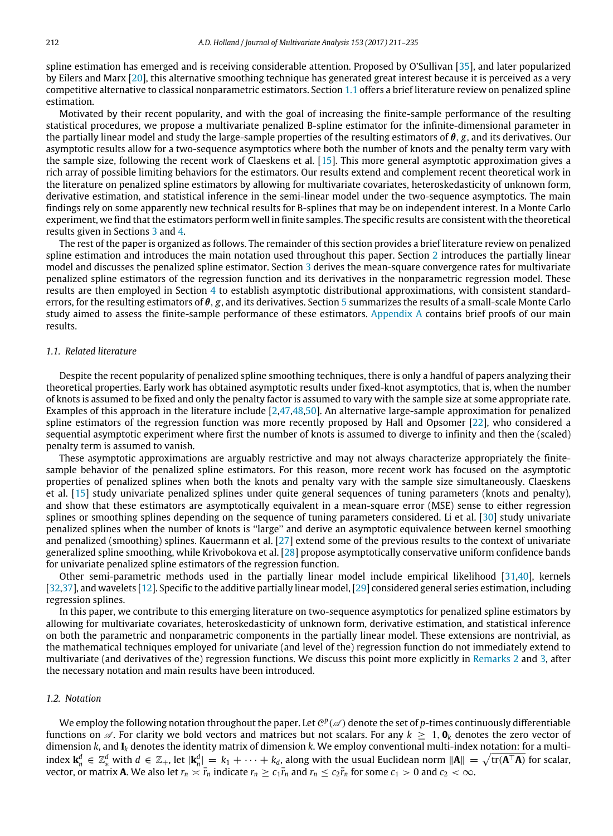spline estimation has emerged and is receiving considerable attention. Proposed by O'Sullivan [\[35\]](#page-25-6), and later popularized by Eilers and Marx [\[20\]](#page-25-7), this alternative smoothing technique has generated great interest because it is perceived as a very competitive alternative to classical nonparametric estimators. Section [1.1](#page-2-0) offers a brief literature review on penalized spline estimation.

Motivated by their recent popularity, and with the goal of increasing the finite-sample performance of the resulting statistical procedures, we propose a multivariate penalized B-spline estimator for the infinite-dimensional parameter in the partially linear model and study the large-sample properties of the resulting estimators of θ, *g*, and its derivatives. Our asymptotic results allow for a two-sequence asymptotics where both the number of knots and the penalty term vary with the sample size, following the recent work of Claeskens et al. [\[15\]](#page-25-8). This more general asymptotic approximation gives a rich array of possible limiting behaviors for the estimators. Our results extend and complement recent theoretical work in the literature on penalized spline estimators by allowing for multivariate covariates, heteroskedasticity of unknown form, derivative estimation, and statistical inference in the semi-linear model under the two-sequence asymptotics. The main findings rely on some apparently new technical results for B-splines that may be on independent interest. In a Monte Carlo experiment, we find that the estimators perform well in finite samples. The specific results are consistent with the theoretical results given in Sections [3](#page-4-0) and [4.](#page-5-0)

The rest of the paper is organized as follows. The remainder of this section provides a brief literature review on penalized spline estimation and introduces the main notation used throughout this paper. Section [2](#page-3-0) introduces the partially linear model and discusses the penalized spline estimator. Section [3](#page-4-0) derives the mean-square convergence rates for multivariate penalized spline estimators of the regression function and its derivatives in the nonparametric regression model. These results are then employed in Section [4](#page-5-0) to establish asymptotic distributional approximations, with consistent standarderrors, for the resulting estimators of θ, *g*, and its derivatives. Section [5](#page-7-0) summarizes the results of a small-scale Monte Carlo study aimed to assess the finite-sample performance of these estimators. [Appendix A](#page-16-0) contains brief proofs of our main results.

## <span id="page-2-0"></span>*1.1. Related literature*

Despite the recent popularity of penalized spline smoothing techniques, there is only a handful of papers analyzing their theoretical properties. Early work has obtained asymptotic results under fixed-knot asymptotics, that is, when the number of knots is assumed to be fixed and only the penalty factor is assumed to vary with the sample size at some appropriate rate. Examples of this approach in the literature include [\[2](#page-24-2)[,47](#page-25-9)[,48,](#page-25-10)[50\]](#page-25-11). An alternative large-sample approximation for penalized spline estimators of the regression function was more recently proposed by Hall and Opsomer [\[22\]](#page-25-12), who considered a sequential asymptotic experiment where first the number of knots is assumed to diverge to infinity and then the (scaled) penalty term is assumed to vanish.

These asymptotic approximations are arguably restrictive and may not always characterize appropriately the finitesample behavior of the penalized spline estimators. For this reason, more recent work has focused on the asymptotic properties of penalized splines when both the knots and penalty vary with the sample size simultaneously. Claeskens et al. [\[15\]](#page-25-8) study univariate penalized splines under quite general sequences of tuning parameters (knots and penalty), and show that these estimators are asymptotically equivalent in a mean-square error (MSE) sense to either regression splines or smoothing splines depending on the sequence of tuning parameters considered. Li et al. [\[30\]](#page-25-13) study univariate penalized splines when the number of knots is ''large'' and derive an asymptotic equivalence between kernel smoothing and penalized (smoothing) splines. Kauermann et al. [\[27\]](#page-25-14) extend some of the previous results to the context of univariate generalized spline smoothing, while Krivobokova et al. [\[28\]](#page-25-15) propose asymptotically conservative uniform confidence bands for univariate penalized spline estimators of the regression function.

Other semi-parametric methods used in the partially linear model include empirical likelihood [\[31](#page-25-16)[,40\]](#page-25-17), kernels [\[32](#page-25-18)[,37\]](#page-25-4), and wavelets [\[12\]](#page-24-3). Specific to the additive partially linear model, [\[29\]](#page-25-19) considered general series estimation, including regression splines.

In this paper, we contribute to this emerging literature on two-sequence asymptotics for penalized spline estimators by allowing for multivariate covariates, heteroskedasticity of unknown form, derivative estimation, and statistical inference on both the parametric and nonparametric components in the partially linear model. These extensions are nontrivial, as the mathematical techniques employed for univariate (and level of the) regression function do not immediately extend to multivariate (and derivatives of the) regression functions. We discuss this point more explicitly in [Remarks 2](#page-4-1) and [3,](#page-5-1) after the necessary notation and main results have been introduced.

## *1.2. Notation*

We employ the following notation throughout the paper. Let  $\mathcal{C}^p(\mathscr{A})$  denote the set of p-times continuously differentiable functions on  $\mathscr A$ . For clarity we bold vectors and matrices but not scalars. For any  $k \geq 1$ ,  $\mathbf{0}_k$  denotes the zero vector of dimension *k*, and **I***<sup>k</sup>* denotes the identity matrix of dimension *k*. We employ conventional multi-index notation: for a multiindex  $\mathbf{k}_n^d \in \mathbb{Z}^d_*$  with  $d \in \mathbb{Z}_+$ , let  $|\mathbf{k}_n^d| = k_1 + \cdots + k_d$ , along with the usual Euclidean norm  $\|\mathbf{A}\| = \sqrt{\text{tr}(\mathbf{A}^\top \mathbf{A})}$  for scalar, vector, or matrix **A**. We also let  $r_n \asymp \bar{r}_n$  indicate  $r_n \ge c_1\bar{r}_n$  and  $r_n \le c_2\bar{r}_n$  for some  $c_1 > 0$  and  $c_2 < \infty$ .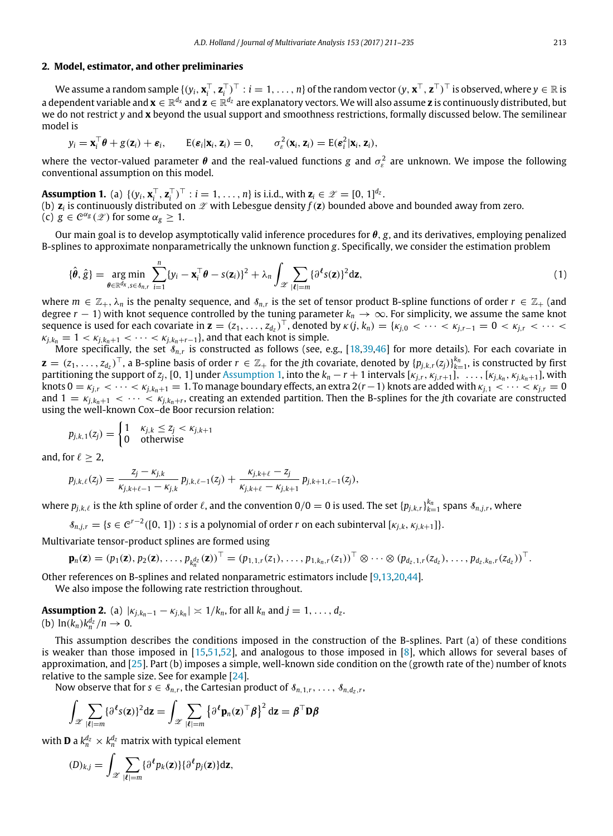### <span id="page-3-0"></span>**2. Model, estimator, and other preliminaries**

We assume a random sample  $\{(y_i, \mathbf{x}_i^\top, \mathbf{z}_i^\top)^\top : i = 1, \ldots, n\}$  of the random vector  $(y, \mathbf{x}^\top, \mathbf{z}^\top)^\top$  is observed, where  $y \in \mathbb{R}$  is a dependent variable and **x** ∈ R *<sup>d</sup><sup>x</sup>* and **z** ∈ R *<sup>d</sup><sup>z</sup>* are explanatory vectors. We will also assume **z** is continuously distributed, but we do not restrict *y* and **x** beyond the usual support and smoothness restrictions, formally discussed below. The semilinear model is

<span id="page-3-1"></span>
$$
y_i = \mathbf{x}_i^{\top} \boldsymbol{\theta} + g(\mathbf{z}_i) + \boldsymbol{\varepsilon}_i
$$
,  $E(\boldsymbol{\varepsilon}_i | \mathbf{x}_i, \mathbf{z}_i) = 0$ ,  $\sigma_{\varepsilon}^2(\mathbf{x}_i, \mathbf{z}_i) = E(\boldsymbol{\varepsilon}_i^2 | \mathbf{x}_i, \mathbf{z}_i)$ ,

where the vector-valued parameter  $\theta$  and the real-valued functions *g* and  $\sigma_{\varepsilon}^2$  are unknown. We impose the following conventional assumption on this model.

**Assumption 1.** (a)  $\{(y_i, \mathbf{x}_i^{\top}, \mathbf{z}_i^{\top})^{\top} : i = 1, ..., n\}$  is i.i.d., with  $\mathbf{z}_i \in \mathcal{Z} = [0, 1]^{d_Z}$ . (b)  $\mathsf{z}_i$  is continuously distributed on  $\mathscr{Z}$  with Lebesgue density  $f(\mathsf{z})$  bounded above and bounded away from zero.

(c)  $g \in C^{\alpha_g}(\mathscr{Z})$  for some  $\alpha_g \geq 1$ .

Our main goal is to develop asymptotically valid inference procedures for  $\theta$ ,  $g$ , and its derivatives, employing penalized B-splines to approximate nonparametrically the unknown function *g*. Specifically, we consider the estimation problem

<span id="page-3-2"></span>
$$
\{\hat{\boldsymbol{\theta}}, \hat{g}\} = \underset{\boldsymbol{\theta} \in \mathbb{R}^{d_{\mathsf{x}}}, s \in \delta_{n,r}}{\arg \min} \sum_{i=1}^{n} \{y_i - \mathbf{x}_i^{\top} \boldsymbol{\theta} - s(\mathbf{z}_i)\}^2 + \lambda_n \int_{\mathscr{Z}} \sum_{|\boldsymbol{\ell}| = m} \{\partial^{\boldsymbol{\ell}} s(\mathbf{z})\}^2 d\mathbf{z},
$$
\n(1)

where  $m \in \mathbb{Z}_+$ ,  $\lambda_n$  is the penalty sequence, and  $\delta_{n,r}$  is the set of tensor product B-spline functions of order  $r \in \mathbb{Z}_+$  (and degree  $r - 1$ ) with knot sequence controlled by the tuning parameter  $k_n \to \infty$ . For simplicity, we assume the same knot sequence is used for each covariate in  $\mathbf{z} = (z_1, \ldots, z_{d_z})^\top$ , denoted by  $\kappa(j, k_n) = \{k_{j,0} < \cdots < k_{j,r-1} = 0 < k_{j,r} < \cdots < k_{j,n} < \cdots < k_{j,n} < \cdots < k_{j,n} < \cdots < k_{j,n} < \cdots < k_{j,n} < \cdots < k_{j,n} < \cdots < k_{j,n} < \cdots < k_{j,n} < \cdots < k_{j,n} < \cdots < k_{j,n} < \cdots <$  $\kappa_{j,k_n} = 1 < \kappa_{j,k_n+1} < \cdots < \kappa_{j,k_n+r-1}$ , and that each knot is simple.

More specifically, the set  $\delta_{n,r}$  is constructed as follows (see, e.g., [\[18](#page-25-20)[,39,](#page-25-21)[46\]](#page-25-22) for more details). For each covariate in  $\mathbf{z}=(z_1,\ldots,z_{d_z})^\top$ , a B-spline basis of order  $r\in\mathbb{Z}_+$  for the jth covariate, denoted by  $\{p_{j,k,r}(z_j)\}_{k=1}^{k_n}$ , is constructed by first partitioning the support of  $z_j$ , [0, 1] under [Assumption 1,](#page-3-1) into the  $k_n-r+1$  intervals  $[\kappa_{j,r},\kappa_{j,r+1}],\ldots,[\kappa_{j,k_n},\kappa_{j,k_n+1}],$  with knots  $0 = \kappa_{j,r} < \cdots < \kappa_{j,k_n+1} = 1$ . To manage boundary effects, an extra 2(*r*−1) knots are added with  $\kappa_{i,1} < \cdots < \kappa_{i,r} = 0$ and  $1 = \kappa_{j,k_n+1} < \cdots < \kappa_{j,k_n+r}$ , creating an extended partition. Then the B-splines for the *j*th covariate are constructed using the well-known Cox–de Boor recursion relation:

$$
p_{j,k,1}(z_j) = \begin{cases} 1 & \kappa_{j,k} \le z_j < \kappa_{j,k+1} \\ 0 & \text{otherwise} \end{cases}
$$

and, for  $\ell > 2$ ,

$$
p_{j,k,\ell}(z_j) = \frac{z_j - \kappa_{j,k}}{\kappa_{j,k+\ell-1} - \kappa_{j,k}} p_{j,k,\ell-1}(z_j) + \frac{\kappa_{j,k+\ell} - z_j}{\kappa_{j,k+\ell} - \kappa_{j,k+1}} p_{j,k+1,\ell-1}(z_j),
$$

where  $p_{j,k,\ell}$  is the kth spline of order  $\ell$ , and the convention  $0/0=0$  is used. The set  $\{p_{j,k,r}\}_{k=1}^{k_n}$  spans  $\delta_{n,j,r}$ , where

 $\mathcal{S}_{n,j,r} = \{s \in \mathcal{C}^{r-2}([0, 1]) : s \text{ is a polynomial of order } r \text{ on each subinterval } [\kappa_{j,k}, \kappa_{j,k+1}]\}.$ 

Multivariate tensor-product splines are formed using

$$
\mathbf{p}_n(\mathbf{z}) = (p_1(\mathbf{z}), p_2(\mathbf{z}), \ldots, p_{k_n^{d_Z}}(\mathbf{z}))^\top = (p_{1,1,r}(z_1), \ldots, p_{1,k_n,r}(z_1))^\top \otimes \cdots \otimes (p_{d_Z,1,r}(z_{d_Z}), \ldots, p_{d_Z,k_n,r}(z_{d_Z}))^\top.
$$

Other references on B-splines and related nonparametric estimators include [\[9](#page-24-4)[,13,](#page-25-23)[20](#page-25-7)[,44\]](#page-25-24).

<span id="page-3-3"></span>We also impose the following rate restriction throughout.

**Assumption 2.** (a)  $|k_{j,k_n-1} - k_{j,k_n}| \ge 1/k_n$ , for all  $k_n$  and  $j = 1, ..., d_z$ . (b)  $\ln(k_n)k_n^{d_z}/n \to 0$ .

This assumption describes the conditions imposed in the construction of the B-splines. Part (a) of these conditions is weaker than those imposed in [\[15,](#page-25-8)[51](#page-25-25)[,52\]](#page-25-26), and analogous to those imposed in [\[8\]](#page-24-5), which allows for several bases of approximation, and [\[25\]](#page-25-27). Part (b) imposes a simple, well-known side condition on the (growth rate of the) number of knots relative to the sample size. See for example [\[24\]](#page-25-28).

Now observe that for  $s \in \mathcal{S}_{n,r}$ , the Cartesian product of  $\mathcal{S}_{n,1,r}, \ldots, \mathcal{S}_{n,d_z,r}$ ,

$$
\int_{\mathscr{Z}} \sum_{|\ell|=m} {\{\partial^{\ell} s(\mathbf{z})\}}^2 d\mathbf{z} = \int_{\mathscr{Z}} \sum_{|\ell|=m} {\{\partial^{\ell} \mathbf{p}_n(\mathbf{z})^{\top} \boldsymbol{\beta}\}}^2 d\mathbf{z} = \boldsymbol{\beta}^{\top} \mathbf{D} \boldsymbol{\beta}
$$

with **D** a  $k_n^{d_z} \times k_n^{d_z}$  matrix with typical element

$$
(D)_{k,j} = \int_{\mathscr{Z}} \sum_{|\boldsymbol{\ell}|=m} {\{\partial^{\boldsymbol{\ell}} p_k(\mathbf{z})\} {\{\partial^{\boldsymbol{\ell}} p_j(\mathbf{z})\}} d\mathbf{z}},
$$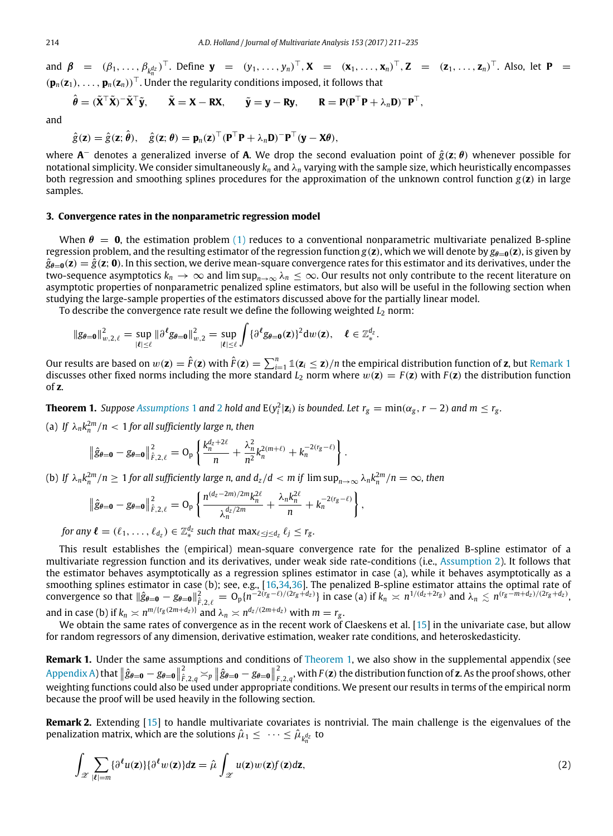and  $\beta$  =  $(\beta_1, ..., \beta_{k_n^{d_Z}})^{\top}$ . Define  $\mathbf{y}$  =  $(y_1, ..., y_n)^{\top}$ ,  $\mathbf{X}$  =  $(\mathbf{x}_1, ..., \mathbf{x}_n)^{\top}$ ,  $\mathbf{Z}$  =  $(\mathbf{z}_1, ..., \mathbf{z}_n)^{\top}$ . Also, let  $\mathbf{P}$  =  $(\mathbf{p}_n(\mathbf{z}_1), \ldots, \mathbf{p}_n(\mathbf{z}_n))$ <sup>⊤</sup>. Under the regularity conditions imposed, it follows that

$$
\hat{\theta} = (\tilde{\mathbf{X}}^{\top} \tilde{\mathbf{X}})^{-} \tilde{\mathbf{X}}^{\top} \tilde{\mathbf{y}}, \quad \tilde{\mathbf{X}} = \mathbf{X} - \mathbf{R} \mathbf{X}, \quad \tilde{\mathbf{y}} = \mathbf{y} - \mathbf{R} \mathbf{y}, \quad \mathbf{R} = \mathbf{P} (\mathbf{P}^{\top} \mathbf{P} + \lambda_n \mathbf{D})^{-} \mathbf{P}^{\top},
$$

and

$$
\hat{g}(\mathbf{z}) = \hat{g}(\mathbf{z}; \hat{\boldsymbol{\theta}}), \quad \hat{g}(\mathbf{z}; \boldsymbol{\theta}) = \mathbf{p}_n(\mathbf{z})^\top (\mathbf{P}^\top \mathbf{P} + \lambda_n \mathbf{D})^\top \mathbf{P}^\top (\mathbf{y} - \mathbf{X} \boldsymbol{\theta}),
$$

where **A** <sup>−</sup> denotes a generalized inverse of **A**. We drop the second evaluation point of *g*ˆ(**z**; θ) whenever possible for notational simplicity. We consider simultaneously *k<sup>n</sup>* and λ*<sup>n</sup>* varying with the sample size, which heuristically encompasses both regression and smoothing splines procedures for the approximation of the unknown control function *g*(**z**) in large samples.

## <span id="page-4-0"></span>**3. Convergence rates in the nonparametric regression model**

When  $\theta = 0$ , the estimation problem [\(1\)](#page-3-2) reduces to a conventional nonparametric multivariate penalized B-spline regression problem, and the resulting estimator of the regression function  $g(\mathbf{z})$ , which we will denote by  $g_{\theta-0}(\mathbf{z})$ , is given by  $\hat{g}_{\theta=0}(z) = \hat{g}(z; 0)$ . In this section, we derive mean-square convergence rates for this estimator and its derivatives, under the two-sequence asymptotics  $k_n \to \infty$  and  $\limsup_{n\to\infty} \lambda_n \leq \infty$ . Our results not only contribute to the recent literature on asymptotic properties of nonparametric penalized spline estimators, but also will be useful in the following section when studying the large-sample properties of the estimators discussed above for the partially linear model.

To describe the convergence rate result we define the following weighted *L*<sup>2</sup> norm:

$$
\|g_{\theta=0}\|_{w,2,\ell}^2=\sup_{|\ell|\leq \ell} \|\partial^\ell g_{\theta=0}\|_{w,2}^2=\sup_{|\ell|\leq \ell}\int{\{\partial^\ell g_{\theta=0}(\mathbf{z})\}}^2\mathrm{d} w(\mathbf{z}),\quad \ell\in\mathbb{Z}_*^{d_2}.
$$

Our results are based on  $w(z) = \hat{F}(z)$  with  $\hat{F}(z) = \sum_{i=1}^{n} \mathbb{1}(z_i \leq z) / n$  the empirical distribution function of **z**, but [Remark 1](#page-4-2) discusses other fixed norms including the more standard  $L_2$  norm where  $w(z) = F(z)$  with  $F(z)$  the distribution function of **z**.

**Theorem 1.** Suppose [Assumptions](#page-3-1) 1 and [2](#page-3-3) hold and  $E(y_i^2|\mathbf{z}_i)$  is bounded. Let  $r_g = min(\alpha_g, r - 2)$  and  $m \le r_g$ . (a) If  $\lambda_n k_n^{2m}/n < 1$  for all sufficiently large *n*, then

<span id="page-4-3"></span>
$$
\|\hat{g}_{\theta=0} - g_{\theta=0}\|_{\hat{F},2,\ell}^2 = O_p\left\{\frac{k_n^{d_z+2\ell}}{n} + \frac{\lambda_n^2}{n^2}k_n^{2(m+\ell)} + k_n^{-2(r_g-\ell)}\right\}.
$$

(b) If  $\lambda_n k_n^{2m}/n \ge 1$  for all sufficiently large n, and  $d_z/d < m$  if  $\limsup_{n\to\infty} \lambda_n k_n^{2m}/n = \infty$ , then

$$
\left\|\hat{g}_{\boldsymbol{\theta}=\boldsymbol{0}}-g_{\boldsymbol{\theta}=\boldsymbol{0}}\right\|_{\hat{F},2,\ell}^2=O_p\left\{\frac{n^{(d_Z-2m)/2m}k_n^{2\ell}}{\lambda_n^{d_Z/2m}}+\frac{\lambda_nk_n^{2\ell}}{n}+k_n^{-2(r_g-\ell)}\right\},
$$

*for any*  $\ell = (\ell_1, \ldots, \ell_{d_z}) \in \mathbb{Z}_*^{d_z}$  such that  $\max_{\ell \leq j \leq d_z} \ell_j \leq r_g$ .

This result establishes the (empirical) mean-square convergence rate for the penalized B-spline estimator of a multivariate regression function and its derivatives, under weak side rate-conditions (i.e., [Assumption 2\)](#page-3-3). It follows that the estimator behaves asymptotically as a regression splines estimator in case (a), while it behaves asymptotically as a smoothing splines estimator in case (b); see, e.g., [\[16,](#page-25-29)[34](#page-25-30)[,36\]](#page-25-31). The penalized B-spline estimator attains the optimal rate of convergence so that  $\|\hat{g}_{\theta=0} - g_{\theta=0}\|_{\hat{F},2,\ell}^2 = O_p\{n^{-2(r_g-\ell)/(2r_g+\ell_z)}\}\$  in case (a) if  $k_n \approx n^{1/(d_z+2r_g)}$  and  $\lambda_n \lesssim n^{(r_g-m+d_z)/(2r_g+\ell_z)}$ , and in case (b) if  $k_n \asymp n^{m/\{r_g(2m+d_z)\}}$  and  $\lambda_n \asymp n^{d_z/(2m+d_z)}$  with  $m = r_g$ .

We obtain the same rates of convergence as in the recent work of Claeskens et al. [\[15\]](#page-25-8) in the univariate case, but allow for random regressors of any dimension, derivative estimation, weaker rate conditions, and heteroskedasticity.

<span id="page-4-2"></span>**Remark 1.** Under the same assumptions and conditions of [Theorem 1,](#page-4-3) we also show in the supplemental appendix (see  $\beta$  [Appendix A\)](#page-24-6) that  $\|\hat{g}_{\theta=0} - g_{\theta=0}\|_{F,2,q}^2 \asymp_p \|\hat{g}_{\theta=0} - g_{\theta=0}\|_{F,2,q}^2$  $F_{F,2,q}$ , with  $F(\mathbf{z})$  the distribution function of  $\mathbf{z}$ . As the proof shows, other weighting functions could also be used under appropriate conditions. We present our results in terms of the empirical norm because the proof will be used heavily in the following section.

**Remark 2.** Extending [\[15\]](#page-25-8) to handle multivariate covariates is nontrivial. The main challenge is the eigenvalues of the penalization matrix, which are the solutions  $\hat{\mu}_1 \leq \cdots \leq \hat{\mu}_{k_n^{d_x}}$  to

<span id="page-4-1"></span>
$$
\int_{\mathscr{Z}} \sum_{|\ell|=m} {\partial^{\ell} u(\mathbf{z})} {\partial^{\ell} w(\mathbf{z})} d\mathbf{z} = \hat{\mu} \int_{\mathscr{Z}} u(\mathbf{z}) w(\mathbf{z}) f(\mathbf{z}) d\mathbf{z},\tag{2}
$$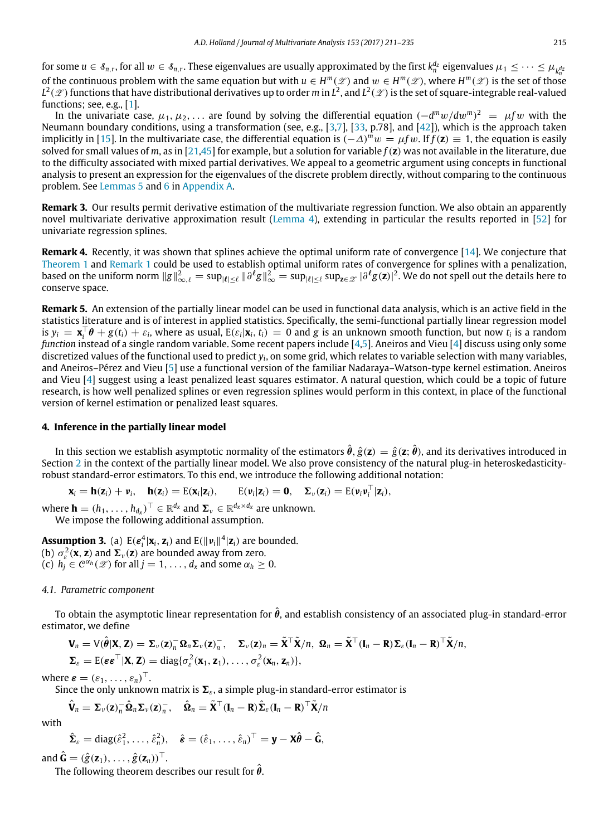for some  $u \in \mathcal{S}_{n,r}$ , for all  $w \in \mathcal{S}_{n,r}.$  These eigenvalues are usually approximated by the first  $k_n^{d_2}$  eigenvalues  $\mu_1 \leq \cdots \leq \mu_{k_n^{d_2}}$ of the continuous problem with the same equation but with  $u \in H^m(\mathscr{L})$  and  $w \in H^m(\mathscr{L})$ , where  $H^m(\mathscr{L})$  is the set of those  $L^2(\mathscr{Z})$  functions that have distributional derivatives up to order  $m$  in  $L^2$ , and  $L^2(\mathscr{Z})$  is the set of square-integrable real-valued functions; see, e.g., [\[1\]](#page-24-7).

In the univariate case, µ1, µ2, . . . are found by solving the differential equation (−*d <sup>m</sup>*w/*d*w*<sup>m</sup>*) <sup>2</sup> = µ*f* w with the Neumann boundary conditions, using a transformation (see, e.g., [\[3](#page-24-8)[,7\]](#page-24-9), [\[33,](#page-25-32) p.78], and [\[42\]](#page-25-33)), which is the approach taken implicitly in [\[15\]](#page-25-8). In the multivariate case, the differential equation is  $(-\Delta)^m w = \mu f w$ . If *f*(**z**) ≡ 1, the equation is easily solved for small values of *m*, as in [\[21,](#page-25-34)[45\]](#page-25-35) for example, but a solution for variable *f*(**z**) was not available in the literature, due to the difficulty associated with mixed partial derivatives. We appeal to a geometric argument using concepts in functional analysis to present an expression for the eigenvalues of the discrete problem directly, without comparing to the continuous problem. See [Lemmas 5](#page-17-0) and [6](#page-17-1) in [Appendix A.](#page-16-0)

<span id="page-5-1"></span>**Remark 3.** Our results permit derivative estimation of the multivariate regression function. We also obtain an apparently novel multivariate derivative approximation result [\(Lemma 4\)](#page-17-2), extending in particular the results reported in [\[52\]](#page-25-26) for univariate regression splines.

**Remark 4.** Recently, it was shown that splines achieve the optimal uniform rate of convergence [\[14\]](#page-25-36). We conjecture that [Theorem 1](#page-4-3) and [Remark 1](#page-4-2) could be used to establish optimal uniform rates of convergence for splines with a penalization, based on the uniform norm  $\|g\|^2_{\infty,\ell}=\sup_{|\ell|\leq \ell}\|\partial^\ell g\|^2_\infty=\sup_{|\ell|\leq \ell}\sup_{\mathbf{z}\in\mathscr{Z}}|\partial^\ell g(\mathbf{z})|^2.$  We do not spell out the details here to conserve space.

**Remark 5.** An extension of the partially linear model can be used in functional data analysis, which is an active field in the statistics literature and is of interest in applied statistics. Specifically, the semi-functional partially linear regression model is  $y_i = \mathbf{x}_i^{\top} \boldsymbol{\theta} + g(t_i) + \varepsilon_i$ , where as usual,  $E(\varepsilon_i | \mathbf{x}_i, t_i) = 0$  and g is an unknown smooth function, but now  $t_i$  is a random *function* instead of a single random variable. Some recent papers include [\[4,](#page-24-10)[5\]](#page-24-11). Aneiros and Vieu [\[4\]](#page-24-10) discuss using only some discretized values of the functional used to predict *y<sup>i</sup>* , on some grid, which relates to variable selection with many variables, and Aneiros–Pérez and Vieu [\[5\]](#page-24-11) use a functional version of the familiar Nadaraya–Watson-type kernel estimation. Aneiros and Vieu [\[4\]](#page-24-10) suggest using a least penalized least squares estimator. A natural question, which could be a topic of future research, is how well penalized splines or even regression splines would perform in this context, in place of the functional version of kernel estimation or penalized least squares.

## <span id="page-5-0"></span>**4. Inference in the partially linear model**

In this section we establish asymptotic normality of the estimators  $\hat{\bm{\theta}},\hat{g}(\bm{z})=\hat{g}(\bm{z};\hat{\bm{\theta}})$ , and its derivatives introduced in Section [2](#page-3-0) in the context of the partially linear model. We also prove consistency of the natural plug-in heteroskedasticityrobust standard-error estimators. To this end, we introduce the following additional notation:

 $\mathbf{x}_i = \mathbf{h}(\mathbf{z}_i) + \mathbf{v}_i$ ,  $\mathbf{h}(\mathbf{z}_i) = E(\mathbf{x}_i|\mathbf{z}_i)$ ,  $E(\mathbf{v}_i|\mathbf{z}_i) = \mathbf{0}$ ,  $\mathbf{\Sigma}_{\nu}(\mathbf{z}_i) = E(\mathbf{v}_i \mathbf{v}_i^{\top}|\mathbf{z}_i)$ ,

where  $\mathbf{h} = (h_1, \ldots, h_{d_x})^\top \in \mathbb{R}^{d_x}$  and  $\mathbf{\Sigma}_{\nu} \in \mathbb{R}^{d_x \times d_x}$  are unknown. We impose the following additional assumption.

**Assumption 3.** (a)  $E(\boldsymbol{\varepsilon}_i^4|\mathbf{x}_i, \mathbf{z}_i)$  and  $E(\|\boldsymbol{\varepsilon}_i\|^4|\mathbf{z}_i)$  are bounded. (**b**)  $\sigma_{\varepsilon}^2(\mathbf{x}, \mathbf{z})$  and  $\mathbf{\Sigma}_{\nu}(\mathbf{z})$  are bounded away from zero.  $\mathcal{A}(\mathbf{c})$  *h*<sub>j</sub>  $\in \mathcal{C}^{\alpha_h}(\mathscr{L})$  for all  $j = 1, \ldots, d_x$  and some  $\alpha_h \geq 0$ .

#### *4.1. Parametric component*

To obtain the asymptotic linear representation for  $\hat{\theta}$ , and establish consistency of an associated plug-in standard-error estimator, we define

$$
\mathbf{V}_n = \mathsf{V}(\hat{\boldsymbol{\theta}}|\mathbf{X}, \mathbf{Z}) = \boldsymbol{\Sigma}_{\nu}(\mathbf{z})_n^{-} \boldsymbol{\Omega}_n \boldsymbol{\Sigma}_{\nu}(\mathbf{z})_n^{-}, \quad \boldsymbol{\Sigma}_{\nu}(\mathbf{z})_n = \tilde{\mathbf{X}}^{\top} \tilde{\mathbf{X}}/n, \ \boldsymbol{\Omega}_n = \tilde{\mathbf{X}}^{\top} (\mathbf{I}_n - \mathbf{R}) \boldsymbol{\Sigma}_{\varepsilon} (\mathbf{I}_n - \mathbf{R})^{\top} \tilde{\mathbf{X}}/n,
$$
  

$$
\boldsymbol{\Sigma}_{\varepsilon} = \mathsf{E}(\boldsymbol{\varepsilon} \boldsymbol{\varepsilon}^{\top}|\mathbf{X}, \mathbf{Z}) = \mathrm{diag}\{\sigma_{\varepsilon}^2(\mathbf{x}_1, \mathbf{z}_1), \ldots, \sigma_{\varepsilon}^2(\mathbf{x}_n, \mathbf{z}_n)\},
$$

where  $\boldsymbol{\varepsilon} = (\varepsilon_1, \ldots, \varepsilon_n)^\top$ .

Since the only unknown matrix is  $\Sigma_{\epsilon}$ , a simple plug-in standard-error estimator is

$$
\hat{\mathbf{V}}_n = \mathbf{\Sigma}_{\nu}(\mathbf{z})_n^{-1} \hat{\mathbf{\Omega}}_n \mathbf{\Sigma}_{\nu}(\mathbf{z})_n^{-}, \quad \hat{\mathbf{\Omega}}_n = \tilde{\mathbf{X}}^{\top}(\mathbf{I}_n - \mathbf{R}) \hat{\mathbf{\Sigma}}_{\varepsilon}(\mathbf{I}_n - \mathbf{R})^{\top} \tilde{\mathbf{X}}/n
$$

with

$$
\hat{\boldsymbol{\Sigma}}_{\varepsilon} = \mathrm{diag}(\hat{\varepsilon}_1^2, \ldots, \hat{\varepsilon}_n^2), \quad \hat{\boldsymbol{\varepsilon}} = (\hat{\varepsilon}_1, \ldots, \hat{\varepsilon}_n)^{\top} = \mathbf{y} - \mathbf{X}\hat{\boldsymbol{\theta}} - \hat{\mathbf{G}},
$$

and  $\hat{\mathbf{G}} = (\hat{g}(\mathbf{z}_1), \dots, \hat{g}(\mathbf{z}_n))^{\top}$ .

The following theorem describes our result for  $\theta$ .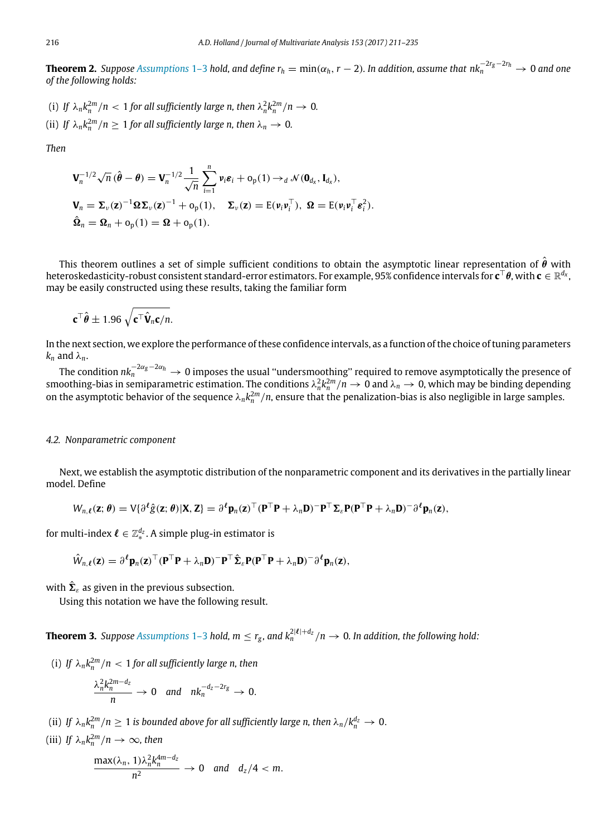<span id="page-6-1"></span>**Theorem 2.** *Suppose [Assumptions](#page-3-1)* 1–3 *hold, and define r<sup>h</sup>* <sup>=</sup> min(α*h*,*<sup>r</sup>* <sup>−</sup> <sup>2</sup>)*. In addition, assume that nk*−2*rg*−2*r<sup>h</sup> <sup>n</sup>* → 0 *and one of the following holds:*

- (i) If  $\lambda_n k_n^{2m}/n < 1$  for all sufficiently large n, then  $\lambda_n^2 k_n^{2m}/n \to 0$ .
- (ii) *If*  $\lambda_n k_n^{2m}/n \geq 1$  for all sufficiently large n, then  $\lambda_n \to 0$ .

*Then*

$$
\mathbf{V}_n^{-1/2}\sqrt{n}(\hat{\boldsymbol{\theta}} - \boldsymbol{\theta}) = \mathbf{V}_n^{-1/2}\frac{1}{\sqrt{n}}\sum_{i=1}^n \mathbf{\nu}_i \boldsymbol{\varepsilon}_i + o_p(1) \rightarrow_d \mathcal{N}(\mathbf{0}_{d_x}, \mathbf{I}_{d_x}),
$$
  

$$
\mathbf{V}_n = \boldsymbol{\Sigma}_v(\mathbf{z})^{-1}\boldsymbol{\Omega}\boldsymbol{\Sigma}_v(\mathbf{z})^{-1} + o_p(1), \quad \boldsymbol{\Sigma}_v(\mathbf{z}) = \mathbf{E}(\mathbf{\nu}_i \mathbf{\nu}_i^{\top}), \ \mathbf{\Omega} = \mathbf{E}(\mathbf{\nu}_i \mathbf{\nu}_i^{\top} \boldsymbol{\varepsilon}_i^2).
$$
  

$$
\hat{\mathbf{\Omega}}_n = \boldsymbol{\Omega}_n + o_p(1) = \boldsymbol{\Omega} + o_p(1).
$$

This theorem outlines a set of simple sufficient conditions to obtain the asymptotic linear representation of  $\hat{\theta}$  with heteroskedasticity-robust consistent standard-error estimators. For example, 95% confidence intervals for **c** <sup>⊤</sup>θ, with **c** ∈ R *dx* , may be easily constructed using these results, taking the familiar form

$$
\mathbf{c}^\top \hat{\boldsymbol{\theta}} \pm 1.96 \sqrt{\mathbf{c}^\top \hat{\mathbf{V}}_n \mathbf{c}/n}.
$$

In the next section, we explore the performance of these confidence intervals, as a function of the choice of tuning parameters  $k_n$  and  $\lambda_n$ .

The condition *nk*−2α*g*−2α*<sup>h</sup> <sup>n</sup>* → 0 imposes the usual ''undersmoothing'' required to remove asymptotically the presence of smoothing-bias in semiparametric estimation. The conditions  $\lambda_n^2 k_n^{2m}/n\to 0$  and  $\lambda_n\to 0$ , which may be binding depending on the asymptotic behavior of the sequence  $\lambda_n k_n^{2m}/n$ , ensure that the penalization-bias is also negligible in large samples.

#### *4.2. Nonparametric component*

Next, we establish the asymptotic distribution of the nonparametric component and its derivatives in the partially linear model. Define

$$
W_{n,\ell}(\mathbf{z};\boldsymbol{\theta}) = V\{\partial^{\ell}\hat{g}(\mathbf{z};\boldsymbol{\theta})|\mathbf{X},\mathbf{Z}\} = \partial^{\ell}\mathbf{p}_n(\mathbf{z})^{\top}(\mathbf{P}^{\top}\mathbf{P} + \lambda_n\mathbf{D})^{\top}\mathbf{P}^{\top}\Sigma_{\varepsilon}\mathbf{P}(\mathbf{P}^{\top}\mathbf{P} + \lambda_n\mathbf{D})^{\top}\partial^{\ell}\mathbf{p}_n(\mathbf{z}),
$$

for multi-index  $\boldsymbol{\ell} \in \mathbb{Z}^{d_{\boldsymbol{z}}}_{*}$ . A simple plug-in estimator is

$$
\hat{W}_{n,\ell}(\mathbf{z}) = \partial^{\ell} \mathbf{p}_n(\mathbf{z})^{\top} (\mathbf{P}^{\top} \mathbf{P} + \lambda_n \mathbf{D})^{-} \mathbf{P}^{\top} \hat{\boldsymbol{\Sigma}}_{\varepsilon} \mathbf{P} (\mathbf{P}^{\top} \mathbf{P} + \lambda_n \mathbf{D})^{-} \partial^{\ell} \mathbf{p}_n(\mathbf{z}),
$$

with  $\hat{\boldsymbol{\Sigma}}_{\varepsilon}$  as given in the previous subsection.

<span id="page-6-0"></span>Using this notation we have the following result.

**Theorem 3.** Suppose [Assumptions](#page-3-1) 1–3 hold,  $m \leq r_g$ , and  $k_n^{2|\ell|+d_z}/n \to 0$ . In addition, the following hold:

(i) If  $\lambda_n k_n^{2m}/n < 1$  for all sufficiently large n, then

$$
\frac{\lambda_n^2 k_n^{2m-d_z}}{n} \to 0 \quad \text{and} \quad n k_n^{-d_z - 2r_g} \to 0.
$$

(ii) If  $\lambda_n k_n^{2m}/n \geq 1$  is bounded above for all sufficiently large n, then  $\lambda_n/k_n^{d_z} \to 0.$ 

(iii) If 
$$
\lambda_n k_n^{2m}/n \to \infty
$$
, then

$$
\frac{\max(\lambda_n, 1)\lambda_n^2 k_n^{4m-d_z}}{n^2} \to 0 \text{ and } d_z/4 < m.
$$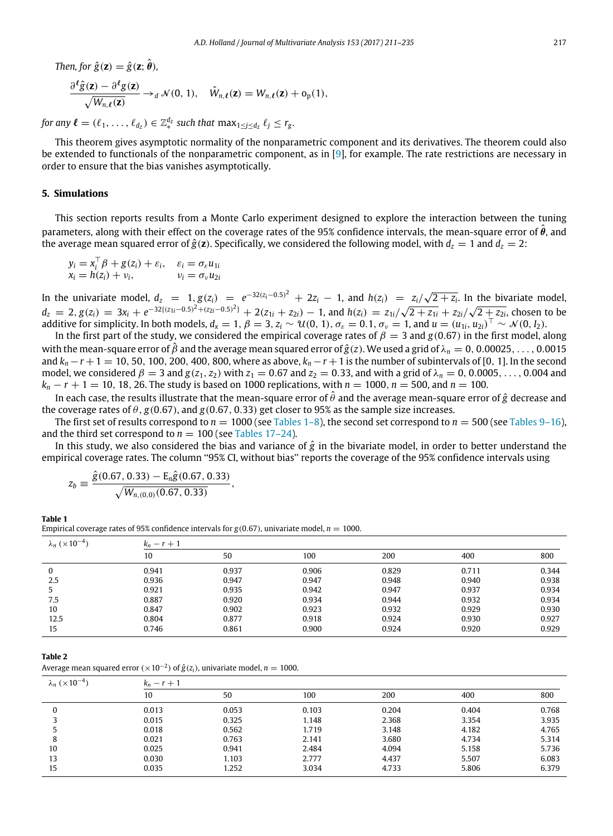Then, for 
$$
\hat{g}(\mathbf{z}) = \hat{g}(\mathbf{z}; \hat{\boldsymbol{\theta}}),
$$
  
\n
$$
\frac{\partial^{\ell} \hat{g}(\mathbf{z}) - \partial^{\ell} g(\mathbf{z})}{\sqrt{W_{n,\ell}(\mathbf{z})}} \rightarrow_d \mathcal{N}(0, 1), \quad \hat{W}_{n,\ell}(\mathbf{z}) = W_{n,\ell}(\mathbf{z}) + o_p(1),
$$

*for any*  $\ell = (\ell_1, \ldots, \ell_{d_z}) \in \mathbb{Z}_*^{d_z}$  such that  $\max_{1 \leq j \leq d_z} \ell_j \leq r_g$ .

This theorem gives asymptotic normality of the nonparametric component and its derivatives. The theorem could also be extended to functionals of the nonparametric component, as in  $[9]$ , for example. The rate restrictions are necessary in order to ensure that the bias vanishes asymptotically.

## <span id="page-7-0"></span>**5. Simulations**

This section reports results from a Monte Carlo experiment designed to explore the interaction between the tuning parameters, along with their effect on the coverage rates of the 95% confidence intervals, the mean-square error of  $\hat{\theta}$ , and the average mean squared error of  $\hat{g}(\mathbf{z})$ . Specifically, we considered the following model, with  $d_z = 1$  and  $d_z = 2$ :

 $y_i = x_i^\top \beta + g(z_i) + \varepsilon_i, \quad \varepsilon_i = \sigma_\varepsilon u_{1i}$  $x_i = h(z_i) + v_i,$   $v_i = \sigma_v u_{2i}$ 

In the univariate model,  $d_z = 1$ ,  $g(z_i) = e^{-32(z_i - 0.5)^2} + 2z_i - 1$ , and  $h(z_i) = \frac{z_i}{\sqrt{2 + z_i}}$ . In the bivariate model,  $d_z = 2$ ,  $g(z_i) = 3x_i + e^{-32((z_{1i}-0.5)^2 + (z_{2i}-0.5)^2)} + 2(z_{1i} + z_{2i}) - 1$ , and  $h(z_i) = z_{1i}/\sqrt{2 + z_{1i}} + z_{2i}/\sqrt{2 + z_{2i}}$ , chosen to be additive for simplicity. In both models,  $d_x = 1$ ,  $\beta = 3$ ,  $z_i \sim \mathcal{U}(0, 1)$ ,  $\sigma_\varepsilon = 0.1$ ,  $\sigma_\nu = 1$ , and  $u = (u_{1i}, u_{2i})^\top \sim \mathcal{N}(0, I_2)$ .

In the first part of the study, we considered the empirical coverage rates of  $\beta = 3$  and  $g(0.67)$  in the first model, along with the mean-square error of  $\hat{\beta}$  and the average mean squared error of  $\hat{g}(z)$ . We used a grid of  $\lambda_n = 0, 0.00025, \ldots, 0.0015$ and *k<sup>n</sup>* −*r* +1 = 10, 50, 100, 200, 400, 800, where as above, *k<sup>n</sup>* −*r* +1 is the number of subintervals of [0, 1]. In the second model, we considered  $\beta = 3$  and  $g(z_1, z_2)$  with  $z_1 = 0.67$  and  $z_2 = 0.33$ , and with a grid of  $\lambda_n = 0, 0.0005, \ldots, 0.004$  and *k<sub>n</sub>* − *r* + 1 = 10, 18, 26. The study is based on 1000 replications, with *n* = 1000, *n* = 500, and *n* = 100.

In each case, the results illustrate that the mean-square error of  $\hat{\theta}$  and the average mean-square error of  $\hat{g}$  decrease and the coverage rates of  $\theta$ , *g*(0.67), and *g*(0.67, 0.33) get closer to 95% as the sample size increases.

The first set of results correspond to  $n = 1000$  (see [Tables 1–8\)](#page-7-1), the second set correspond to  $n = 500$  (see [Tables 9–16\)](#page-9-0), and the third set correspond to  $n = 100$  (see [Tables 17–24\)](#page-11-0).

In this study, we also considered the bias and variance of *g*ˆ in the bivariate model, in order to better understand the empirical coverage rates. The column "95% CI, without bias" reports the coverage of the 95% confidence intervals using

$$
z_{b} \equiv \frac{\hat{g}(0.67, 0.33) - \mathrm{E}_{n}\hat{g}(0.67, 0.33)}{\sqrt{W_{n,(0,0)}(0.67, 0.33)}},
$$

<span id="page-7-1"></span>**Table 1**

Empirical coverage rates of 95% confidence intervals for  $g(0.67)$ , univariate model,  $n = 1000$ .

| $\lambda_n$ ( $\times 10^{-4}$ ) | $k_n - r + 1$ |       |       |       |       |       |
|----------------------------------|---------------|-------|-------|-------|-------|-------|
|                                  | 10            | 50    | 100   | 200   | 400   | 800   |
| 0                                | 0.941         | 0.937 | 0.906 | 0.829 | 0.711 | 0.344 |
| 2.5                              | 0.936         | 0.947 | 0.947 | 0.948 | 0.940 | 0.938 |
|                                  | 0.921         | 0.935 | 0.942 | 0.947 | 0.937 | 0.934 |
| 7.5                              | 0.887         | 0.920 | 0.934 | 0.944 | 0.932 | 0.934 |
| 10                               | 0.847         | 0.902 | 0.923 | 0.932 | 0.929 | 0.930 |
| 12.5                             | 0.804         | 0.877 | 0.918 | 0.924 | 0.930 | 0.927 |
| 15                               | 0.746         | 0.861 | 0.900 | 0.924 | 0.920 | 0.929 |

Average mean squared error  $(\times 10^{-2})$  of  $\hat{g}(z_i)$ , univariate model,  $n = 1000$ .

| $\lambda_n$ ( $\times$ 10 <sup>-4</sup> ) | $k_n - r + 1$ |       |       |       |       |       |  |
|-------------------------------------------|---------------|-------|-------|-------|-------|-------|--|
|                                           | 10            | 50    | 100   | 200   | 400   | 800   |  |
|                                           | 0.013         | 0.053 | 0.103 | 0.204 | 0.404 | 0.768 |  |
|                                           | 0.015         | 0.325 | 1.148 | 2.368 | 3.354 | 3.935 |  |
|                                           | 0.018         | 0.562 | 1.719 | 3.148 | 4.182 | 4.765 |  |
| 8                                         | 0.021         | 0.763 | 2.141 | 3.680 | 4.734 | 5.314 |  |
| 10                                        | 0.025         | 0.941 | 2.484 | 4.094 | 5.158 | 5.736 |  |
| 13                                        | 0.030         | 1.103 | 2.777 | 4.437 | 5.507 | 6.083 |  |
| 15                                        | 0.035         | 1.252 | 3.034 | 4.733 | 5.806 | 6.379 |  |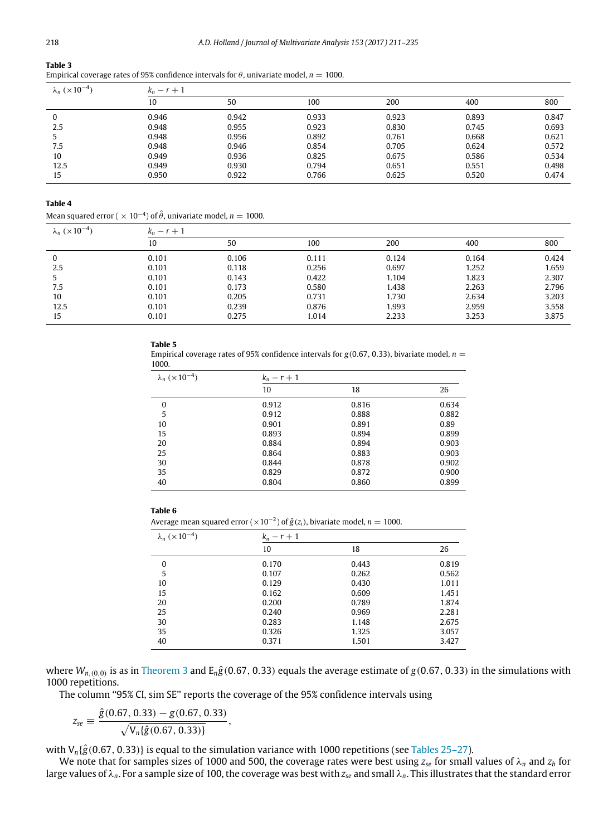Empirical coverage rates of 95% confidence intervals for  $\theta$ , univariate model,  $n = 1000$ .

| $\lambda_n$ ( $\times$ 10 <sup>-4</sup> ) | $k_n - r + 1$ |       |       |       |       |       |
|-------------------------------------------|---------------|-------|-------|-------|-------|-------|
|                                           | 10            | 50    | 100   | 200   | 400   | 800   |
| 0                                         | 0.946         | 0.942 | 0.933 | 0.923 | 0.893 | 0.847 |
| 2.5                                       | 0.948         | 0.955 | 0.923 | 0.830 | 0.745 | 0.693 |
|                                           | 0.948         | 0.956 | 0.892 | 0.761 | 0.668 | 0.621 |
| 7.5                                       | 0.948         | 0.946 | 0.854 | 0.705 | 0.624 | 0.572 |
| 10                                        | 0.949         | 0.936 | 0.825 | 0.675 | 0.586 | 0.534 |
| 12.5                                      | 0.949         | 0.930 | 0.794 | 0.651 | 0.551 | 0.498 |
| 15                                        | 0.950         | 0.922 | 0.766 | 0.625 | 0.520 | 0.474 |

#### **Table 4**

Mean squared error ( $\times$  10<sup>-4</sup>) of  $\hat{\theta}$ , univariate model,  $n=1000$ .

| $\lambda_n$ ( $\times$ 10 <sup>-4</sup> ) | $k_n - r + 1$ |       |       |       |       |       |
|-------------------------------------------|---------------|-------|-------|-------|-------|-------|
|                                           | 10            | 50    | 100   | 200   | 400   | 800   |
| 0                                         | 0.101         | 0.106 | 0.111 | 0.124 | 0.164 | 0.424 |
| 2.5                                       | 0.101         | 0.118 | 0.256 | 0.697 | 1.252 | 1.659 |
|                                           | 0.101         | 0.143 | 0.422 | 1.104 | 1.823 | 2.307 |
| 7.5                                       | 0.101         | 0.173 | 0.580 | 1.438 | 2.263 | 2.796 |
| 10                                        | 0.101         | 0.205 | 0.731 | 1.730 | 2.634 | 3.203 |
| 12.5                                      | 0.101         | 0.239 | 0.876 | 1.993 | 2.959 | 3.558 |
| 15                                        | 0.101         | 0.275 | 1.014 | 2.233 | 3.253 | 3.875 |

#### **Table 5**

Empirical coverage rates of 95% confidence intervals for  $g(0.67, 0.33)$ , bivariate model,  $n =$ 1000.

| $\lambda_n$ ( $\times 10^{-4}$ ) | $k_n-r+1$ |       |       |  |  |
|----------------------------------|-----------|-------|-------|--|--|
|                                  | 10        | 18    | 26    |  |  |
| $\Omega$                         | 0.912     | 0.816 | 0.634 |  |  |
| 5                                | 0.912     | 0.888 | 0.882 |  |  |
| 10                               | 0.901     | 0.891 | 0.89  |  |  |
| 15                               | 0.893     | 0.894 | 0.899 |  |  |
| 20                               | 0.884     | 0.894 | 0.903 |  |  |
| 25                               | 0.864     | 0.883 | 0.903 |  |  |
| 30                               | 0.844     | 0.878 | 0.902 |  |  |
| 35                               | 0.829     | 0.872 | 0.900 |  |  |
| 40                               | 0.804     | 0.860 | 0.899 |  |  |

## **Table 6**

Average mean squared error ( $\times$ 10<sup>-2</sup>) of  $\hat{g}(z_i)$ , bivariate model,  $n=1000$ .

| $\lambda_n \ (\times 10^{-4})$ | $k_n-r+1$ |       |       |
|--------------------------------|-----------|-------|-------|
|                                | 10        | 18    | 26    |
| 0                              | 0.170     | 0.443 | 0.819 |
| 5                              | 0.107     | 0.262 | 0.562 |
| 10                             | 0.129     | 0.430 | 1.011 |
| 15                             | 0.162     | 0.609 | 1.451 |
| 20                             | 0.200     | 0.789 | 1.874 |
| 25                             | 0.240     | 0.969 | 2.281 |
| 30                             | 0.283     | 1.148 | 2.675 |
| 35                             | 0.326     | 1.325 | 3.057 |
| 40                             | 0.371     | 1.501 | 3.427 |

where  $W_{n,(0,0)}$  is as in [Theorem 3](#page-6-0) and  $E_n\hat{g}(0.67, 0.33)$  equals the average estimate of  $g(0.67, 0.33)$  in the simulations with 1000 repetitions.

The column ''95% CI, sim SE'' reports the coverage of the 95% confidence intervals using

,

$$
z_{se} \equiv \frac{\hat{g}(0.67, 0.33) - g(0.67, 0.33)}{\sqrt{V_n \{\hat{g}(0.67, 0.33)\}}}
$$

with  $V_n$ { $\hat{g}$ (0.67, 0.33)} is equal to the simulation variance with 1000 repetitions (see [Tables 25–27\)](#page-13-0).

We note that for samples sizes of 1000 and 500, the coverage rates were best using  $z_{se}$  for small values of  $\lambda_n$  and  $z_b$  for large values of λ*n*. For a sample size of 100, the coverage was best with *zse* and small λ*n*. This illustrates that the standard error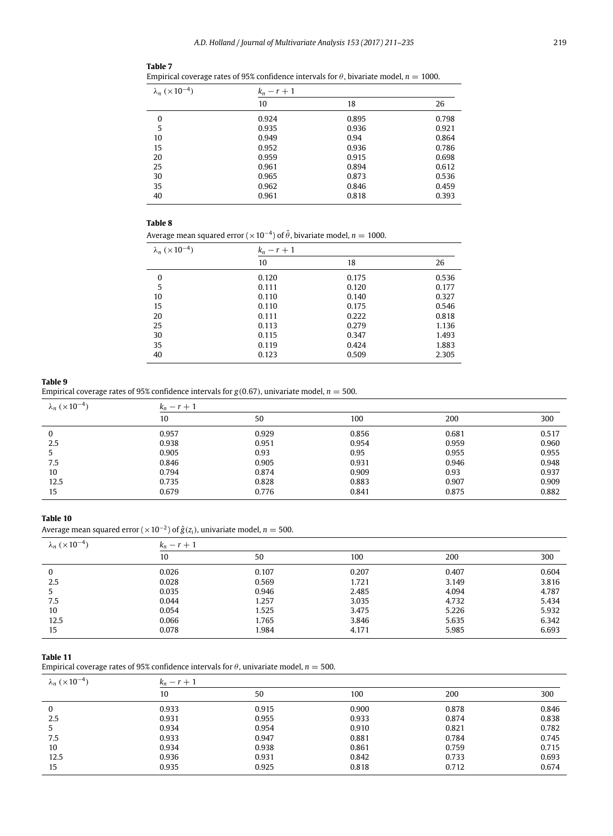## *A.D. Holland / Journal of Multivariate Analysis 153 (2017) 211–235* 219

|                                  |           | Empirical coverage rates of 95% confidence intervals for $\theta$ , bivariate model, $n = 1000$ . |       |
|----------------------------------|-----------|---------------------------------------------------------------------------------------------------|-------|
| $\lambda_n$ ( $\times 10^{-4}$ ) | $k_n-r+1$ |                                                                                                   |       |
|                                  | 10        | 18                                                                                                | 26    |
| 0                                | 0.924     | 0.895                                                                                             | 0.798 |
| 5                                | 0.935     | 0.936                                                                                             | 0.921 |
| 10                               | 0.949     | 0.94                                                                                              | 0.864 |
| 15                               | 0.952     | 0.936                                                                                             | 0.786 |
| 20                               | 0.959     | 0.915                                                                                             | 0.698 |
| 25                               | 0.961     | 0.894                                                                                             | 0.612 |
| 30                               | 0.965     | 0.873                                                                                             | 0.536 |
| 35                               | 0.962     | 0.846                                                                                             | 0.459 |
| 40                               | 0.961     | 0.818                                                                                             | 0.393 |

#### **Table 8**

**Table 7**

Average mean squared error ( $\times$ 10<sup>–4</sup>) of  $\hat{\theta}$ , bivariate model,  $n=1000$ .

| $\lambda_n$ (×10 <sup>-4</sup> ) | $k_n-r+1$ |       |       |  |  |
|----------------------------------|-----------|-------|-------|--|--|
|                                  | 10        | 18    | 26    |  |  |
| 0                                | 0.120     | 0.175 | 0.536 |  |  |
| 5                                | 0.111     | 0.120 | 0.177 |  |  |
| 10                               | 0.110     | 0.140 | 0.327 |  |  |
| 15                               | 0.110     | 0.175 | 0.546 |  |  |
| 20                               | 0.111     | 0.222 | 0.818 |  |  |
| 25                               | 0.113     | 0.279 | 1.136 |  |  |
| 30                               | 0.115     | 0.347 | 1.493 |  |  |
| 35                               | 0.119     | 0.424 | 1.883 |  |  |
| 40                               | 0.123     | 0.509 | 2.305 |  |  |

#### <span id="page-9-0"></span>**Table 9**

Empirical coverage rates of 95% confidence intervals for  $g(0.67)$ , univariate model,  $n = 500$ .

| $\lambda_n$ ( $\times$ 10 <sup>-4</sup> ) | $k_n - r + 1$ |       |       |       |       |
|-------------------------------------------|---------------|-------|-------|-------|-------|
|                                           | 10            | 50    | 100   | 200   | 300   |
| 0                                         | 0.957         | 0.929 | 0.856 | 0.681 | 0.517 |
| 2.5                                       | 0.938         | 0.951 | 0.954 | 0.959 | 0.960 |
| 5                                         | 0.905         | 0.93  | 0.95  | 0.955 | 0.955 |
| 7.5                                       | 0.846         | 0.905 | 0.931 | 0.946 | 0.948 |
| 10                                        | 0.794         | 0.874 | 0.909 | 0.93  | 0.937 |
| 12.5                                      | 0.735         | 0.828 | 0.883 | 0.907 | 0.909 |
| 15                                        | 0.679         | 0.776 | 0.841 | 0.875 | 0.882 |

#### **Table 10**

Average mean squared error ( $\times$ 10<sup>-2</sup>) of  $\hat{g}(z_i)$ , univariate model,  $n=500$ .

| $\lambda_n$ ( $\times 10^{-4}$ ) | $k_n - r + 1$ |       |       |       |       |
|----------------------------------|---------------|-------|-------|-------|-------|
|                                  | 10            | 50    | 100   | 200   | 300   |
| 0                                | 0.026         | 0.107 | 0.207 | 0.407 | 0.604 |
| 2.5                              | 0.028         | 0.569 | 1.721 | 3.149 | 3.816 |
|                                  | 0.035         | 0.946 | 2.485 | 4.094 | 4.787 |
| 7.5                              | 0.044         | 1.257 | 3.035 | 4.732 | 5.434 |
| 10                               | 0.054         | 1.525 | 3.475 | 5.226 | 5.932 |
| 12.5                             | 0.066         | 1.765 | 3.846 | 5.635 | 6.342 |
| 15                               | 0.078         | 1.984 | 4.171 | 5.985 | 6.693 |

## **Table 11**

Empirical coverage rates of 95% confidence intervals for  $\theta$ , univariate model,  $n = 500$ .

| $\lambda_n$ ( $\times$ 10 <sup>-4</sup> ) | $k_n - r + 1$ |       |       |       |       |
|-------------------------------------------|---------------|-------|-------|-------|-------|
|                                           | 10            | 50    | 100   | 200   | 300   |
| $\Omega$                                  | 0.933         | 0.915 | 0.900 | 0.878 | 0.846 |
| 2.5                                       | 0.931         | 0.955 | 0.933 | 0.874 | 0.838 |
|                                           | 0.934         | 0.954 | 0.910 | 0.821 | 0.782 |
| 7.5                                       | 0.933         | 0.947 | 0.881 | 0.784 | 0.745 |
| 10                                        | 0.934         | 0.938 | 0.861 | 0.759 | 0.715 |
| 12.5                                      | 0.936         | 0.931 | 0.842 | 0.733 | 0.693 |
| 15                                        | 0.935         | 0.925 | 0.818 | 0.712 | 0.674 |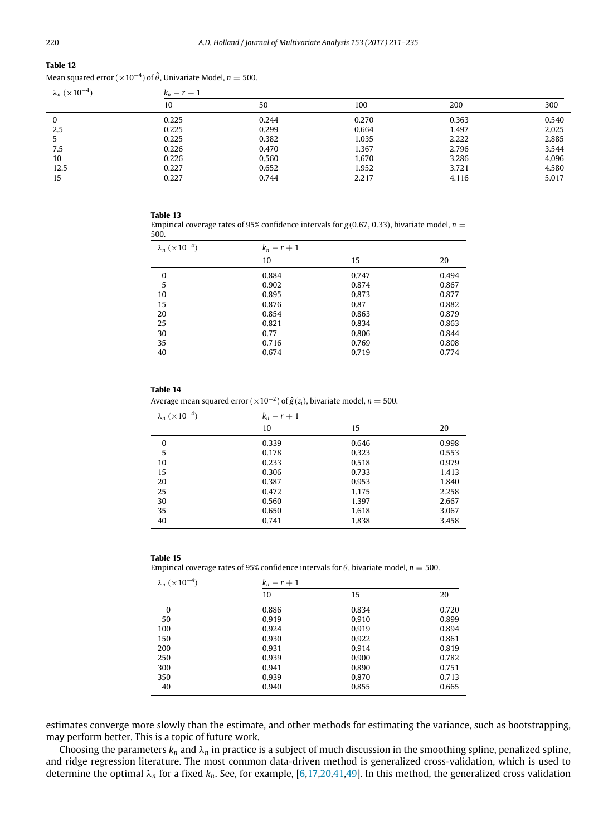| Mean squared error ( $\times$ 10 <sup>-4</sup> ) of $\hat{\theta}$ , Univariate Model, $n=$ 500. |  |  |  |
|--------------------------------------------------------------------------------------------------|--|--|--|
|                                                                                                  |  |  |  |

| $\lambda_n$ ( $\times$ 10 <sup>-4</sup> ) | $k_n - r + 1$ |       |       |       |       |
|-------------------------------------------|---------------|-------|-------|-------|-------|
|                                           | 10            | 50    | 100   | 200   | 300   |
| 0                                         | 0.225         | 0.244 | 0.270 | 0.363 | 0.540 |
| 2.5                                       | 0.225         | 0.299 | 0.664 | 1.497 | 2.025 |
|                                           | 0.225         | 0.382 | 1.035 | 2.222 | 2.885 |
| 7.5                                       | 0.226         | 0.470 | 1.367 | 2.796 | 3.544 |
| 10                                        | 0.226         | 0.560 | 1.670 | 3.286 | 4.096 |
| 12.5                                      | 0.227         | 0.652 | 1.952 | 3.721 | 4.580 |
| 15                                        | 0.227         | 0.744 | 2.217 | 4.116 | 5.017 |

#### **Table 13**

Empirical coverage rates of 95% confidence intervals for  $g(0.67, 0.33)$ , bivariate model,  $n =$ 500.

| $\lambda_n$ (×10 <sup>-4</sup> ) | $k_n - r + 1$ |       |       |
|----------------------------------|---------------|-------|-------|
|                                  | 10            | 15    | 20    |
| 0                                | 0.884         | 0.747 | 0.494 |
| 5                                | 0.902         | 0.874 | 0.867 |
| 10                               | 0.895         | 0.873 | 0.877 |
| 15                               | 0.876         | 0.87  | 0.882 |
| 20                               | 0.854         | 0.863 | 0.879 |
| 25                               | 0.821         | 0.834 | 0.863 |
| 30                               | 0.77          | 0.806 | 0.844 |
| 35                               | 0.716         | 0.769 | 0.808 |
| 40                               | 0.674         | 0.719 | 0.774 |

#### **Table 14**

Average mean squared error ( $\times$ 10<sup>-2</sup>) of  $\hat{g}(z_i)$ , bivariate model,  $n=$  500.

| $\lambda_n$ (×10 <sup>-4</sup> ) | $k_n - r + 1$ |       |       |  |
|----------------------------------|---------------|-------|-------|--|
|                                  | 10            | 15    | 20    |  |
| 0                                | 0.339         | 0.646 | 0.998 |  |
| 5                                | 0.178         | 0.323 | 0.553 |  |
| 10                               | 0.233         | 0.518 | 0.979 |  |
| 15                               | 0.306         | 0.733 | 1.413 |  |
| 20                               | 0.387         | 0.953 | 1.840 |  |
| 25                               | 0.472         | 1.175 | 2.258 |  |
| 30                               | 0.560         | 1.397 | 2.667 |  |
| 35                               | 0.650         | 1.618 | 3.067 |  |
| 40                               | 0.741         | 1.838 | 3.458 |  |

#### **Table 15**

Empirical coverage rates of 95% confidence intervals for  $\theta$ , bivariate model,  $n = 500$ .

| $\lambda_n \ (\times 10^{-4})$ | $k_n - r + 1$ |       |       |  |  |
|--------------------------------|---------------|-------|-------|--|--|
|                                | 10            | 15    | 20    |  |  |
| 0                              | 0.886         | 0.834 | 0.720 |  |  |
| 50                             | 0.919         | 0.910 | 0.899 |  |  |
| 100                            | 0.924         | 0.919 | 0.894 |  |  |
| 150                            | 0.930         | 0.922 | 0.861 |  |  |
| 200                            | 0.931         | 0.914 | 0.819 |  |  |
| 250                            | 0.939         | 0.900 | 0.782 |  |  |
| 300                            | 0.941         | 0.890 | 0.751 |  |  |
| 350                            | 0.939         | 0.870 | 0.713 |  |  |
| 40                             | 0.940         | 0.855 | 0.665 |  |  |

estimates converge more slowly than the estimate, and other methods for estimating the variance, such as bootstrapping, may perform better. This is a topic of future work.

Choosing the parameters  $k_n$  and  $\lambda_n$  in practice is a subject of much discussion in the smoothing spline, penalized spline, and ridge regression literature. The most common data-driven method is generalized cross-validation, which is used to determine the optimal λ*<sup>n</sup>* for a fixed *kn*. See, for example, [\[6,](#page-24-12)[17,](#page-25-37)[20](#page-25-7)[,41,](#page-25-38)[49\]](#page-25-39). In this method, the generalized cross validation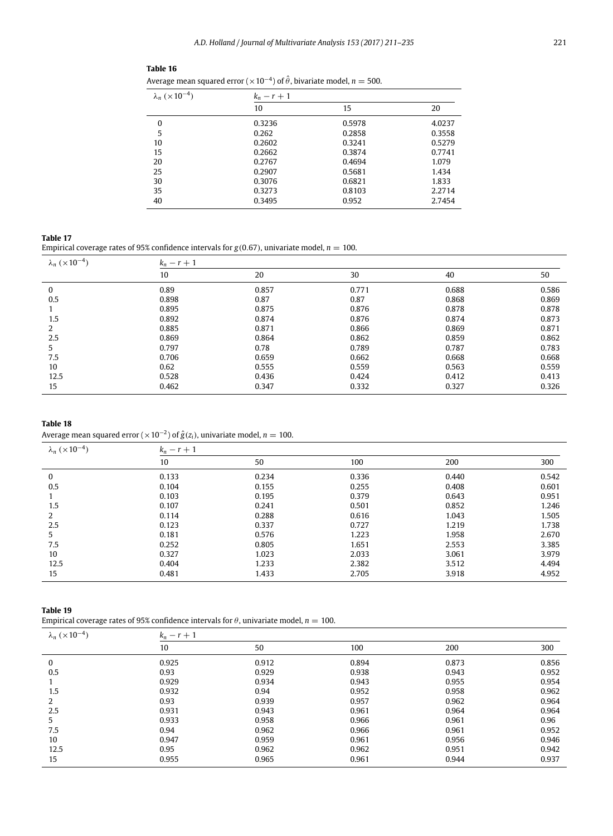| Average mean squared error ( $\times$ 10 <sup>-4</sup> ) of $\hat{\theta}$ , bivariate model, $n = 500$ . |               |        |        |  |  |  |
|-----------------------------------------------------------------------------------------------------------|---------------|--------|--------|--|--|--|
| $\lambda_n$ ( $\times 10^{-4}$ )                                                                          | $k_n - r + 1$ |        |        |  |  |  |
|                                                                                                           | 10            | 15     | 20     |  |  |  |
| 0                                                                                                         | 0.3236        | 0.5978 | 4.0237 |  |  |  |
| 5                                                                                                         | 0.262         | 0.2858 | 0.3558 |  |  |  |
| 10                                                                                                        | 0.2602        | 0.3241 | 0.5279 |  |  |  |
| 15                                                                                                        | 0.2662        | 0.3874 | 0.7741 |  |  |  |
| 20                                                                                                        | 0.2767        | 0.4694 | 1.079  |  |  |  |
| 25                                                                                                        | 0.2907        | 0.5681 | 1.434  |  |  |  |
| 30                                                                                                        | 0.3076        | 0.6821 | 1.833  |  |  |  |
| 35                                                                                                        | 0.3273        | 0.8103 | 2.2714 |  |  |  |
| 40                                                                                                        | 0.3495        | 0.952  | 2.7454 |  |  |  |

| Table 16<br>---- |  |
|------------------|--|
|------------------|--|

<span id="page-11-0"></span>Empirical coverage rates of 95% confidence intervals for  $g(0.67)$ , univariate model,  $n = 100$ .

| $\lambda_n$ (×10 <sup>-4</sup> ) | $k_n - r + 1$ |       |       |       |       |
|----------------------------------|---------------|-------|-------|-------|-------|
|                                  | 10            | 20    | 30    | 40    | 50    |
| 0                                | 0.89          | 0.857 | 0.771 | 0.688 | 0.586 |
| 0.5                              | 0.898         | 0.87  | 0.87  | 0.868 | 0.869 |
|                                  | 0.895         | 0.875 | 0.876 | 0.878 | 0.878 |
| 1.5                              | 0.892         | 0.874 | 0.876 | 0.874 | 0.873 |
| 2                                | 0.885         | 0.871 | 0.866 | 0.869 | 0.871 |
| 2.5                              | 0.869         | 0.864 | 0.862 | 0.859 | 0.862 |
| 5                                | 0.797         | 0.78  | 0.789 | 0.787 | 0.783 |
| 7.5                              | 0.706         | 0.659 | 0.662 | 0.668 | 0.668 |
| 10                               | 0.62          | 0.555 | 0.559 | 0.563 | 0.559 |
| 12.5                             | 0.528         | 0.436 | 0.424 | 0.412 | 0.413 |
| 15                               | 0.462         | 0.347 | 0.332 | 0.327 | 0.326 |

## **Table 18**

Average mean squared error ( $\times$ 10<sup>-2</sup>) of  $\hat{g}(z_i)$ , univariate model,  $n=100$ .

| $\lambda_n$ ( $\times 10^{-4}$ ) | $k_n - r + 1$ |       |       |       |       |
|----------------------------------|---------------|-------|-------|-------|-------|
|                                  | 10            | 50    | 100   | 200   | 300   |
| 0                                | 0.133         | 0.234 | 0.336 | 0.440 | 0.542 |
| 0.5                              | 0.104         | 0.155 | 0.255 | 0.408 | 0.601 |
|                                  | 0.103         | 0.195 | 0.379 | 0.643 | 0.951 |
| 1.5                              | 0.107         | 0.241 | 0.501 | 0.852 | 1.246 |
| C.                               | 0.114         | 0.288 | 0.616 | 1.043 | 1.505 |
| 2.5                              | 0.123         | 0.337 | 0.727 | 1.219 | 1.738 |
| 5                                | 0.181         | 0.576 | 1.223 | 1.958 | 2.670 |
| 7.5                              | 0.252         | 0.805 | 1.651 | 2.553 | 3.385 |
| 10                               | 0.327         | 1.023 | 2.033 | 3.061 | 3.979 |
| 12.5                             | 0.404         | 1.233 | 2.382 | 3.512 | 4.494 |
| 15                               | 0.481         | 1.433 | 2.705 | 3.918 | 4.952 |

## **Table 19**

Empirical coverage rates of 95% confidence intervals for  $\theta$ , univariate model,  $n = 100$ .

| $\lambda_n$ ( $\times$ 10 <sup>-4</sup> ) | $k_n - r + 1$ |       |       |       |       |
|-------------------------------------------|---------------|-------|-------|-------|-------|
|                                           | 10            | 50    | 100   | 200   | 300   |
| 0                                         | 0.925         | 0.912 | 0.894 | 0.873 | 0.856 |
| 0.5                                       | 0.93          | 0.929 | 0.938 | 0.943 | 0.952 |
|                                           | 0.929         | 0.934 | 0.943 | 0.955 | 0.954 |
| 1.5                                       | 0.932         | 0.94  | 0.952 | 0.958 | 0.962 |
| 2                                         | 0.93          | 0.939 | 0.957 | 0.962 | 0.964 |
| 2.5                                       | 0.931         | 0.943 | 0.961 | 0.964 | 0.964 |
| 5                                         | 0.933         | 0.958 | 0.966 | 0.961 | 0.96  |
| 7.5                                       | 0.94          | 0.962 | 0.966 | 0.961 | 0.952 |
| 10                                        | 0.947         | 0.959 | 0.961 | 0.956 | 0.946 |
| 12.5                                      | 0.95          | 0.962 | 0.962 | 0.951 | 0.942 |
| 15                                        | 0.955         | 0.965 | 0.961 | 0.944 | 0.937 |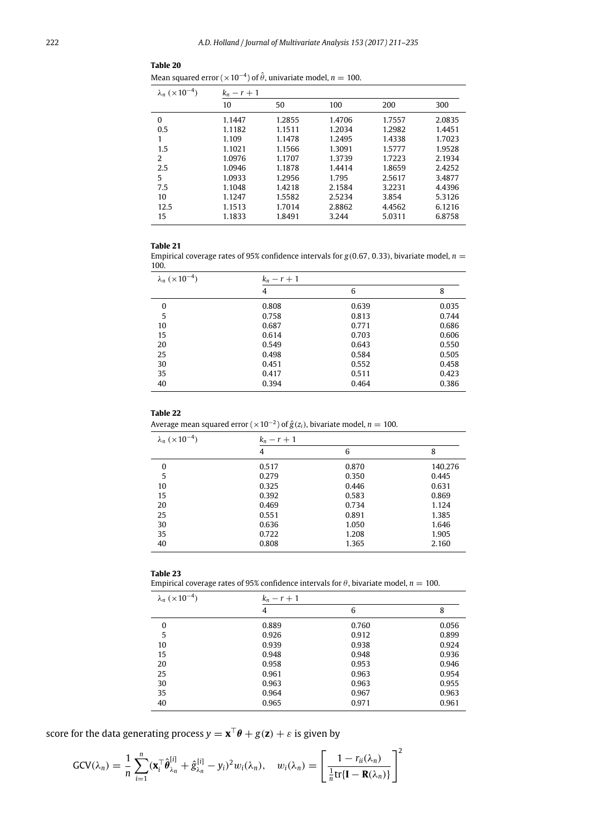| Mean squared error ( $\times$ 10 <sup>-4</sup> ) of $\hat{\theta}$ , univariate model, $n = 100$ . |  |  |
|----------------------------------------------------------------------------------------------------|--|--|

| $\lambda_n$ (×10 <sup>-4</sup> ) | $k_n - r + 1$ |        |        |        |        |
|----------------------------------|---------------|--------|--------|--------|--------|
|                                  | 10            | 50     | 100    | 200    | 300    |
| $\Omega$                         | 1.1447        | 1.2855 | 1.4706 | 1.7557 | 2.0835 |
| 0.5                              | 1.1182        | 1.1511 | 1.2034 | 1.2982 | 1.4451 |
| 1                                | 1.109         | 1.1478 | 1.2495 | 1.4338 | 1.7023 |
| 1.5                              | 1.1021        | 1.1566 | 1.3091 | 1.5777 | 1.9528 |
| 2                                | 1.0976        | 1.1707 | 1.3739 | 1.7223 | 2.1934 |
| 2.5                              | 1.0946        | 1.1878 | 1.4414 | 1.8659 | 2.4252 |
| 5                                | 1.0933        | 1.2956 | 1.795  | 2.5617 | 3.4877 |
| 7.5                              | 1.1048        | 1.4218 | 2.1584 | 3.2231 | 4.4396 |
| 10                               | 1.1247        | 1.5582 | 2.5234 | 3.854  | 5.3126 |
| 12.5                             | 1.1513        | 1.7014 | 2.8862 | 4.4562 | 6.1216 |
| 15                               | 1.1833        | 1.8491 | 3.244  | 5.0311 | 6.8758 |

## **Table 21**

Empirical coverage rates of 95% confidence intervals for  $g(0.67, 0.33)$ , bivariate model,  $n =$ 100.

| $\lambda_n$ ( $\times 10^{-4}$ ) | $k_n-r+1$ |       |       |  |
|----------------------------------|-----------|-------|-------|--|
|                                  | 4         | 6     | 8     |  |
| 0                                | 0.808     | 0.639 | 0.035 |  |
| 5                                | 0.758     | 0.813 | 0.744 |  |
| 10                               | 0.687     | 0.771 | 0.686 |  |
| 15                               | 0.614     | 0.703 | 0.606 |  |
| 20                               | 0.549     | 0.643 | 0.550 |  |
| 25                               | 0.498     | 0.584 | 0.505 |  |
| 30                               | 0.451     | 0.552 | 0.458 |  |
| 35                               | 0.417     | 0.511 | 0.423 |  |
| 40                               | 0.394     | 0.464 | 0.386 |  |

## **Table 22**

Average mean squared error ( $\times$ 10<sup>-2</sup>) of  $\hat{g}(z_i)$ , bivariate model,  $n=100$ .

| $\lambda_n$ (×10 <sup>-4</sup> ) | $k_n - r + 1$ |       |         |
|----------------------------------|---------------|-------|---------|
|                                  | 4             | 6     | 8       |
| $\Omega$                         | 0.517         | 0.870 | 140.276 |
| 5                                | 0.279         | 0.350 | 0.445   |
| 10                               | 0.325         | 0.446 | 0.631   |
| 15                               | 0.392         | 0.583 | 0.869   |
| 20                               | 0.469         | 0.734 | 1.124   |
| 25                               | 0.551         | 0.891 | 1.385   |
| 30                               | 0.636         | 1.050 | 1.646   |
| 35                               | 0.722         | 1.208 | 1.905   |
| 40                               | 0.808         | 1.365 | 2.160   |

## **Table 23**

Empirical coverage rates of 95% confidence intervals for  $\theta$ , bivariate model,  $n = 100$ .

| $\lambda_n$ ( $\times 10^{-4}$ ) | $k_n - r + 1$ |       |       |  |  |
|----------------------------------|---------------|-------|-------|--|--|
|                                  | 4             | 6     | 8     |  |  |
| $\Omega$                         | 0.889         | 0.760 | 0.056 |  |  |
| 5                                | 0.926         | 0.912 | 0.899 |  |  |
| 10                               | 0.939         | 0.938 | 0.924 |  |  |
| 15                               | 0.948         | 0.948 | 0.936 |  |  |
| 20                               | 0.958         | 0.953 | 0.946 |  |  |
| 25                               | 0.961         | 0.963 | 0.954 |  |  |
| 30                               | 0.963         | 0.963 | 0.955 |  |  |
| 35                               | 0.964         | 0.967 | 0.963 |  |  |
| 40                               | 0.965         | 0.971 | 0.961 |  |  |

score for the data generating process  $y = \mathbf{x}^\top \boldsymbol{\theta} + g(\mathbf{z}) + \varepsilon$  is given by

$$
GCV(\lambda_n) = \frac{1}{n} \sum_{i=1}^n (\mathbf{x}_i^\top \hat{\boldsymbol{\theta}}_{\lambda_n}^{[i]} + \hat{g}_{\lambda_n}^{[i]} - y_i)^2 w_i(\lambda_n), \quad w_i(\lambda_n) = \left[ \frac{1 - r_{ii}(\lambda_n)}{\frac{1}{n} tr\{\mathbf{I} - \mathbf{R}(\lambda_n)\}} \right]^2
$$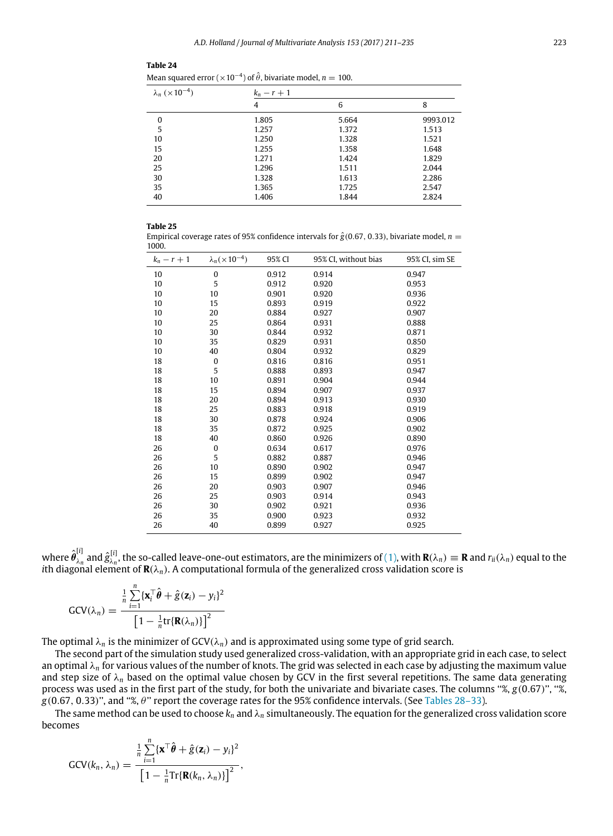| Mean squared error ( $\times 10^{-4}$ ) of $\hat{\theta}$ , bivariate model, $n = 100$ . |               |       |          |  |  |
|------------------------------------------------------------------------------------------|---------------|-------|----------|--|--|
| $\lambda_n$ (×10 <sup>-4</sup> )                                                         | $k_n - r + 1$ |       |          |  |  |
|                                                                                          | 4             | 6     | 8        |  |  |
| $\Omega$                                                                                 | 1.805         | 5.664 | 9993.012 |  |  |
| 5                                                                                        | 1.257         | 1.372 | 1.513    |  |  |
| 10                                                                                       | 1.250         | 1.328 | 1.521    |  |  |
| 15                                                                                       | 1.255         | 1.358 | 1.648    |  |  |
| 20                                                                                       | 1.271         | 1.424 | 1.829    |  |  |
| 25                                                                                       | 1.296         | 1.511 | 2.044    |  |  |
| 30                                                                                       | 1.328         | 1.613 | 2.286    |  |  |
| 35                                                                                       | 1.365         | 1.725 | 2.547    |  |  |
| 40                                                                                       | 1.406         | 1.844 | 2.824    |  |  |

<span id="page-13-0"></span>

Empirical coverage rates of 95% confidence intervals for  $\hat{g}$ (0.67, 0.33), bivariate model, *n* = 1000.

| $k_n-r+1$ | $\lambda_n(\times 10^{-4})$ | 95% CI | 95% CI, without bias | 95% CI, sim SE |
|-----------|-----------------------------|--------|----------------------|----------------|
| 10        | 0                           | 0.912  | 0.914                | 0.947          |
| 10        | 5                           | 0.912  | 0.920                | 0.953          |
| 10        | 10                          | 0.901  | 0.920                | 0.936          |
| 10        | 15                          | 0.893  | 0.919                | 0.922          |
| 10        | 20                          | 0.884  | 0.927                | 0.907          |
| 10        | 25                          | 0.864  | 0.931                | 0.888          |
| 10        | 30                          | 0.844  | 0.932                | 0.871          |
| 10        | 35                          | 0.829  | 0.931                | 0.850          |
| 10        | 40                          | 0.804  | 0.932                | 0.829          |
| 18        | 0                           | 0.816  | 0.816                | 0.951          |
| 18        | 5                           | 0.888  | 0.893                | 0.947          |
| 18        | 10                          | 0.891  | 0.904                | 0.944          |
| 18        | 15                          | 0.894  | 0.907                | 0.937          |
| 18        | 20                          | 0.894  | 0.913                | 0.930          |
| 18        | 25                          | 0.883  | 0.918                | 0.919          |
| 18        | 30                          | 0.878  | 0.924                | 0.906          |
| 18        | 35                          | 0.872  | 0.925                | 0.902          |
| 18        | 40                          | 0.860  | 0.926                | 0.890          |
| 26        | 0                           | 0.634  | 0.617                | 0.976          |
| 26        | 5                           | 0.882  | 0.887                | 0.946          |
| 26        | 10                          | 0.890  | 0.902                | 0.947          |
| 26        | 15                          | 0.899  | 0.902                | 0.947          |
| 26        | 20                          | 0.903  | 0.907                | 0.946          |
| 26        | 25                          | 0.903  | 0.914                | 0.943          |
| 26        | 30                          | 0.902  | 0.921                | 0.936          |
| 26        | 35                          | 0.900  | 0.923                | 0.932          |
| 26        | 40                          | 0.899  | 0.927                | 0.925          |

where  $\hat{\pmb{\theta}}_{\lambda n}^{[i]}$  $\frac{1}{\lambda_n}$  and  $\hat{g}^{[i]}_{\lambda_n}$  $\lambda_n$ , the so-called leave-one-out estimators, are the minimizers of [\(1\),](#page-3-2) with **R**( $\lambda_n$ )  $\equiv$  **R** and  $r_{ii}(\lambda_n)$  equal to the *i*th diagonal element of **R**(λ*n*). A computational formula of the generalized cross validation score is

$$
GCV(\lambda_n) = \frac{\frac{1}{n}\sum_{i=1}^n \{\mathbf{x}_i^\top \hat{\boldsymbol{\theta}} + \hat{g}(\mathbf{z}_i) - y_i\}^2}{\left[1 - \frac{1}{n} \text{tr}\{\mathbf{R}(\lambda_n)\}\right]^2}
$$

The optimal  $\lambda_n$  is the minimizer of  $GCV(\lambda_n)$  and is approximated using some type of grid search.

The second part of the simulation study used generalized cross-validation, with an appropriate grid in each case, to select an optimal λ*<sup>n</sup>* for various values of the number of knots. The grid was selected in each case by adjusting the maximum value and step size of  $\lambda_n$  based on the optimal value chosen by GCV in the first several repetitions. The same data generating process was used as in the first part of the study, for both the univariate and bivariate cases. The columns ''%, *g*(0.67)'', ''%, *g*(0.67, 0.33)'', and ''%, θ'' report the coverage rates for the 95% confidence intervals. (See [Tables 28–33\)](#page-15-0).

The same method can be used to choose  $k_n$  and  $\lambda_n$  simultaneously. The equation for the generalized cross validation score becomes

$$
GCV(k_n, \lambda_n) = \frac{\frac{1}{n} \sum_{i=1}^n {\{\mathbf{x}^\top \hat{\boldsymbol{\theta}} + \hat{g}(\mathbf{z}_i) - y_i\}^2}}{\left[1 - \frac{1}{n} \text{Tr}\{\mathbf{R}(k_n, \lambda_n)\}\right]^2},
$$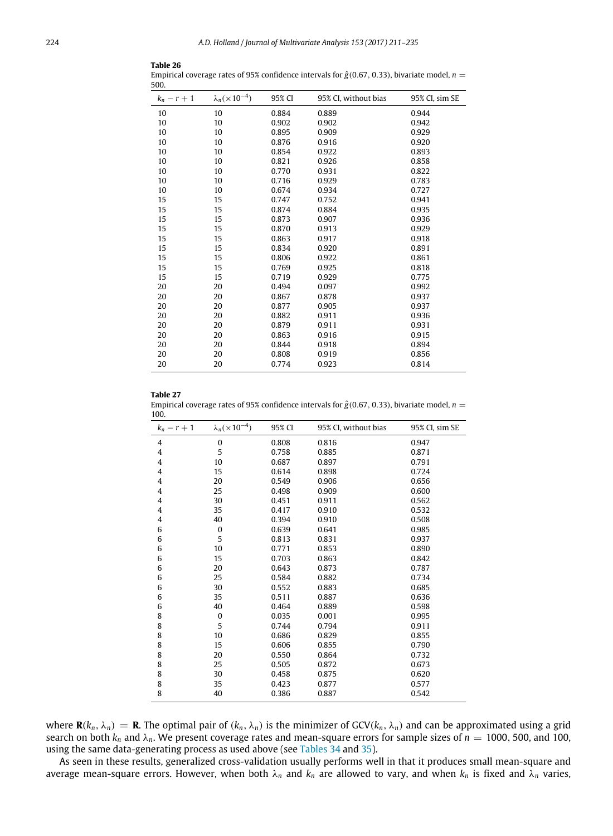| JUU.          |                             |        |                      |                |
|---------------|-----------------------------|--------|----------------------|----------------|
| $k_n - r + 1$ | $\lambda_n(\times 10^{-4})$ | 95% CI | 95% CI, without bias | 95% CI, sim SE |
| 10            | 10                          | 0.884  | 0.889                | 0.944          |
| 10            | 10                          | 0.902  | 0.902                | 0.942          |
| 10            | 10                          | 0.895  | 0.909                | 0.929          |
| 10            | 10                          | 0.876  | 0.916                | 0.920          |
| 10            | 10                          | 0.854  | 0.922                | 0.893          |
| 10            | 10                          | 0.821  | 0.926                | 0.858          |
| 10            | 10                          | 0.770  | 0.931                | 0.822          |
| 10            | 10                          | 0.716  | 0.929                | 0.783          |
| 10            | 10                          | 0.674  | 0.934                | 0.727          |
| 15            | 15                          | 0.747  | 0.752                | 0.941          |
| 15            | 15                          | 0.874  | 0.884                | 0.935          |
| 15            | 15                          | 0.873  | 0.907                | 0.936          |
| 15            | 15                          | 0.870  | 0.913                | 0.929          |
| 15            | 15                          | 0.863  | 0.917                | 0.918          |
| 15            | 15                          | 0.834  | 0.920                | 0.891          |
| 15            | 15                          | 0.806  | 0.922                | 0.861          |
| 15            | 15                          | 0.769  | 0.925                | 0.818          |
| 15            | 15                          | 0.719  | 0.929                | 0.775          |
| 20            | 20                          | 0.494  | 0.097                | 0.992          |
| 20            | 20                          | 0.867  | 0.878                | 0.937          |
| 20            | 20                          | 0.877  | 0.905                | 0.937          |
| 20            | 20                          | 0.882  | 0.911                | 0.936          |
| 20            | 20                          | 0.879  | 0.911                | 0.931          |
| 20            | 20                          | 0.863  | 0.916                | 0.915          |
| 20            | 20                          | 0.844  | 0.918                | 0.894          |
| 20            | 20                          | 0.808  | 0.919                | 0.856          |
| 20            | 20                          | 0.774  | 0.923                | 0.814          |
|               |                             |        |                      |                |

**Table 26**

Empirical coverage rates of 95% confidence intervals for  $\hat{g}$ (0.67, 0.33), bivariate model, *n* =  $500$ 

Empirical coverage rates of 95% confidence intervals for  $\hat{g}$ (0.67, 0.33), bivariate model, *n* = 100.

| $k_n-r+1$ | $\lambda_n(\times 10^{-4})$ | 95% CI | 95% CI, without bias | 95% CI, sim SE |
|-----------|-----------------------------|--------|----------------------|----------------|
| 4         | $\mathbf{0}$                | 0.808  | 0.816                | 0.947          |
| 4         | 5                           | 0.758  | 0.885                | 0.871          |
| 4         | 10                          | 0.687  | 0.897                | 0.791          |
| 4         | 15                          | 0.614  | 0.898                | 0.724          |
| 4         | 20                          | 0.549  | 0.906                | 0.656          |
| 4         | 25                          | 0.498  | 0.909                | 0.600          |
| 4         | 30                          | 0.451  | 0.911                | 0.562          |
| 4         | 35                          | 0.417  | 0.910                | 0.532          |
| 4         | 40                          | 0.394  | 0.910                | 0.508          |
| 6         | $\mathbf{0}$                | 0.639  | 0.641                | 0.985          |
| 6         | 5                           | 0.813  | 0.831                | 0.937          |
| 6         | 10                          | 0.771  | 0.853                | 0.890          |
| 6         | 15                          | 0.703  | 0.863                | 0.842          |
| 6         | 20                          | 0.643  | 0.873                | 0.787          |
| 6         | 25                          | 0.584  | 0.882                | 0.734          |
| 6         | 30                          | 0.552  | 0.883                | 0.685          |
| 6         | 35                          | 0.511  | 0.887                | 0.636          |
| 6         | 40                          | 0.464  | 0.889                | 0.598          |
| 8         | $\mathbf{0}$                | 0.035  | 0.001                | 0.995          |
| 8         | 5                           | 0.744  | 0.794                | 0.911          |
| 8         | 10                          | 0.686  | 0.829                | 0.855          |
| 8         | 15                          | 0.606  | 0.855                | 0.790          |
| 8         | 20                          | 0.550  | 0.864                | 0.732          |
| 8         | 25                          | 0.505  | 0.872                | 0.673          |
| 8         | 30                          | 0.458  | 0.875                | 0.620          |
| 8         | 35                          | 0.423  | 0.877                | 0.577          |
| 8         | 40                          | 0.386  | 0.887                | 0.542          |

where **R**( $k_n$ ,  $\lambda_n$ ) = **R**. The optimal pair of ( $k_n$ ,  $\lambda_n$ ) is the minimizer of GCV( $k_n$ ,  $\lambda_n$ ) and can be approximated using a grid search on both  $k_n$  and  $\lambda_n$ . We present coverage rates and mean-square errors for sample sizes of  $n = 1000$ , 500, and 100, using the same data-generating process as used above (see [Tables 34](#page-15-1) and [35\)](#page-16-1).

As seen in these results, generalized cross-validation usually performs well in that it produces small mean-square and average mean-square errors. However, when both  $\lambda_n$  and  $k_n$  are allowed to vary, and when  $k_n$  is fixed and  $\lambda_n$  varies,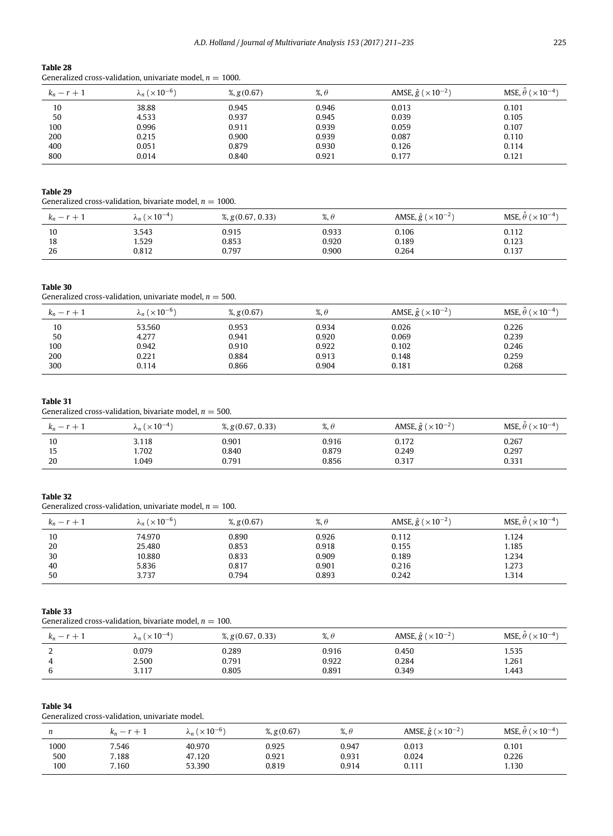<span id="page-15-0"></span>Generalized cross-validation, univariate model,  $n = 1000$ .

| $k_n - r + 1$ | $\lambda_n$ ( $\times$ 10 <sup>-6</sup> ) | %, $g(0.67)$ | $\%$ , $\theta$ | AMSE, $\hat{g}$ ( $\times$ 10 <sup>-2</sup> ) | MSE, $\hat{\theta}$ ( $\times$ 10 <sup>-4</sup> ) |
|---------------|-------------------------------------------|--------------|-----------------|-----------------------------------------------|---------------------------------------------------|
| 10            | 38.88                                     | 0.945        | 0.946           | 0.013                                         | 0.101                                             |
| 50            | 4.533                                     | 0.937        | 0.945           | 0.039                                         | 0.105                                             |
| 100           | 0.996                                     | 0.911        | 0.939           | 0.059                                         | 0.107                                             |
| 200           | 0.215                                     | 0.900        | 0.939           | 0.087                                         | 0.110                                             |
| 400           | 0.051                                     | 0.879        | 0.930           | 0.126                                         | 0.114                                             |
| 800           | 0.014                                     | 0.840        | 0.921           | 0.177                                         | 0.121                                             |

### **Table 29**

Generalized cross-validation, bivariate model,  $n = 1000$ .

| $\overline{\phantom{a}}$<br>$\overline{\phantom{0}}$<br>$\kappa_n$ | $n (1 \times 10^{-4})$<br>Λn. | $\frac{9}{2}$ , g(0.67, 0.33) | $\alpha$<br>%, U | AMSE, $\hat{g}$ ( $\times 10^{-2}$ ) | MSE, $\theta$ ( $\times$ 10 <sup>-4</sup> ) |
|--------------------------------------------------------------------|-------------------------------|-------------------------------|------------------|--------------------------------------|---------------------------------------------|
| 10                                                                 | 3.543                         | 0.915                         | 0.933            | 0.106                                | 0.112                                       |
| 18                                                                 | 1.529                         | 0.853                         | 0.920            | 0.189                                | 0.123                                       |
| 26                                                                 | 0.812                         | 0.797                         | 0.900            | 0.264                                | 0.137                                       |

#### **Table 30**

Generalized cross-validation, univariate model,  $n = 500$ .

| $k_n - r + 1$ | $\lambda_n$ ( $\times 10^{-6}$ ) | $\frac{9}{2}$ , g(0.67) | $\%$ , $\theta$ | AMSE, $\hat{g}$ ( $\times$ 10 <sup>-2</sup> ) | MSE, $\theta$ ( $\times$ 10 <sup>-4</sup> ) |
|---------------|----------------------------------|-------------------------|-----------------|-----------------------------------------------|---------------------------------------------|
| 10            | 53.560                           | 0.953                   | 0.934           | 0.026                                         | 0.226                                       |
| 50            | 4.277                            | 0.941                   | 0.920           | 0.069                                         | 0.239                                       |
| 100           | 0.942                            | 0.910                   | 0.922           | 0.102                                         | 0.246                                       |
| 200           | 0.221                            | 0.884                   | 0.913           | 0.148                                         | 0.259                                       |
| 300           | 0.114                            | 0.866                   | 0.904           | 0.181                                         | 0.268                                       |

## **Table 31**

Generalized cross-validation, bivariate model,  $n = 500$ .

| $k_n - r + 1$ | $\lambda_n$ ( $\times$ 10 <sup>-4</sup> ) | %, $g(0.67, 0.33)$ | $\%$ , $\theta$ | AMSE, $\hat{g}$ ( $\times 10^{-2}$ ) | MSE, $\theta$ ( $\times$ 10 <sup>-4</sup> ) |
|---------------|-------------------------------------------|--------------------|-----------------|--------------------------------------|---------------------------------------------|
| 10            | 3.118                                     | 0.901              | 0.916           | 0.172                                | 0.267                                       |
| 15            | 1.702                                     | 0.840              | 0.879           | 0.249                                | 0.297                                       |
| 20            | .049                                      | 0.791              | 0.856           | 0.317                                | 0.331                                       |

## **Table 32**

Generalized cross-validation, univariate model,  $n = 100$ .

| $k_n - r + 1$ | $\lambda_n$ ( $\times$ 10 <sup>-6</sup> ) | $\frac{9}{2}$ , g(0.67) | $\%$ , $\theta$ | AMSE, $\hat{g}$ ( $\times$ 10 <sup>-2</sup> ) | MSE, $\hat{\theta}$ ( $\times$ 10 <sup>-4</sup> ) |
|---------------|-------------------------------------------|-------------------------|-----------------|-----------------------------------------------|---------------------------------------------------|
| 10            | 74.970                                    | 0.890                   | 0.926           | 0.112                                         | 1.124                                             |
| 20            | 25.480                                    | 0.853                   | 0.918           | 0.155                                         | 1.185                                             |
| 30            | 10.880                                    | 0.833                   | 0.909           | 0.189                                         | 1.234                                             |
| 40            | 5.836                                     | 0.817                   | 0.901           | 0.216                                         | 1.273                                             |
| 50            | 3.737                                     | 0.794                   | 0.893           | 0.242                                         | 1.314                                             |

## <span id="page-15-2"></span>**Table 33**

Generalized cross-validation, bivariate model,  $n = 100$ .

| $k_n-r+1$ | $\lambda_n (\times 10^{-4})$ | $\frac{9}{2}$ , g(0.67, 0.33) | $\%$ , $\theta$ | AMSE, $\hat{g}$ ( $\times 10^{-2}$ ) | MSE, $\hat{\theta}$ ( $\times$ 10 <sup>-4</sup> ) |
|-----------|------------------------------|-------------------------------|-----------------|--------------------------------------|---------------------------------------------------|
| <b>L</b>  | 0.079                        | 0.289                         | 0.916           | 0.450                                | 1.535                                             |
|           | 2.500                        | 0.791                         | 0.922           | 0.284                                | 1.261                                             |
|           | 3.117                        | 0.805                         | 0.891           | 0.349                                | .443                                              |

## <span id="page-15-1"></span>**Table 34**

Generalized cross-validation, univariate model.

| n    | $r + 1$<br>$k_n-r$ | $\lambda_n$ ( $\times$ 10 <sup>-6</sup> ) | %, $g(0.67)$ | $\%$ , $\theta$ | AMSE, $\hat{g}$ ( $\times$ 10 <sup>-2</sup> ) | MSE, $\theta$ ( $\times$ 10 <sup>-4</sup> ) |
|------|--------------------|-------------------------------------------|--------------|-----------------|-----------------------------------------------|---------------------------------------------|
| 1000 | 7.546              | 40.970                                    | 0.925        | 0.947           | 0.013                                         | 0.101                                       |
| 500  | 7.188              | 47.120                                    | 0.921        | 0.931           | 0.024                                         | 0.226                                       |
| 100  | 7.160              | 53.390                                    | 0.819        | 0.914           | 0.111                                         | 1.130                                       |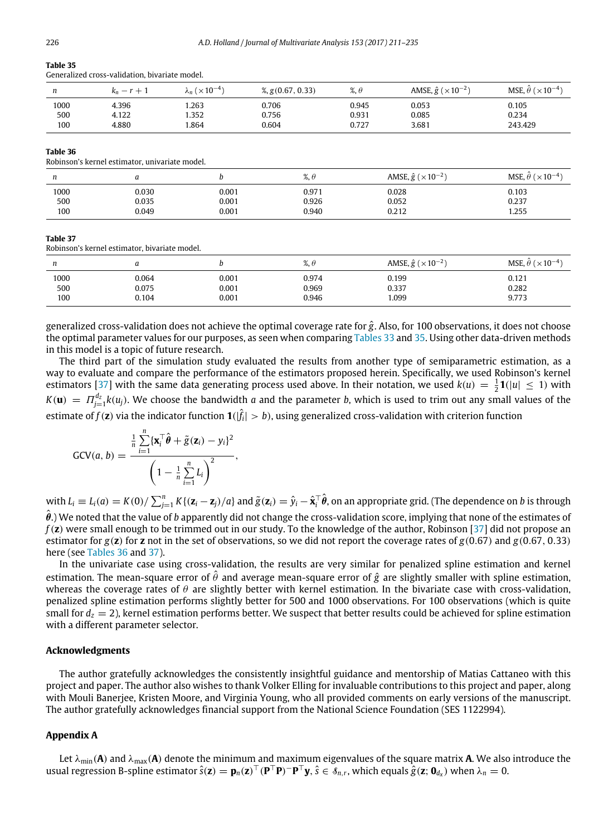<span id="page-16-1"></span>Generalized cross-validation, bivariate model.

| n    | $r +$ .<br>$\kappa_n-r$ | $\mathcal{M}_n$ ( $\times 10^{-4}$ ) | $\frac{9}{2}$ , g(0.67, 0.33) | $\%$ , $\theta$ | AMSE, $\hat{g}$ ( $\times$ 10 <sup>-2</sup> ) | MSE, $\theta$ ( $\times$ 10 <sup>-4</sup> ) |
|------|-------------------------|--------------------------------------|-------------------------------|-----------------|-----------------------------------------------|---------------------------------------------|
| 1000 | 4.396                   | .263                                 | 0.706                         | 0.945           | 0.053                                         | 0.105                                       |
| 500  | 4.122                   | 1.352                                | 0.756                         | 0.931           | 0.085                                         | 0.234                                       |
| 100  | 4.880                   | .864                                 | 0.604                         | 0.727           | 3.681                                         | 243.429                                     |

#### <span id="page-16-2"></span>**Table 36**

Robinson's kernel estimator, univariate model.

| n                  |                         |                         | 07<br>%. t              | AMSE, $\hat{g}$ ( $\times$ 10 <sup>-2</sup> ) | MSE, $\hat{\theta}$ ( $\times$ 10 <sup>-4</sup> ) |
|--------------------|-------------------------|-------------------------|-------------------------|-----------------------------------------------|---------------------------------------------------|
| 1000<br>500<br>100 | 0.030<br>0.035<br>0.049 | 0.001<br>0.001<br>0.001 | 0.971<br>0.926<br>0.940 | 0.028<br>0.052<br>0.212                       | 0.103<br>0.237<br>.255                            |

#### <span id="page-16-3"></span>**Table 37**

Robinson's kernel estimator, bivariate model.

| n    |       |       | %.6   | AMSE, $\hat{g}$ ( $\times$ 10 <sup>-2</sup> ) | MSE, $\theta$ ( $\times$ 10 <sup>-4</sup> ) |
|------|-------|-------|-------|-----------------------------------------------|---------------------------------------------|
| 1000 | 0.064 | 0.001 | 0.974 | 0.199                                         | 0.121                                       |
| 500  | 0.075 | 0.001 | 0.969 | 0.337                                         | 0.282                                       |
| 100  | 0.104 | 0.001 | 0.946 | 1.099                                         | 9.773                                       |

generalized cross-validation does not achieve the optimal coverage rate for *g*ˆ. Also, for 100 observations, it does not choose the optimal parameter values for our purposes, as seen when comparing [Tables 33](#page-15-2) and [35.](#page-16-1) Using other data-driven methods in this model is a topic of future research.

The third part of the simulation study evaluated the results from another type of semiparametric estimation, as a way to evaluate and compare the performance of the estimators proposed herein. Specifically, we used Robinson's kernel estimators [\[37\]](#page-25-4) with the same data generating process used above. In their notation, we used  $k(u) = \frac{1}{2}$ **1**( $|u| \le 1$ ) with  $K(u) = \Pi_{j=1}^{d_Z} k(u_j)$ . We choose the bandwidth *a* and the parameter *b*, which is used to trim out any small values of the estimate of  $f(\mathbf{z})$  via the indicator function  $\mathbf{1}(|\hat{f}_i|>b)$ , using generalized cross-validation with criterion function

$$
GCV(a, b) = \frac{\frac{1}{n}\sum_{i=1}^{n} {\{\mathbf{x}_i^{\top}\hat{\boldsymbol{\theta}} + \tilde{g}(\mathbf{z}_i) - y_i\}^2}}{\left(1 - \frac{1}{n}\sum_{i=1}^{n} L_i\right)^2},
$$

with  $L_i\equiv L_i(a)=K(0)/\sum_{j=1}^nK\{(\mathbf{Z}_i-\mathbf{Z}_j)/a\}$  and  $\tilde{g}(\mathbf{Z}_i)=\hat{y}_i-\hat{\mathbf{x}}_i^\top\hat{\pmb{\theta}},$  on an appropriate grid. (The dependence on  $b$  is through  $\hat{\theta}$ .) We noted that the value of *b* apparently did not change the cross-validation score, implying that none of the estimates of *f*(**z**) were small enough to be trimmed out in our study. To the knowledge of the author, Robinson [\[37\]](#page-25-4) did not propose an estimator for *g*(**z**) for **z** not in the set of observations, so we did not report the coverage rates of *g*(0.67) and *g*(0.67, 0.33) here (see [Tables 36](#page-16-2) and [37\)](#page-16-3).

In the univariate case using cross-validation, the results are very similar for penalized spline estimation and kernel estimation. The mean-square error of  $\hat{\theta}$  and average mean-square error of  $\hat{g}$  are slightly smaller with spline estimation, whereas the coverage rates of  $\theta$  are slightly better with kernel estimation. In the bivariate case with cross-validation, penalized spline estimation performs slightly better for 500 and 1000 observations. For 100 observations (which is quite small for  $d_z = 2$ ), kernel estimation performs better. We suspect that better results could be achieved for spline estimation with a different parameter selector.

## **Acknowledgments**

The author gratefully acknowledges the consistently insightful guidance and mentorship of Matias Cattaneo with this project and paper. The author also wishes to thank Volker Elling for invaluable contributions to this project and paper, along with Mouli Banerjee, Kristen Moore, and Virginia Young, who all provided comments on early versions of the manuscript. The author gratefully acknowledges financial support from the National Science Foundation (SES 1122994).

## <span id="page-16-0"></span>**Appendix A**

Let  $\lambda_{\min}(A)$  and  $\lambda_{\max}(A)$  denote the minimum and maximum eigenvalues of the square matrix A. We also introduce the usual regression B-spline estimator  $\hat{s}(z) = p_n(z)^\top (P^\top P)^{-}P^\top y$ ,  $\hat{s} \in \mathcal{S}_{n,r}$ , which equals  $\hat{g}(z; \mathbf{0}_{d_x})$  when  $\lambda_n = 0$ .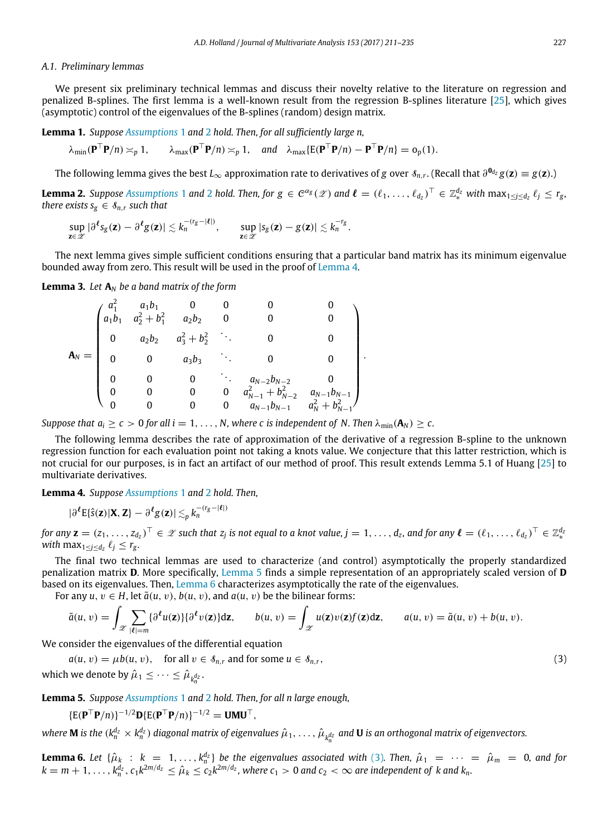### *A.1. Preliminary lemmas*

We present six preliminary technical lemmas and discuss their novelty relative to the literature on regression and penalized B-splines. The first lemma is a well-known result from the regression B-splines literature [\[25\]](#page-25-27), which gives (asymptotic) control of the eigenvalues of the B-splines (random) design matrix.

**Lemma 1.** *Suppose [Assumptions](#page-3-1)* 1 and [2](#page-3-3) *hold. Then, for all sufficiently large n,*

<span id="page-17-4"></span> $\lambda_{\min}(\mathbf{P}^{\top}\mathbf{P}/n) \asymp_{p} 1, \quad \lambda_{\max}(\mathbf{P}^{\top}\mathbf{P}/n) \asymp_{p} 1, \quad \text{and} \quad \lambda_{\max}(\mathbf{E}(\mathbf{P}^{\top}\mathbf{P}/n) - \mathbf{P}^{\top}\mathbf{P}/n) = o_{p}(1).$ 

<span id="page-17-5"></span>The following lemma gives the best  $L_\infty$  approximation rate to derivatives of  $g$  over  $s_{n,r}.$  (Recall that  $\partial^{\bm{0}_{d_Z}}g(\bm{z})\equiv g(\bm{z}).$ )

**Lemma [2](#page-3-3).** Suppose [Assumptions](#page-3-1) 1 and 2 hold. Then, for  $g \in C^{\alpha_g}(\mathscr{Z})$  and  $\ell = (\ell_1, \ldots, \ell_{d_z})^\top \in \mathbb{Z}^{d_z}_*$  with  $\max_{1 \leq j \leq d_z} \ell_j \leq r_g$ , *there exists*  $s_g \in \mathcal{S}_{n,r}$  *such that* 

$$
\sup_{\mathbf{z}\in\mathscr{Z}}|\partial^\ell s_g(\mathbf{z})-\partial^\ell g(\mathbf{z})|\lesssim k_n^{-(r_g-|\ell|)},\qquad \sup_{\mathbf{z}\in\mathscr{Z}}|s_g(\mathbf{z})-g(\mathbf{z})|\lesssim k_n^{-r_g}.
$$

The next lemma gives simple sufficient conditions ensuring that a particular band matrix has its minimum eigenvalue bounded away from zero. This result will be used in the proof of [Lemma 4.](#page-17-2)

**Lemma 3.** Let  $A_N$  be a band matrix of the form

<span id="page-17-6"></span>

|             | $a_1b_1$ | $a_1b_1$ | $a_2^2 + b_1^2$ $a_2b_2$ 0 |                                         |                         |                                   |  |
|-------------|----------|----------|----------------------------|-----------------------------------------|-------------------------|-----------------------------------|--|
|             | $\bf{0}$ | $a_2b_2$ | $a_3^2 + b_2^2$ .          |                                         |                         |                                   |  |
| ${\bf A}_N$ |          |          | $a_3b_3$                   | $\mathcal{L}^{\text{max}}_{\text{max}}$ |                         |                                   |  |
|             |          |          |                            |                                         | $a_{N-2}b_{N-2}$        |                                   |  |
|             |          |          | 0                          | 0                                       | $a_{N-1}^2 + b_{N-2}^2$ | $a_{N-1}$ <i>b</i> <sub>N-1</sub> |  |
|             |          |          | 0                          | 0                                       | $a_{N-1} b_{N-1}$       | $a_N^2 + b_{N-1}^2$               |  |

*Suppose that*  $a_i > c > 0$  *for all*  $i = 1, ..., N$ *, where c is independent of N. Then*  $\lambda_{\min}(\mathbf{A}_N) > c$ .

The following lemma describes the rate of approximation of the derivative of a regression B-spline to the unknown regression function for each evaluation point not taking a knots value. We conjecture that this latter restriction, which is not crucial for our purposes, is in fact an artifact of our method of proof. This result extends Lemma 5.1 of Huang [\[25\]](#page-25-27) to multivariate derivatives.

**Lemma 4.** *Suppose [Assumptions](#page-3-1)* 1 and [2](#page-3-3) *hold. Then,*

<span id="page-17-2"></span>
$$
|\partial^{\ell} E\{\hat{s}(\mathbf{z})|\mathbf{X},\mathbf{Z}\} - \partial^{\ell} g(\mathbf{z})| \lesssim_{p} k_n^{-(r_g - |\ell|)}
$$

for any  $\mathbf{z}=(z_1,\ldots,z_{d_2})^\top\in\mathscr{Z}$  such that  $z_j$  is not equal to a knot value,  $j=1,\ldots,d_z$ , and for any  $\boldsymbol{\ell}=(\ell_1,\ldots,\ell_{d_2})^\top\in\mathbb{Z}_*^{d_2}$  $with \max_{1 \leq j \leq d_z} \ell_j \leq r_g$ .

The final two technical lemmas are used to characterize (and control) asymptotically the properly standardized penalization matrix **D**. More specifically, [Lemma 5](#page-17-0) finds a simple representation of an appropriately scaled version of **D** based on its eigenvalues. Then, [Lemma 6](#page-17-1) characterizes asymptotically the rate of the eigenvalues.

For any  $u, v \in H$ , let  $\tilde{a}(u, v)$ ,  $b(u, v)$ , and  $a(u, v)$  be the bilinear forms:

$$
\tilde{a}(u, v) = \int_{\mathscr{Z}} \sum_{|\ell|=m} {\partial^{\ell} u(\mathbf{z})} {\partial^{\ell} v(\mathbf{z})} d\mathbf{z}, \qquad b(u, v) = \int_{\mathscr{Z}} u(\mathbf{z}) v(\mathbf{z}) f(\mathbf{z}) d\mathbf{z}, \qquad a(u, v) = \tilde{a}(u, v) + b(u, v).
$$

We consider the eigenvalues of the differential equation

 $a(u, v) = \mu b(u, v)$ , for all  $v \in \mathcal{S}_{n,r}$  and for some  $u \in \mathcal{S}_{n,r}$ , (3) which we denote by  $\hat{\mu}_1 \leq \cdots \leq \hat{\mu}_{k_n^{d_z}}$ .

**Lemma 5.** *Suppose [Assumptions](#page-3-1)* 1 and [2](#page-3-3) *hold. Then, for all n large enough,*

<span id="page-17-1"></span><span id="page-17-0"></span>
$$
\{\mathsf{E}(\mathbf{P}^{\top}\mathbf{P}/n)\}^{-1/2}\mathbf{D}\{\mathsf{E}(\mathbf{P}^{\top}\mathbf{P}/n)\}^{-1/2} = \mathbf{U}\mathbf{M}\mathbf{U}^{\top}
$$

where **M** is the  $(k_n^{d_2} \times k_n^{d_2})$  diagonal matrix of eigenvalues  $\hat{\mu}_1,\ldots,\hat{\mu}_{k_n^{d_2}}$  and **U** is an orthogonal matrix of eigenvectors.

<span id="page-17-3"></span>,

**Lemma 6.** Let  $\{\hat{\mu}_k : k = 1, ..., k_n^{d_z}\}$  be the eigenvalues associated with [\(3\)](#page-17-3). Then,  $\hat{\mu}_1 = \cdots = \hat{\mu}_m = 0$ , and for  $k=m+1,\ldots,k_n^{d_z},$   $c_1k^{2m/d_z}\leq \hat{\mu}_k\leq c_2k^{2m/d_z}$ , where  $c_1>0$  and  $c_2<\infty$  are independent of k and  $k_n$ .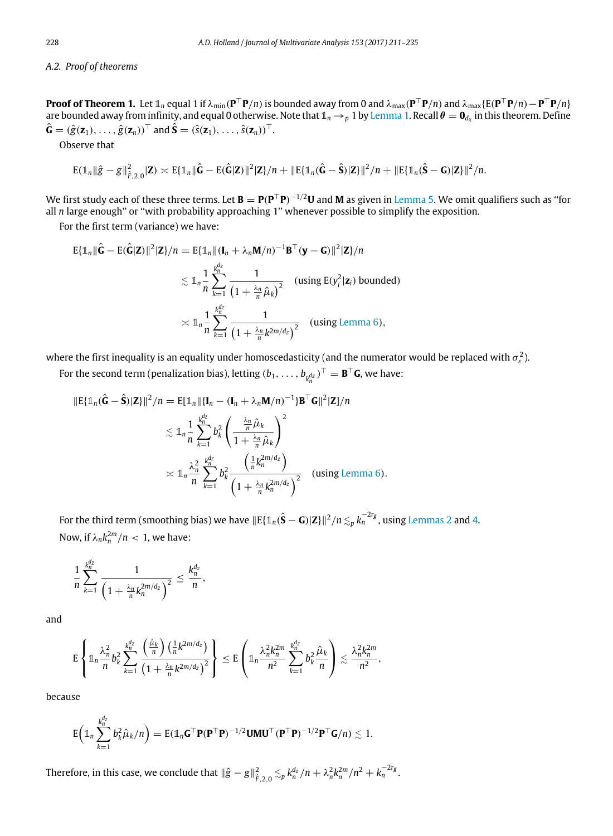## *A.2. Proof of theorems*

**Proof of Theorem 1.** Let  $\mathbb{1}_n$  equal 1 if  $\lambda_{\min}(\mathbf{P}^\top \mathbf{P}/n)$  is bounded away from 0 and  $\lambda_{\max}(\mathbf{P}^\top \mathbf{P}/n)$  and  $\lambda_{\max} \{ \mathrm{E}(\mathbf{P}^\top \mathbf{P}/n) - \mathbf{P}^\top \mathbf{P}/n \}$ are bounded away from infinity, and equal 0 otherwise. Note that  $\mathbb{1}_n\to_p1$  by [Lemma 1.](#page-17-4) Recall  $\theta=\bm{0}_{d_x}$  in this theorem. Define  $\hat{\mathbf{G}} = (\hat{g}(\mathbf{z}_1), \dots, \hat{g}(\mathbf{z}_n))^{\top}$  and  $\hat{\mathbf{S}} = (\hat{s}(\mathbf{z}_1), \dots, \hat{s}(\mathbf{z}_n))^{\top}$ .

Observe that

$$
\mathrm{E}(\mathbb{1}_n\|\hat{g}-g\|_{\hat{F},2,0}^2|\mathbf{Z})\asymp \mathrm{E}\{\mathbb{1}_n\|\hat{G}-\mathrm{E}(\hat{G}|\mathbf{Z})\|^2|\mathbf{Z}\}/n+\|\mathrm{E}\{\mathbb{1}_n(\hat{G}-\hat{S})|\mathbf{Z}\}\|^2/n+\|\mathrm{E}\{\mathbb{1}_n(\hat{S}-G)|\mathbf{Z}\}\|^2/n.
$$

We first study each of these three terms. Let **B** = **P**(**P** <sup>⊤</sup>**P**) <sup>−</sup>1/2**U** and **M** as given in [Lemma 5.](#page-17-0) We omit qualifiers such as ''for all *n* large enough'' or ''with probability approaching 1'' whenever possible to simplify the exposition.

For the first term (variance) we have:

$$
\begin{aligned} \mathrm{E}\{\mathbb{1}_n\|\hat{\mathbf{G}}-\mathrm{E}(\hat{\mathbf{G}}|\mathbf{Z})\|^2|\mathbf{Z}\}/n &= \mathrm{E}\{\mathbb{1}_n\|(\mathbf{I}_n+\lambda_n\mathbf{M}/n)^{-1}\mathbf{B}^\top(\mathbf{y}-\mathbf{G})\|^2|\mathbf{Z}\}/n \\ &\lesssim \mathbb{1}_n\frac{1}{n}\sum_{k=1}^{k_n^{\mathbf{d}_2}}\frac{1}{\left(1+\frac{\lambda_n}{n}\hat{\mu}_k\right)^2} \quad \text{(using } \mathrm{E}(y_i^2|\mathbf{z}_i) \text{ bounded}) \\ &\asymp \mathbb{1}_n\frac{1}{n}\sum_{k=1}^{k_n^{\mathbf{d}_2}}\frac{1}{\left(1+\frac{\lambda_n}{n}k^{2m/d_2}\right)^2} \quad \text{(using Lemma 6)}, \end{aligned}
$$

where the first inequality is an equality under homoscedasticity (and the numerator would be replaced with  $\sigma_\varepsilon^2$ ).

For the second term (penalization bias), letting  $(b_1, \ldots, b_{k_n^{d_z}})^\top = \mathbf{B}^\top \mathbf{G}$ , we have:

$$
\|\mathbf{E}\{\mathbb{1}_{n}(\hat{\mathbf{G}}-\hat{\mathbf{S}})|\mathbf{Z}\}\|^{2}/n=\mathbf{E}[\mathbb{1}_{n}\|\{\mathbf{I}_{n}-(\mathbf{I}_{n}+\lambda_{n}\mathbf{M}/n)^{-1}\}\mathbf{B}^{\top}\mathbf{G}\|^{2}|\mathbf{Z}]/n
$$
  

$$
\lesssim \mathbb{1}_{n}\frac{1}{n}\sum_{k=1}^{k_{n}^{d_{2}}}b_{k}^{2}\left(\frac{\frac{\lambda_{n}}{n}\hat{\mu}_{k}}{1+\frac{\lambda_{n}}{n}\hat{\mu}_{k}}\right)^{2}
$$

$$
\asymp \mathbb{1}_{n}\frac{\lambda_{n}^{2}}{n}\sum_{k=1}^{k_{n}^{d_{2}}}b_{k}^{2}\frac{\left(\frac{1}{n}k_{n}^{2m/d_{2}}\right)}{\left(1+\frac{\lambda_{n}}{n}k_{n}^{2m/d_{2}}\right)^{2}} \quad \text{(using Lemma 6)}.
$$

For the third term (smoothing bias) we have  $\|E\{{1\!\!1}_n(\hat{\bf S}-\bf G)|{\bf Z}\}|^2/n \lesssim_p k_n^{-2r_g}$ , using [Lemmas 2](#page-17-5) and [4.](#page-17-2) Now, if  $\lambda_n k_n^{2m}/n < 1$ , we have:

$$
\frac{1}{n}\sum_{k=1}^{k_n^{d_2}}\frac{1}{\left(1+\frac{\lambda_n}{n}k_n^{2m/d_2}\right)^2}\leq \frac{k_n^{d_2}}{n},
$$

and

$$
\mathrm{E}\left\{\mathbb{1}_n\frac{\lambda_n^2}{n}b_k^2\sum_{k=1}^{k_n^d}\frac{\left(\frac{\hat\mu_k}{n}\right)\left(\frac{1}{n}k^{2m/d_2}\right)}{\left(1+\frac{\lambda_n}{n}k^{2m/d_2}\right)^2}\right\}\leq \mathrm{E}\left(\mathbb{1}_n\frac{\lambda_n^2k_n^{2m}}{n^2}\sum_{k=1}^{k_n^d}b_k^2\frac{\hat\mu_k}{n}\right)\lesssim \frac{\lambda_n^2k_n^{2m}}{n^2},
$$

because

$$
E\left(\mathbb{1}_n\sum_{k=1}^{k_n^{d_Z}} b_k^2 \hat{\mu}_k/n\right)=E(\mathbb{1}_n\mathbf{G}^\top \mathbf{P}(\mathbf{P}^\top \mathbf{P})^{-1/2}\mathbf{U}\mathbf{M}\mathbf{U}^\top(\mathbf{P}^\top \mathbf{P})^{-1/2}\mathbf{P}^\top \mathbf{G}/n)\lesssim 1.
$$

Therefore, in this case, we conclude that  $\|\hat{g}-g\|_{\hat{F},2,0}^2 \lesssim_p k_n^{d_{\mathbb{Z}}}/n + \lambda_n^2 k_n^{2m}/n^2 + k_n^{-2r_g}.$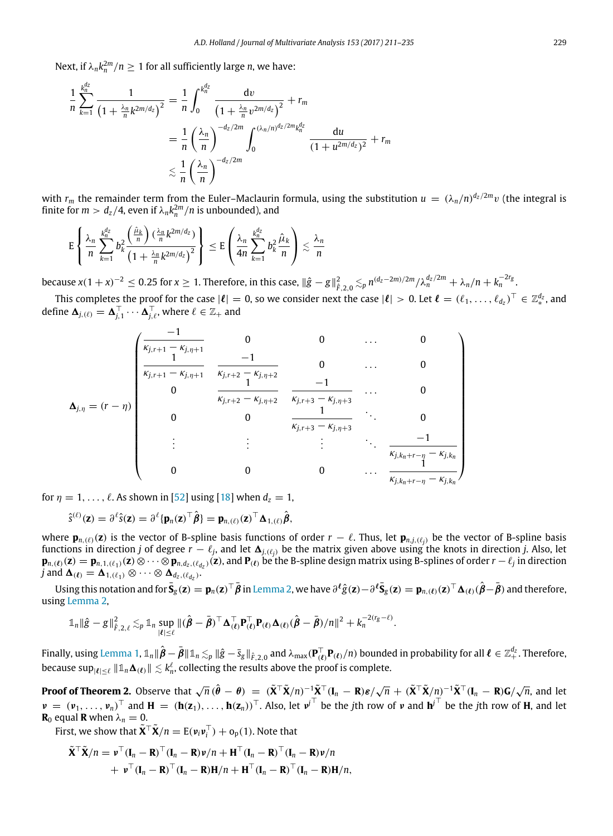Next, if  $\lambda_n k_n^{2m}/n \geq 1$  for all sufficiently large *n*, we have:

$$
\frac{1}{n} \sum_{k=1}^{k_n^{d_2}} \frac{1}{\left(1 + \frac{\lambda_n}{n} k^{2m/d_2}\right)^2} = \frac{1}{n} \int_0^{k_n^{d_2}} \frac{dv}{\left(1 + \frac{\lambda_n}{n} v^{2m/d_2}\right)^2} + r_m
$$
\n
$$
= \frac{1}{n} \left(\frac{\lambda_n}{n}\right)^{-d_2/2m} \int_0^{(\lambda_n/n)^{d_2/2m} k_n^{d_2}} \frac{du}{\left(1 + u^{2m/d_2}\right)^2} + r_m
$$
\n
$$
\lesssim \frac{1}{n} \left(\frac{\lambda_n}{n}\right)^{-d_2/2m}
$$

with  $r_m$  the remainder term from the Euler–Maclaurin formula, using the substitution  $u = (\lambda_n/n)^{d_z/2m}v$  (the integral is finite for  $m > d_z/4$ , even if  $\lambda_n k_n^{2m}/n$  is unbounded), and

$$
\mathrm{E}\left\{\frac{\lambda_n}{n}\sum_{k=1}^{\frac{\ell_n^d}{n}}b_k^2\frac{\left(\frac{\hat{\mu}_k}{n}\right)(\frac{\lambda_n}{n}k^{2m/d_z})}{\left(1+\frac{\lambda_n}{n}k^{2m/d_z}\right)^2}\right\}\leq \mathrm{E}\left(\frac{\lambda_n}{4n}\sum_{k=1}^{\frac{\ell_n^d}{n}}b_k^2\frac{\hat{\mu}_k}{n}\right)\lesssim \frac{\lambda_n}{n}
$$

because  $x(1+x)^{-2} \le 0.25$  for  $x \ge 1$ . Therefore, in this case,  $\|\hat{g}-g\|_{\hat{F},2,0}^2 \lesssim_p n^{(d_Z-2m)/2m}/\lambda_n^{d_Z/2m} + \lambda_n/n + k_n^{-2r_g}$ .

This completes the proof for the case  $|\ell|=0$ , so we consider next the case  $|\ell|>0$ . Let  $\ell=(\ell_1,\ldots,\ell_{d_z})^\top\in\mathbb{Z}_*^{d_z}$ , and define  $\Delta_{j,(\ell)} = \Delta_{j,1}^\top \cdots \Delta_{j,\ell}^\top$ , where  $\ell \in \mathbb{Z}_+$  and

$$
\Delta_{j,\eta} = (r - \eta) \begin{pmatrix}\n\frac{-1}{\kappa_{j,r+1} - \kappa_{j,\eta+1}} & 0 & 0 & \dots & 0 \\
\frac{1}{\kappa_{j,r+1} - \kappa_{j,\eta+1}} & \frac{-1}{\kappa_{j,r+2} - \kappa_{j,\eta+2}} & 0 & \dots & 0 \\
0 & \frac{1}{\kappa_{j,r+2} - \kappa_{j,\eta+2}} & \frac{-1}{\kappa_{j,r+3} - \kappa_{j,\eta+3}} & \dots & 0 \\
0 & 0 & \frac{1}{\kappa_{j,r+3} - \kappa_{j,\eta+3}} & \ddots & 0 \\
\vdots & \vdots & \vdots & \ddots & \frac{-1}{\kappa_{j,k_n+r-\eta} - \kappa_{j,k_n}} \\
0 & 0 & 0 & \dots & \frac{1}{\kappa_{j,k_n+r-\eta} - \kappa_{j,k_n}}\n\end{pmatrix}
$$

for  $\eta = 1, \ldots, \ell$ . As shown in [\[52\]](#page-25-26) using [\[18\]](#page-25-20) when  $d_z = 1$ ,

$$
\hat{s}^{(\ell)}(\mathbf{z}) = \partial^{\ell} \hat{s}(\mathbf{z}) = \partial^{\ell} \{ \mathbf{p}_n(\mathbf{z})^{\top} \hat{\boldsymbol{\beta}} \} = \mathbf{p}_{n,(\ell)}(\mathbf{z})^{\top} \Delta_{1,(\ell)} \hat{\boldsymbol{\beta}},
$$

where  $\mathbf{p}_{n,(l)}(\mathbf{z})$  is the vector of B-spline basis functions of order  $r - l$ . Thus, let  $\mathbf{p}_{n,j,(l_j)}$  be the vector of B-spline basis functions in direction *j* of degree  $r - \ell_j$ , and let  $\Delta_{j,(\ell_j)}$  be the matrix given above using the knots in direction *j*. Also, let  $\mathbf{p}_{n,(\ell)}(\mathbf{z})=\mathbf{p}_{n,1,(\ell_1)}(\mathbf{z})\otimes\cdots\otimes\mathbf{p}_{n,d_z,(\ell_{d_z})}(\mathbf{z})$ , and  $\mathbf{P}_{(\ell)}$  be the B-spline design matrix using B-splines of order  $r-\ell_j$  in direction *j* and  $\mathbf{\Delta}_{(\ell)} = \mathbf{\Delta}_{1,(\ell_1)} \otimes \cdots \otimes \mathbf{\Delta}_{d_z,(\ell_{d_z})}$ .

Using this notation and for  $\bar{\mathbf{S}}_{g}(\mathbf{z})=\mathbf{p}_{n}(\mathbf{z})^{\top}\bar{\pmb{\beta}}$  in [Lemma 2,](#page-17-5) we have  $\partial^{\ell}\hat{g}(\mathbf{z})-\partial^{\ell}\bar{\mathbf{S}}_{g}(\mathbf{z})=\mathbf{p}_{n,(\ell)}(\mathbf{z})^{\top}\boldsymbol{\Delta}_{(\ell)}(\hat{\pmb{\beta}}-\bar{\pmb{\beta}})$  and therefore, using [Lemma 2,](#page-17-5)

$$
\mathbb{1}_{n} \|\hat{g}-g\|_{\hat{F},2,\ell}^{2} \lesssim_{p} \mathbb{1}_{n} \sup_{|\ell| \leq \ell} \|(\hat{\beta}-\bar{\beta})^{\top} \Delta_{(\ell)}^{\top} \mathbf{P}_{(\ell)}^{\top} \mathbf{P}_{(\ell)} \Delta_{(\ell)}(\hat{\beta}-\bar{\beta})/n\|^{2} + k_{n}^{-2(r_{g}-\ell)}.
$$

Finally, using [Lemma 1,](#page-17-4)  $\mathbb{1}_n\|\hat{\bm{\beta}}-\bar{\bm{\beta}}\|\mathbb{1}_n\lesssim_p\|\hat{\bm{g}}-\bar{\bm{s}}_{\bm{g}}\|_{\hat{F},2,0}$  and  $\lambda_{\max}(\bm{\mathsf{P}}_{(\bm{\ell})}^{\top}\bm{\mathsf{P}}_{(\bm{\ell})}/n)$  bounded in probability for all  $\bm{\ell}\in\mathbb{Z}_+^{d_{\bm{Z}}}$ . Therefore, because  $\sup_{|\ell|\leq \ell}\|\mathbb{1}_n\bm{\Delta}_{(\ell)}\|\lesssim k_n^\ell,$  collecting the results above the proof is complete.

**Proof of Theorem 2.** Observe that  $\sqrt{n}(\hat{\theta}-\theta) = (\tilde{\mathbf{X}}^{\top}\tilde{\mathbf{X}}/n)^{-1}\tilde{\mathbf{X}}^{\top}(\mathbf{I}_n-\mathbf{R})\boldsymbol{\varepsilon}/\sqrt{n} + (\tilde{\mathbf{X}}^{\top}\tilde{\mathbf{X}}/n)^{-1}\tilde{\mathbf{X}}^{\top}(\mathbf{I}_n-\mathbf{R})\mathbf{G}/\sqrt{n}$ , and let  $\nu = (\nu_1, \ldots, \nu_n)^\top$  and  $\mathbf{H} = (\mathbf{h}(\mathbf{z}_1), \ldots, \mathbf{h}(\mathbf{z}_n))^\top$ . Also, let  $\nu^{\top}$  be the *j*th row of  $\nu$  and  $\mathbf{h}^{\top}$  be the *j*th row of **H**, and let **R**<sub>0</sub> equal **R** when  $\lambda_n = 0$ .

First, we show that  $\tilde{\mathbf{X}}^{\top} \tilde{\mathbf{X}} / n = E(\mathbf{v}_i \mathbf{v}_i^{\top}) + o_p(1)$ . Note that

$$
\tilde{\mathbf{X}}^{\top} \tilde{\mathbf{X}}/n = \mathbf{\nu}^{\top} (\mathbf{I}_n - \mathbf{R})^{\top} (\mathbf{I}_n - \mathbf{R}) \mathbf{\nu}/n + \mathbf{H}^{\top} (\mathbf{I}_n - \mathbf{R})^{\top} (\mathbf{I}_n - \mathbf{R}) \mathbf{\nu}/n + \mathbf{\nu}^{\top} (\mathbf{I}_n - \mathbf{R})^{\top} (\mathbf{I}_n - \mathbf{R}) \mathbf{H}/n + \mathbf{H}^{\top} (\mathbf{I}_n - \mathbf{R})^{\top} (\mathbf{I}_n - \mathbf{R}) \mathbf{H}/n,
$$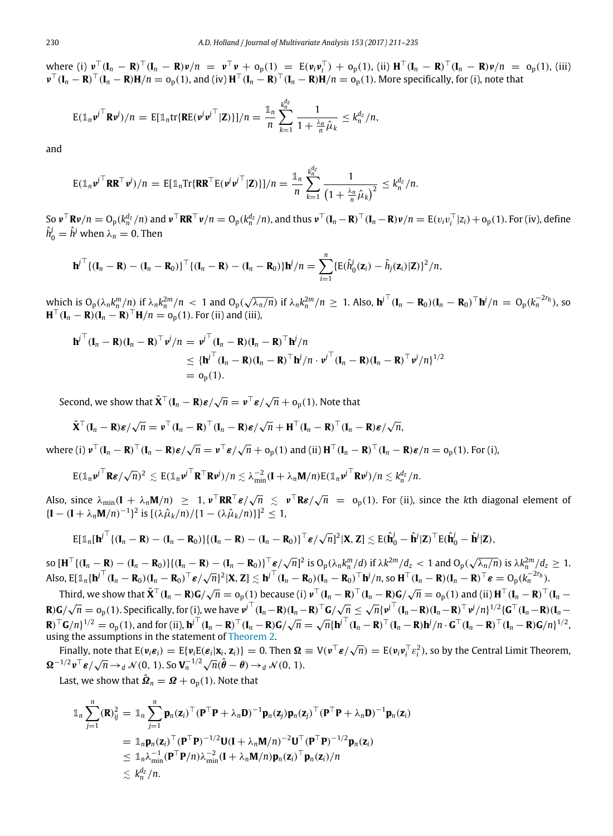where (i)  $v^{\top}(\mathbf{I}_n - \mathbf{R})^{\top}(\mathbf{I}_n - \mathbf{R})v/n = v^{\top}v + o_p(1) = E(v_iv_i^{\top}) + o_p(1)$ , (ii)  $\mathbf{H}^{\top}(\mathbf{I}_n - \mathbf{R})^{\top}(\mathbf{I}_n - \mathbf{R})v/n = o_p(1)$ , (iii)  $\mathbf{v}^\top (\mathbf{I}_n - \mathbf{R})^\top (\mathbf{I}_n - \mathbf{R}) \mathbf{H}/n = o_p(1)$ , and (iv)  $\mathbf{H}^\top (\mathbf{I}_n - \mathbf{R})^\top (\mathbf{I}_n - \mathbf{R}) \mathbf{H}/n = o_p(1)$ . More specifically, for (i), note that

$$
E(\mathbb{1}_n \nu^{j\top} \mathbf{R} \nu^j)/n = E[\mathbb{1}_n \text{tr}\{\mathbf{R} E(\nu^j \nu^{j\top} | \mathbf{Z})\}]/n = \frac{\mathbb{1}_n}{n} \sum_{k=1}^{k_n^{d_Z}} \frac{1}{1 + \frac{\lambda_n}{n} \hat{\mu}_k} \leq k_n^{d_Z}/n,
$$

and

$$
\mathrm{E}(\mathbb{1}_n \mathbf{v}^j^\top \mathbf{R} \mathbf{R}^\top \mathbf{v}^j)/n = \mathrm{E}[\mathbb{1}_n \mathrm{Tr}\{\mathbf{R} \mathbf{R}^\top \mathrm{E}(\mathbf{v}^j \mathbf{v}^j^\top \mathbf{Z})\}]/n = \frac{\mathbb{1}_n}{n} \sum_{k=1}^{k_n^{\frac{d_2}{2}}} \frac{1}{\left(1 + \frac{\lambda_n}{n} \hat{\mu}_k\right)^2} \leq k_n^{\frac{d_2}{2}}/n.
$$

So  $\mathbf{v}^\top \mathbf{R} \mathbf{v}/n = \mathrm{O}_p (k_n^{d_z}/n)$  and  $\mathbf{v}^\top \mathbf{R} \mathbf{R}^\top \mathbf{v}/n = \mathrm{O}_p (k_n^{d_z}/n)$ , and thus  $\mathbf{v}^\top (\mathbf{I}_n - \mathbf{R})^\top (\mathbf{I}_n - \mathbf{R}) \mathbf{v}/n = \mathrm{E}(v_i v_i^\top |z_i) + \mathrm{O}_p(1)$ . For (iv), define  $\hat{h}_{0}^{j} = \hat{h}^{j}$  when  $\lambda_{n} = 0$ . Then

$$
\mathbf{h}^{j\top}\{(\mathbf{I}_n-\mathbf{R})-(\mathbf{I}_n-\mathbf{R}_0)\}^{\top}\{(\mathbf{I}_n-\mathbf{R})-(\mathbf{I}_n-\mathbf{R}_0)\}\mathbf{h}^j/n=\sum_{i=1}^n\{E(\hat{h}_0^j(\mathbf{z}_i)-\hat{h}_j(\mathbf{z}_i)|\mathbf{Z})\}^2/n,
$$

which is  $O_p(\lambda_n k_n^m/n)$  if  $\lambda_n k_n^{2m}/n < 1$  and  $O_p(\lambda_n)$ √  $\overline{\lambda_n/n}$ ) if  $\lambda_n k_n^{2m}/n \geq 1$ . Also,  ${\bf h}^{j\top}({\bf I}_n - {\bf R}_0)({\bf I}_n - {\bf R}_0)^{\top} {\bf h}^{j}/n = O_p(k_n^{-2r_h})$ , so  $\mathbf{H}^{\top}(\mathbf{I}_{n} - \mathbf{R})(\mathbf{I}_{n} - \mathbf{R})^{\top}\mathbf{H}/n = o_{p}(1)$ . For (ii) and (iii),

$$
\mathbf{h}^{j\top}(\mathbf{I}_n - \mathbf{R})(\mathbf{I}_n - \mathbf{R})^{\top} \mathbf{v}^j / n = \mathbf{v}^{j\top} (\mathbf{I}_n - \mathbf{R})(\mathbf{I}_n - \mathbf{R})^{\top} \mathbf{h}^j / n
$$
  
\n
$$
\leq {\{\mathbf{h}^{j\top} (\mathbf{I}_n - \mathbf{R})(\mathbf{I}_n - \mathbf{R})^{\top} \mathbf{h}^j / n \cdot \mathbf{v}^{j\top} (\mathbf{I}_n - \mathbf{R})(\mathbf{I}_n - \mathbf{R})^{\top} \mathbf{v}^j / n\}^{1/2}
$$
  
\n
$$
= o_p(1).
$$

Second, we show that  $\tilde{\mathbf{X}}^{\top}(\mathbf{I}_n - \mathbf{R})\boldsymbol{\varepsilon}/\sqrt{n} = \boldsymbol{v}^{\top}\boldsymbol{\varepsilon}/\sqrt{n} + \mathrm{o}_{\mathrm{p}}(1)$ . Note that

$$
\tilde{\mathbf{X}}^{\top}(\mathbf{I}_n - \mathbf{R})\boldsymbol{\varepsilon}/\sqrt{n} = \boldsymbol{\nu}^{\top}(\mathbf{I}_n - \mathbf{R})^{\top}(\mathbf{I}_n - \mathbf{R})\boldsymbol{\varepsilon}/\sqrt{n} + \mathbf{H}^{\top}(\mathbf{I}_n - \mathbf{R})^{\top}(\mathbf{I}_n - \mathbf{R})\boldsymbol{\varepsilon}/\sqrt{n},
$$

 $\mathbf{w}$  **here (i)**  $\mathbf{v}^{\top}(\mathbf{I}_n - \mathbf{R})^{\top}(\mathbf{I}_n - \mathbf{R})\boldsymbol{\varepsilon}/\sqrt{n} = \mathbf{v}^{\top}\boldsymbol{\varepsilon}/\sqrt{n} + o_p(1)$  and (ii)  $\mathbf{H}^{\top}(\mathbf{I}_n - \mathbf{R})^{\top}(\mathbf{I}_n - \mathbf{R})\boldsymbol{\varepsilon}/n = o_p(1)$ . For (i),

$$
E(\mathbb{1}_n \nu^{j\top} \mathbf{R} \varepsilon / \sqrt{n})^2 \lesssim E(\mathbb{1}_n \nu^{j\top} \mathbf{R}^{\top} \mathbf{R} \nu^j) / n \lesssim \lambda_{\min}^{-2} (\mathbf{I} + \lambda_n \mathbf{M}/n) E(\mathbb{1}_n \nu^{j\top} \mathbf{R} \nu^j) / n \lesssim k_n^{d_z}/n.
$$

Also, since  $\lambda_{\min}(\mathbf{I} + \lambda_n \mathbf{M}/n) \geq 1$ ,  $\nu^\top \mathbf{R} \mathbf{R}^\top \boldsymbol{\varepsilon}/\sqrt{n} \leq \nu^\top \mathbf{R} \boldsymbol{\varepsilon}/\sqrt{n} = o_p(1)$ . For (ii), since the *k*th diagonal element of  ${[I – (I + λ<sub>n</sub>M/n)<sup>-1</sup>}<sup>2</sup>$  is  $[(λ $\hat{\mu}_k/n$ )/(1 – (λ $\hat{\mu}_k/n$ )}<sup>2</sup>]<sup>2</sup> ≤ 1,$ 

$$
E[\mathbb{1}_n[\boldsymbol{h}^j]^{\top}\{(\boldsymbol{I}_n - \boldsymbol{R}) - (\boldsymbol{I}_n - \boldsymbol{R}_0)\}\{(\boldsymbol{I}_n - \boldsymbol{R}) - (\boldsymbol{I}_n - \boldsymbol{R}_0)\}^{\top}\boldsymbol{\varepsilon}/\sqrt{n}]^2|\boldsymbol{X}, \boldsymbol{Z}] \lesssim E(\hat{\boldsymbol{h}}_0^j - \hat{\boldsymbol{h}}^j|\boldsymbol{Z})^{\top}E(\hat{\boldsymbol{h}}_0^j - \hat{\boldsymbol{h}}^j|\boldsymbol{Z}),
$$

so  $[\mathbf{H}^{\top}\{(\mathbf{I}_n - \mathbf{R}) - (\mathbf{I}_n - \mathbf{R}_0)\}\{(\mathbf{I}_n - \mathbf{R}) - (\mathbf{I}_n - \mathbf{R}_0)\}^{\top}\mathbf{\mathcal{E}}/\sqrt{n}]^2$  is  $O_p(\lambda_n k_n^m/d)$  if  $\lambda k^{2m}/d_z < 1$  and  $O_p(\sqrt{n})$  $\sqrt{\lambda_n/n}$ ) is  $\lambda k_n^{2m}/d_z \geq 1$ . Also,  $E[\mathbf{1}_n[\mathbf{h}^T(\mathbf{I}_n - \mathbf{R}_0)(\mathbf{I}_n - \mathbf{R}_0)]^T \mathbf{e}/\sqrt{n}]^2 |\mathbf{X}, \mathbf{Z}| \leq \mathbf{h}^T(\mathbf{I}_n - \mathbf{R}_0)(\mathbf{I}_n - \mathbf{R}_0)^T \mathbf{h}/n$ , so  $\mathbf{H}^T(\mathbf{I}_n - \mathbf{R})(\mathbf{I}_n - \mathbf{R})^T \mathbf{e} = O_p(k_n^{2n}n)$ .

Third, we show that  $\tilde{\mathbf{X}}^{\top}(\mathbf{I}_n - \mathbf{R})\mathbf{G}/\sqrt{n} = o_p(1)$  because (i)  $\mathbf{v}^{\top}(\mathbf{I}_n - \mathbf{R})\mathbf{G}/\sqrt{n} = o_p(1)$  and (ii)  $\mathbf{H}^{\top}(\mathbf{I}_n - \mathbf{R})\mathbf{G}/\sqrt{n} = o_p(1)$ **R**)**G**/  $\sqrt{n} = o_p(1)$ . Specifically, for (i), we have  $v^j (I_n - R)(I_n - R)^T G / \sqrt{n} \leq \sqrt{n} \{v^j (I_n - R)(I_n - R)^T v^j / n\}^{1/2} \{G^T (I_n - R)(I_n - R)^T G / \sqrt{n}\}$  $\mathbf{R} \cdot \mathbf{G}/\mathbf{v} = \mathbf{G}_{p}(1)$ . Specifically, for (1), we have  $V(\mathbf{r}_{n} - \mathbf{K})(\mathbf{r}_{n} - \mathbf{K})$   $\mathbf{G}/\mathbf{v}$   $\Delta V$   $\Delta V$   $\Delta V$   $\Delta V$   $\Delta V$   $\Delta V$   $\Delta V$   $\Delta V$   $\Delta V$   $\Delta V$   $\Delta V$   $\Delta V$   $\Delta V$   $\Delta V$   $\Delta V$   $\Delta V$   $\Delta V$   $\Delta V$ using the assumptions in the statement of [Theorem 2.](#page-6-1)

Finally, note that  $E(\nu_i \varepsilon_i) = E{\nu_i E(\varepsilon_i | \mathbf{x}_i, \mathbf{z}_i)} = 0$ . Then  $\Omega \equiv V(\nu^{\top} \varepsilon / \sqrt{n}) = E{(\nu_i \nu_i^{\top} \varepsilon_i^2)}$ , so by the Central Limit Theorem,  $\Omega^{-1/2} \nu^{\top} \varepsilon / \sqrt{n} \rightarrow_d \mathcal{N}(0, 1)$ . So  $V_n^{-1/2} \sqrt{n} (\hat{\theta} - \theta) \rightarrow_d \mathcal{N}(0, 1)$ .

Last, we show that  $\hat{\boldsymbol{\Omega}}_n = \boldsymbol{\varOmega} + \mathrm{o}_{\mathrm{p}}(1).$  Note that

$$
\mathbb{1}_n \sum_{j=1}^n (\mathbf{R})_{ij}^2 = \mathbb{1}_n \sum_{j=1}^n \mathbf{p}_n(\mathbf{z}_i)^\top (\mathbf{P}^\top \mathbf{P} + \lambda_n \mathbf{D})^{-1} \mathbf{p}_n(\mathbf{z}_j) \mathbf{p}_n(\mathbf{z}_j)^\top (\mathbf{P}^\top \mathbf{P} + \lambda_n \mathbf{D})^{-1} \mathbf{p}_n(\mathbf{z}_i)
$$
\n
$$
= \mathbb{1}_n \mathbf{p}_n(\mathbf{z}_i)^\top (\mathbf{P}^\top \mathbf{P})^{-1/2} \mathbf{U} (\mathbf{I} + \lambda_n \mathbf{M}/n)^{-2} \mathbf{U}^\top (\mathbf{P}^\top \mathbf{P})^{-1/2} \mathbf{p}_n(\mathbf{z}_i)
$$
\n
$$
\leq \mathbb{1}_n \lambda_{\min}^{-1} (\mathbf{P}^\top \mathbf{P}/n) \lambda_{\min}^{-2} (\mathbf{I} + \lambda_n \mathbf{M}/n) \mathbf{p}_n(\mathbf{z}_i)^\top \mathbf{p}_n(\mathbf{z}_i)/n
$$
\n
$$
\leq k_n^{dz}/n.
$$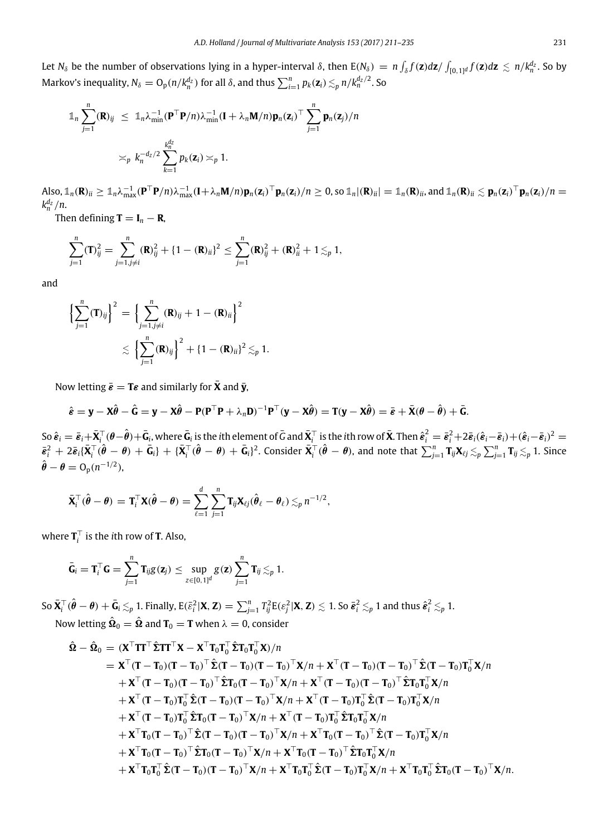Let  $N_\delta$  be the number of observations lying in a hyper-interval  $\delta$ , then  $E(N_\delta) = n \int_\delta f(z) dz / \int_{[0,1]^d} f(z) dz \lesssim n/k_n^{d_z}$ . So by Markov's inequality,  $N_\delta = \mathrm{O}_\mathrm{p}(n/k_n^{d_z})$  for all  $\delta$ , and thus  $\sum_{i=1}^n p_k(\mathbf{z}_i) \lesssim_p n/k_n^{d_z/2}$ . So

$$
\mathbb{1}_n \sum_{j=1}^n (\mathbf{R})_{ij} \leq \mathbb{1}_n \lambda_{\min}^{-1} (\mathbf{P}^\top \mathbf{P}/n) \lambda_{\min}^{-1} (\mathbf{I} + \lambda_n \mathbf{M}/n) \mathbf{p}_n (\mathbf{z}_i)^\top \sum_{j=1}^n \mathbf{p}_n (\mathbf{z}_j)/n
$$
  

$$
\approx_p k_n^{-d_z/2} \sum_{k=1}^{k_n^{d_z}} p_k (\mathbf{z}_i) \approx_p 1.
$$

Also,  $\mathbb{1}_n(\mathbf{R})_{ii} \geq \mathbb{1}_n \lambda_{\max}^{-1} (\mathbf{P}^\top \mathbf{P}/n) \lambda_{\max}^{-1} (\mathbf{I} + \lambda_n \mathbf{M}/n) \mathbf{p}_n(\mathbf{z}_i)^\top \mathbf{p}_n(\mathbf{z}_i)/n \geq 0$ , so  $\mathbb{1}_n |(\mathbf{R})_{ii} = \mathbb{1}_n(\mathbf{R})_{ii}$ , and  $\mathbb{1}_n(\mathbf{R})_{ii} \lesssim \mathbf{p}_n(\mathbf{z}_i)^\top \mathbf{p}_n(\mathbf{z$  $k_n^{d_z}/n$ .

Then defining  $\mathbf{T} = \mathbf{I}_n - \mathbf{R}$ ,

$$
\sum_{j=1}^n (\mathbf{T})_{ij}^2 = \sum_{j=1, j\neq i}^n (\mathbf{R})_{ij}^2 + \{1 - (\mathbf{R})_{ii}\}^2 \le \sum_{j=1}^n (\mathbf{R})_{ij}^2 + (\mathbf{R})_{ii}^2 + 1 \lesssim_p 1,
$$

and

$$
\left\{\sum_{j=1}^{n}(\mathbf{T})_{ij}\right\}^{2} = \left\{\sum_{j=1, j\neq i}^{n}(\mathbf{R})_{ij} + 1 - (\mathbf{R})_{ii}\right\}^{2}
$$

$$
\leq \left\{\sum_{j=1}^{n}(\mathbf{R})_{ij}\right\}^{2} + \left\{1 - (\mathbf{R})_{ii}\right\}^{2} \lesssim p 1.
$$

Now letting  $\bar{\epsilon} = T\epsilon$  and similarly for  $\bar{X}$  and  $\bar{y}$ ,

$$
\hat{\varepsilon} = \mathbf{y} - \mathbf{X}\hat{\theta} - \hat{\mathbf{G}} = \mathbf{y} - \mathbf{X}\hat{\theta} - \mathbf{P}(\mathbf{P}^{\top}\mathbf{P} + \lambda_n \mathbf{D})^{-1}\mathbf{P}^{\top}(\mathbf{y} - \mathbf{X}\hat{\theta}) = \mathbf{T}(\mathbf{y} - \mathbf{X}\hat{\theta}) = \bar{\varepsilon} + \bar{\mathbf{X}}(\theta - \hat{\theta}) + \bar{\mathbf{G}}.
$$

So  $\hat{\bm{\varepsilon}}_i=\bar{\bm{\varepsilon}}_i+\bar{\mathbf{X}}_i^\top(\theta-\hat{\bm{\theta}})+\bar{\mathbf{G}}_i$ , where  $\bar{\mathbf{G}}_i$  is the ith element of  $\bar{\mathbf{G}}$  and  $\bar{\mathbf{X}}_i^\top$  is the ith row of  $\bar{\mathbf{X}}$ . Then  $\hat{\bm{\varepsilon}}_i^2=\bar{\bm{\varepsilon}}_i^2+2\bar{\bm{\varepsilon}}_i(\hat{\bm{\varepsilon}}_i-\bar{\$  $\bar{\bm{\varepsilon}}_i^2\,+\,2\bar{\bm{\varepsilon}}_i(\bar{\mathbf{X}}_i^\top(\hat{\pmb{\theta}}\,-\,\pmb{\theta})\,+\,\bar{\mathbf{G}}_i\}+\,\{\bar{\mathbf{X}}_i^\top(\hat{\pmb{\theta}}\,-\,\pmb{\theta})\,+\,\bar{\mathbf{G}}_i\}^2.$  Consider  $\bar{\mathbf{X}}_i^\top(\hat{\pmb{\theta}}\,-\,\pmb{\theta})$ , and note that  $\sum_{j=1}^n\mathbf{T}_{ij}\mathbf{X}_{\ell j}\lesssim_p\sum_{j=1}^n\$  $\hat{\boldsymbol{\theta}} - \boldsymbol{\theta} = O_p(n^{-1/2}),$ 

$$
\bar{\mathbf{X}}_i^{\top}(\hat{\boldsymbol{\theta}} - \boldsymbol{\theta}) = \mathbf{T}_i^{\top} \mathbf{X}(\hat{\boldsymbol{\theta}} - \boldsymbol{\theta}) = \sum_{\ell=1}^d \sum_{j=1}^n \mathbf{T}_{ij} \mathbf{X}_{\ell j}(\hat{\boldsymbol{\theta}}_{\ell} - \boldsymbol{\theta}_{\ell}) \lesssim_p n^{-1/2},
$$

where  $\mathbf{T}_i^{\top}$  is the *i*th row of **T**. Also,

$$
\bar{\mathbf{G}}_i = \mathbf{T}_i^{\top} \mathbf{G} = \sum_{j=1}^n \mathbf{T}_{ij} g(\mathbf{z}_j) \le \sup_{z \in [0,1]^d} g(\mathbf{z}) \sum_{j=1}^n \mathbf{T}_{ij} \lesssim_p 1.
$$

So  $\bar{\mathbf{X}}_i^\top(\hat{\pmb{\theta}} - \pmb{\theta}) + \bar{\mathbf{G}}_i \lesssim_p 1$ . Finally, E $(\bar{\varepsilon}_i^2|\mathbf{X},\mathbf{Z}) = \sum_{j=1}^n T_{ij}^2 \mathrm{E}(\varepsilon_j^2|\mathbf{X},\mathbf{Z}) \lesssim 1$ . So  $\bar{\pmb{\varepsilon}}_i^2 \lesssim_p 1$  and thus  $\hat{\pmb{\varepsilon}}_i^2 \lesssim_p 1$ .

Now letting  $\hat{\mathbf{\Omega}}_0 = \hat{\mathbf{\Omega}}$  and  $\mathbf{T}_0 = \mathbf{T}$  when  $\lambda = 0$ , consider

$$
\hat{\mathbf{\Omega}} - \hat{\mathbf{\Omega}}_0 = (\mathbf{X}^\top \mathbf{T} \mathbf{T}^\top \hat{\mathbf{\Sigma}} \mathbf{T} \mathbf{T}^\top \mathbf{X} - \mathbf{X}^\top \mathbf{T}_0 \mathbf{T}_0^\top \hat{\mathbf{\Sigma}} \mathbf{T}_0 \mathbf{T}_0^\top \mathbf{X})/n \n= \mathbf{X}^\top (\mathbf{T} - \mathbf{T}_0)(\mathbf{T} - \mathbf{T}_0)^\top \hat{\mathbf{\Sigma}} (\mathbf{T} - \mathbf{T}_0)(\mathbf{T} - \mathbf{T}_0)^\top \mathbf{X}/n + \mathbf{X}^\top (\mathbf{T} - \mathbf{T}_0)(\mathbf{T} - \mathbf{T}_0)^\top \hat{\mathbf{\Sigma}} \mathbf{T}_0 \mathbf{T}_0^\top \mathbf{X}/n \n+ \mathbf{X}^\top (\mathbf{T} - \mathbf{T}_0)(\mathbf{T} - \mathbf{T}_0)^\top \hat{\mathbf{\Sigma}} \mathbf{T}_0 (\mathbf{T} - \mathbf{T}_0)^\top \mathbf{X}/n + \mathbf{X}^\top (\mathbf{T} - \mathbf{T}_0)(\mathbf{T} - \mathbf{T}_0)^\top \hat{\mathbf{\Sigma}} \mathbf{T}_0 \mathbf{T}_0^\top \mathbf{X}/n \n+ \mathbf{X}^\top (\mathbf{T} - \mathbf{T}_0) \mathbf{T}_0^\top \hat{\mathbf{\Sigma}} (\mathbf{T} - \mathbf{T}_0)(\mathbf{T} - \mathbf{T}_0)^\top \mathbf{X}/n + \mathbf{X}^\top (\mathbf{T} - \mathbf{T}_0) \mathbf{T}_0^\top \hat{\mathbf{\Sigma}} (\mathbf{T} - \mathbf{T}_0) \mathbf{T}_0^\top \mathbf{X}/n \n+ \mathbf{X}^\top (\mathbf{T} - \mathbf{T}_0) \mathbf{T}_0^\top \hat{\mathbf{\Sigma}} \mathbf{T}_0 (\mathbf{T} - \mathbf{T}_0)^\top \mathbf{X}/n + \mathbf{X}^\top (\mathbf{T} - \mathbf{T}_0) \mathbf{T}_0^\top \hat{\mathbf{\Sigma}} \mathbf{T}_0 \mathbf{T}_0^\top \mathbf{X}/n \n+ \mathbf{X}^\top \mathbf{T}_0 (\mathbf{T} - \mathbf{T}_0)^\top \hat{\mathbf{\Sigma}} (\mathbf{T} - \mathbf{T}_0) (\mathbf{T} - \mathbf{T}_0)^\top \mathbf{X}/
$$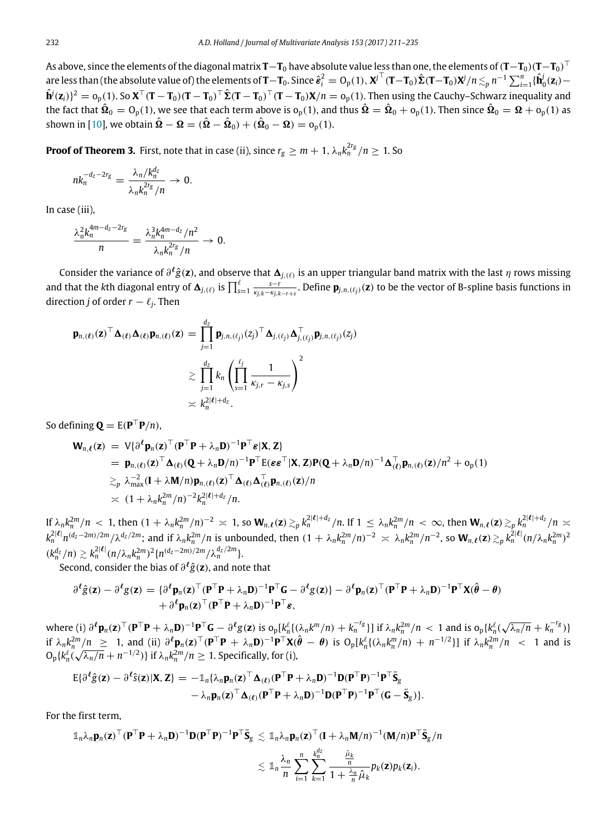As above, since the elements of the diagonal matrix **T**−**T**<sup>0</sup> have absolute value less than one, the elements of(**T**−**T**0)(**T**−**T**0) ⊤ are less than (the absolute value of) the elements of  $\mathbf{T}-\mathbf{T}_0.$  Since  $\hat{\bm{e}}_i^2=O_\mathrm{p}(1),\bm{X}^\mathrm{j\top}(\mathbf{T}-\mathbf{T}_0)\hat{\bm{\Sigma}}(\mathbf{T}-\mathbf{T}_0)\bm{X}^j/n\lesssim_p n^{-1}\sum_{i=1}^n\{\hat{\mathbf{h}}_0^i(\mathbf{z}_i)-\hat{\mathbf{h}}_0^i(\mathbf{z}_i)\}$  $\hat{\mathbf{h}}^j(\mathbf{z}_i)\}^2=\mathrm{o}_{\mathrm{p}}(1).$  So  $\mathbf{X}^\top(\mathbf{T}-\mathbf{T}_0)(\mathbf{T}-\mathbf{T}_0)^\top\hat{\mathbf{\Sigma}}(\mathbf{T}-\mathbf{T}_0)^\top(\mathbf{T}-\mathbf{T}_0)\mathbf{X}/n=\mathrm{o}_{\mathrm{p}}(1).$  Then using the Cauchy–Schwarz inequality and the fact that  $\hat{\bf Q}_0={\rm O_p}(1)$ , we see that each term above is  ${\rm o_p}(1)$ , and thus  $\hat{\bf \Omega}=\hat{\bf Q}_0+{\rm o_p}(1)$ . Then since  $\hat{\bf Q}_0={\bf \Omega}+{\rm o_p}(1)$  as shown in [\[10\]](#page-24-1), we obtain  $\hat{\mathbf{\Omega}}-\mathbf{\Omega}=(\hat{\mathbf{\Omega}}-\hat{\mathbf{\Omega}}_{0})+(\hat{\mathbf{\Omega}}_{0}-\mathbf{\Omega})=\mathrm{o}_{\mathrm{p}}(1).$ 

**Proof of Theorem 3.** First, note that in case (ii), since  $r_g \ge m + 1$ ,  $\lambda_n k_n^{2r_g}/n \ge 1$ . So

$$
nk_n^{-d_z-2r_g} = \frac{\lambda_n/k_n^{d_z}}{\lambda_n k_n^{2r_g}/n} \to 0.
$$

In case (iii),

$$
\frac{\lambda_n^2 k_n^{4m-d_z-2r_g}}{n} = \frac{\lambda_n^3 k_n^{4m-d_z}/n^2}{\lambda_n k_n^{2r_g}/n} \to 0.
$$

Consider the variance of ∂ ℓ *g*ˆ(**z**), and observe that 1*j*,(ℓ) is an upper triangular band matrix with the last η rows missing and that the kth diagonal entry of  $\Delta_{j,(\ell)}$  is  $\prod_{s=1}^{\ell} \frac{s-r}{\kappa_{j,k}-\kappa_{j,k-r+s}}$ . Define  $\mathbf{p}_{j,n,(\ell_j)}(\mathbf{z})$  to be the vector of B-spline basis functions in direction *j* of order  $r - \ell_j$ . Then

$$
\mathbf{p}_{n,(\ell)}(\mathbf{z})^{\top} \mathbf{\Delta}_{(\ell)} \mathbf{\Delta}_{(\ell)} \mathbf{p}_{n,(\ell)}(\mathbf{z}) = \prod_{j=1}^{d_{z}} \mathbf{p}_{j,n,(\ell_{j})} (z_{j})^{\top} \mathbf{\Delta}_{j,(\ell_{j})} \mathbf{\Delta}_{j,(\ell_{j})}^{\top} \mathbf{p}_{j,n,(\ell_{j})} (z_{j})
$$

$$
\geq \prod_{j=1}^{d_{z}} k_{n} \left( \prod_{s=1}^{\ell_{j}} \frac{1}{\kappa_{j,r} - \kappa_{j,s}} \right)^{2}
$$

$$
\geq k_{n}^{2|\ell| + d_{z}}.
$$

So defining  $\mathbf{Q} = \mathbf{E}(\mathbf{P}^{\top}\mathbf{P}/n)$ ,

$$
\mathbf{W}_{n,\ell}(z) = V \{ \partial^{\ell} \mathbf{p}_n(z)^{\top} (\mathbf{P}^{\top} \mathbf{P} + \lambda_n \mathbf{D})^{-1} \mathbf{P}^{\top} \mathbf{\varepsilon} | \mathbf{X}, \mathbf{Z} \}\n= \mathbf{p}_{n,(\ell)}(z)^{\top} \Delta_{(\ell)} (\mathbf{Q} + \lambda_n \mathbf{D}/n)^{-1} \mathbf{P}^{\top} E(\varepsilon \varepsilon^{\top} | \mathbf{X}, \mathbf{Z}) \mathbf{P} (\mathbf{Q} + \lambda_n \mathbf{D}/n)^{-1} \Delta_{(\ell)}^{\top} \mathbf{p}_{n,(\ell)}(z) / n^2 + o_p(1)\n\geq_p \lambda_{\max}^{-2} (\mathbf{I} + \lambda \mathbf{M}/n) \mathbf{p}_{n,(\ell)}(z)^{\top} \Delta_{(\ell)} \Delta_{(\ell)}^{\top} \mathbf{p}_{n,(\ell)}(z) / n\n\geq (1 + \lambda_n k_n^{2m}/n)^{-2} k_n^{2|\ell| + d_2} / n.
$$

If  $\lambda_n k_n^{2m}/n < 1$ , then  $(1 + \lambda_n k_n^{2m}/n)^{-2} \approx 1$ , so  $\mathbf{W}_{n,\ell}(\mathbf{z}) \gtrsim_p k_n^{2|\ell| + d_{\mathbf{z}}}/n$ . If  $1 \leq \lambda_n k_n^{2m}/n < \infty$ , then  $\mathbf{W}_{n,\ell}(\mathbf{z}) \gtrsim_p k_n^{2|\ell| + d_{\mathbf{z}}}/n \asymp_p$  $k_n^{2|\ell|}n^{(d_z-2m)/2m}/\lambda^{d_z/2m}$ ; and if  $\lambda_n k_n^{2m}/n$  is unbounded, then  $(1+\lambda_n k_n^{2m}/n)^{-2} \simeq \lambda_n k_n^{2m}/n^{-2}$ , so  $\mathbf{W}_{n,\ell}(\mathbf{z}) \gtrsim_p k_n^{2|\ell|}(n/\lambda_n k_n^{2m})^2$  $(k_n^{d_z}/n) \gtrsim k_n^{2|\ell|} (n/\lambda_n k_n^{2m})^2 \{n^{(d_z-2m)/2m}/\lambda_n^{d_z/2m}\}.$ 

Second, consider the bias of ∂ ℓ *g*ˆ(**z**), and note that

$$
\partial^{\ell} \hat{g}(\mathbf{z}) - \partial^{\ell} g(\mathbf{z}) = \{ \partial^{\ell} \mathbf{p}_{n}(\mathbf{z})^{\top} (\mathbf{P}^{\top} \mathbf{P} + \lambda_{n} \mathbf{D})^{-1} \mathbf{P}^{\top} \mathbf{G} - \partial^{\ell} g(\mathbf{z}) \} - \partial^{\ell} \mathbf{p}_{n}(\mathbf{z})^{\top} (\mathbf{P}^{\top} \mathbf{P} + \lambda_{n} \mathbf{D})^{-1} \mathbf{P}^{\top} \mathbf{X} (\hat{\boldsymbol{\theta}} - \boldsymbol{\theta}) + \partial^{\ell} \mathbf{p}_{n}(\mathbf{z})^{\top} (\mathbf{P}^{\top} \mathbf{P} + \lambda_{n} \mathbf{D})^{-1} \mathbf{P}^{\top} \boldsymbol{\varepsilon},
$$

where (i)  $\partial^{\ell} \mathbf{p}_n(\mathbf{z})^{\top} (\mathbf{P}^{\top} \mathbf{P} + \lambda_n \mathbf{D})^{-1} \mathbf{P}^{\top} \mathbf{G} - \partial^{\ell} g(\mathbf{z})$  is  $o_p[k_n^{\ell} \{\lambda_n k^m/n\} + k_n^{-r_g}\}]$  if  $\lambda_n k_n^{2m}/n < 1$  and is  $o_p\{k_n^{\ell}$  $\sqrt{\lambda_n/n} + k_n^{-r_g}$ )} if  $\lambda_n k_n^{2m}/n \geq 1$ , and (ii)  $\partial^{\ell} \mathbf{p}_n(\mathbf{z})^{\top}(\mathbf{P}^{\top}\mathbf{P} + \lambda_n \mathbf{D})^{-1} \mathbf{P}^{\top} \mathbf{X}(\hat{\theta} - \theta)$  is  $O_p[k_n^{\ell} \{(\lambda_n k_n^m/n) + n^{-1/2}\}]$  if  $\lambda_n k_n^{2m}/n \leq 1$  and is  $O_p\{k_n^{\ell}($  $\sqrt{\lambda_n/n}$  + *n*<sup>-1/2</sup>)} if  $\lambda_n k_n^{2m}/n \ge 1$ . Specifically, for (i),

$$
E{\partial^{\ell}\hat{g}(\mathbf{z})-\partial^{\ell}\hat{s}(\mathbf{z})|\mathbf{X},\mathbf{Z}\}=-\mathbb{1}_{n}\{\lambda_{n}\mathbf{p}_{n}(\mathbf{z})^{\top}\boldsymbol{\Delta}_{(\ell)}(\mathbf{P}^{\top}\mathbf{P}+\lambda_{n}\mathbf{D})^{-1}\mathbf{D}(\mathbf{P}^{\top}\mathbf{P})^{-1}\mathbf{P}^{\top}\bar{\mathbf{S}}_{g}}\\-\lambda_{n}\mathbf{p}_{n}(\mathbf{z})^{\top}\boldsymbol{\Delta}_{(\ell)}(\mathbf{P}^{\top}\mathbf{P}+\lambda_{n}\mathbf{D})^{-1}\mathbf{D}(\mathbf{P}^{\top}\mathbf{P})^{-1}\mathbf{P}^{\top}(\mathbf{G}-\bar{\mathbf{S}}_{g})\}.
$$

For the first term,

$$
\begin{aligned} \mathbb{1}_n \lambda_n \mathbf{p}_n(\mathbf{z})^\top (\mathbf{P}^\top \mathbf{P} + \lambda_n \mathbf{D})^{-1} \mathbf{D} (\mathbf{P}^\top \mathbf{P})^{-1} \mathbf{P}^\top \bar{\mathbf{S}}_g &\lesssim \mathbb{1}_n \lambda_n \mathbf{p}_n(\mathbf{z})^\top (\mathbf{I} + \lambda_n \mathbf{M}/n)^{-1} (\mathbf{M}/n) \mathbf{P}^\top \bar{\mathbf{S}}_g/n \\ &\lesssim \mathbb{1}_n \frac{\lambda_n}{n} \sum_{i=1}^n \sum_{k=1}^n \frac{\frac{\hat{\mu}_k}{n}}{1 + \frac{\lambda_n}{n} \hat{\mu}_k} p_k(\mathbf{z}) p_k(\mathbf{z}_i). \end{aligned}
$$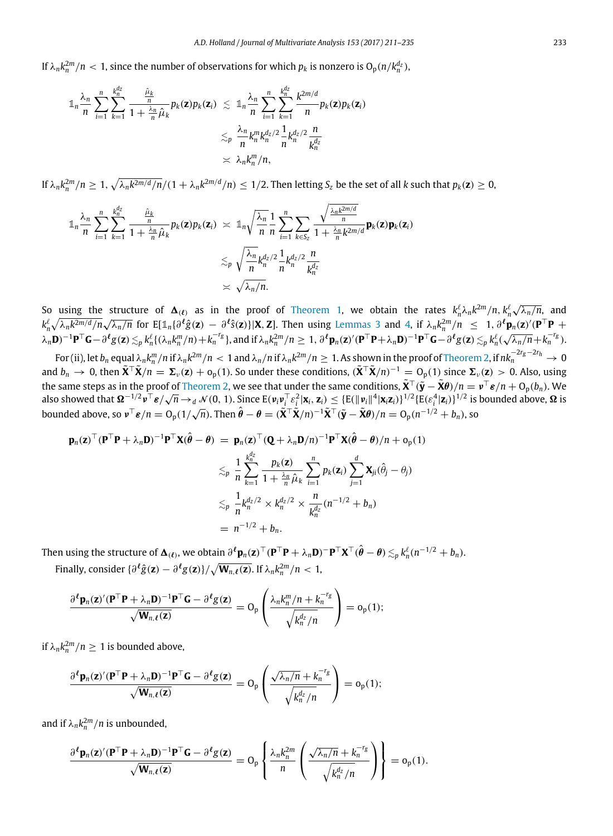If  $\lambda_n k_n^{2m}/n < 1$ , since the number of observations for which  $p_k$  is nonzero is  $O_p(n/k_n^{d_z})$ ,

$$
\begin{array}{lcl} \displaystyle \mathbb{1}_{n} \frac{\lambda_{n}}{n} \sum_{i=1}^{n} \sum_{k=1}^{k_{n}^{d_{z}}} \frac{\hat{\mu}_{k}}{1+\frac{\lambda_{n}}{n} \hat{\mu}_{k}} p_{k}(\mathbf{z}) p_{k}(\mathbf{z}_{i}) & \leq \; \displaystyle \mathbb{1}_{n} \frac{\lambda_{n}}{n} \sum_{i=1}^{n} \sum_{k=1}^{k_{n}^{d_{z}}} \frac{k^{2m/d}}{n} p_{k}(\mathbf{z}) p_{k}(\mathbf{z}_{i}) \\ & \leq_{p} \; \displaystyle \frac{\lambda_{n}}{n} k_{n}^{m} k_{n}^{d_{z}/2} \frac{1}{n} k_{n}^{d_{z}/2} \frac{n}{k_{n}^{d_{z}}} \\ & \asymp \; \displaystyle \lambda_{n} k_{n}^{m}/n, \end{array}
$$

If  $\lambda_n k_n^{2m}/n \geq 1$ ,  $\sqrt{\lambda_n k^{2m/d}/n}/(1+\lambda_n k^{2m/d}/n) \leq 1/2$ . Then letting  $S_z$  be the set of all k such that  $p_k(z) \geq 0$ ,

$$
\mathbb{1}_{n} \frac{\lambda_{n}}{n} \sum_{i=1}^{n} \sum_{k=1}^{k_{n}^{d_{z}}} \frac{\frac{\hat{\mu}_{k}}{n}}{1 + \frac{\lambda_{n}}{n} \hat{\mu}_{k}} p_{k}(\mathbf{z}) p_{k}(\mathbf{z}_{i}) \times \mathbb{1}_{n} \sqrt{\frac{\lambda_{n}}{n}} \frac{1}{n} \sum_{i=1}^{n} \sum_{k \in S_{z}} \frac{\sqrt{\frac{\lambda_{n} k^{2m/d}}{n}}}{1 + \frac{\lambda_{n}}{n} k^{2m/d}} \mathbf{p}_{k}(\mathbf{z}) \mathbf{p}_{k}(\mathbf{z}_{i})
$$

$$
\lesssim_{p} \sqrt{\frac{\lambda_{n}}{n} k_{n}^{d_{z}/2} \frac{1}{n} k_{n}^{d_{z}/2} \frac{n}{k_{n}^{d_{z}}}} \lesssim \sqrt{\lambda_{n}/n}.
$$

So using the structure of  $\Delta$ <sub>(ℓ)</sub> as in the proof of [Theorem 1,](#page-4-3) we obtain the rates  $k_n^{\ell} \lambda_n k^{2m}/n, k_n^{\ell}$ √ structure of  $\Delta(t)$  as in the proof of Theorem 1, we obtain the rates  $k_n^{\ell} \lambda_n k^{2m}/n$ ,  $k_n^{\ell} \sqrt{\lambda_n/n}$ , and  $k_n^{\ell}\sqrt{\lambda_n k^{2m/d}/n}\sqrt{\lambda_n/n}$  for E[1 $_n\{\partial^{\ell}\hat{g}(\mathbf{z}) - \partial^{\ell}\hat{s}(\mathbf{z})\}|\mathbf{X},\mathbf{Z}].$  Then using [Lemmas 3](#page-17-6) and [4,](#page-17-2) if  $\lambda_n k_n^{2m}/n \leq 1, \partial^{\ell}\mathbf{p}_n(\mathbf{z})'(\mathbf{P}^{\top}\mathbf{P} + \mathbf{P}^{\top}\mathbf{P})$  $\lambda_n$ **D**)<sup>-1</sup>**P**<sup>T</sup>**G** -  $\partial^{\ell} g(z) \lesssim_{p} k_n^{\ell} \{(\lambda_n k_n^m/n) + k_n^{-r_g}\}$ , and if  $\lambda_n k_n^{2m}/n \geq 1$ ,  $\partial^{\ell} p_n(z)' (\mathbf{P}^{\top} \mathbf{P} + \lambda_n \mathbf{D})^{-1} \mathbf{P}^{\top} \mathbf{G} - \partial^{\ell} g(z) \lesssim_{p} k_n^{\ell}$  $\sqrt{\lambda_n/n} + k_n^{-r_g}$ .

For (ii), let  $b_n$  equal  $\lambda_n k_n^m/n$  if  $\lambda_n k^{2m}/n < 1$  and  $\lambda_n/n$  if  $\lambda_n k^{2m}/n \geq 1.$  As shown in the proof of [Theorem 2,](#page-6-1) if  $nk_n^{-2r_g-2r_h} \to 0$ and  $b_n \to 0$ , then  $\tilde{\mathbf{X}}^T \tilde{\mathbf{X}} / n = \Sigma_\nu(\mathbf{z}) + o_p(1)$ . So under these conditions,  $(\tilde{\mathbf{X}}^T \tilde{\mathbf{X}} / n)^{-1} = O_p(1)$  since  $\Sigma_\nu(\mathbf{z}) > 0$ . Also, using the same steps as in the proof of [Theorem 2,](#page-6-1) we see that under the same conditions,  $\tilde{\mathbf{X}}^{\top}(\tilde{\mathbf{y}} - \tilde{\mathbf{X}}\theta)/n = \mathbf{v}^{\top}\mathbf{\varepsilon}/n + O_p(b_n)$ . We also showed that  $\mathbf{\Omega}^{-1/2} \mathbf{\nu}^\top \mathbf{\varepsilon}/\sqrt{n} \to_d \mathcal{N}(0,\,1)$ . Since  $\mathrm{E}(\mathbf{\nu}_i \mathbf{\nu}_i^\top \varepsilon_i^2 | \mathbf{x}_i, \mathbf{z}_i) \leq \{\mathrm{E}(\|\mathbf{\nu}_i\|^4 |\mathbf{x}_i \mathbf{z}_i)\}^{1/2} \{\mathrm{E}(\varepsilon_i^4 |\mathbf{z}_i)\}^{1/2}$  is bounded above,  $\mathbf{\Omega}$  is bounded above, so  $v^T \varepsilon/n = O_p(1/\sqrt{n})$ . Then  $\hat{\theta} - \theta = (\tilde{X}^T \tilde{X}/n)^{-1} \tilde{X}^T (\tilde{y} - \tilde{X}\theta)/n = O_p(n^{-1/2} + b_n)$ , so

$$
\mathbf{p}_n(\mathbf{z})^{\top}(\mathbf{P}^{\top}\mathbf{P} + \lambda_n \mathbf{D})^{-1} \mathbf{P}^{\top} \mathbf{X} (\hat{\boldsymbol{\theta}} - \boldsymbol{\theta}) = \mathbf{p}_n(\mathbf{z})^{\top} (\mathbf{Q} + \lambda_n \mathbf{D}/n)^{-1} \mathbf{P}^{\top} \mathbf{X} (\hat{\boldsymbol{\theta}} - \boldsymbol{\theta})/n + o_p(1)
$$
  
\n
$$
\lesssim_p \frac{1}{n} \sum_{k=1}^{k_n^d} \frac{p_k(\mathbf{z})}{1 + \frac{\lambda_n}{n} \hat{\mu}_k} \sum_{i=1}^n p_k(\mathbf{z}_i) \sum_{j=1}^d \mathbf{X}_{ji} (\hat{\theta}_j - \theta_j)
$$
  
\n
$$
\lesssim_p \frac{1}{n} k_n^{d_Z/2} \times k_n^{d_Z/2} \times \frac{n}{k_n^{d_Z}} (n^{-1/2} + b_n)
$$
  
\n
$$
= n^{-1/2} + b_n.
$$

Then using the structure of  $\mathbf{\Delta}_{(\ell)}$ , we obtain  $\partial^{\ell} \mathbf{p}_n(\mathbf{z})^{\top}(\mathbf{P}^{\top}\mathbf{P} + \lambda_n \mathbf{D})^{\top} \mathbf{P}^{\top} \mathbf{X}^{\top} (\hat{\boldsymbol{\theta}} - \boldsymbol{\theta}) \lesssim_p k_n^{\ell} (n^{-1/2} + b_n).$ Finally, consider  $\{\partial^{\ell}\hat{g}(\mathbf{z}) - \partial^{\ell}g(\mathbf{z})\}/\sqrt{\mathbf{W}_{n,\ell}(\mathbf{z})}$ . If  $\lambda_n k_n^{2m}/n < 1$ ,

$$
\frac{\partial^{\ell} \mathbf{p}_n(\mathbf{z})'(\mathbf{P}^{\top} \mathbf{P} + \lambda_n \mathbf{D})^{-1} \mathbf{P}^{\top} \mathbf{G} - \partial^{\ell} \mathbf{g}(\mathbf{z})}{\sqrt{\mathbf{W}_{n,\ell}(\mathbf{z})}} = O_p\left(\frac{\lambda_n k_n^m/n + k_n^{-r_g}}{\sqrt{k_n^{d_Z}/n}}\right) = o_p(1);
$$

if  $\lambda_n k_n^{2m}/n \geq 1$  is bounded above,

$$
\frac{\partial^{\ell} \mathbf{p}_n(\mathbf{z})'(\mathbf{P}^{\top}\mathbf{P} + \lambda_n \mathbf{D})^{-1} \mathbf{P}^{\top}\mathbf{G} - \partial^{\ell} g(\mathbf{z})}{\sqrt{\mathbf{W}_{n,\ell}(\mathbf{z})}} = O_p\left(\frac{\sqrt{\lambda_n/n} + k_n^{-r_g}}{\sqrt{k_n^{d_Z}/n}}\right) = o_p(1);
$$

and if  $\lambda_n k_n^{2m}/n$  is unbounded,

$$
\frac{\partial^{\ell} \mathbf{p}_n(\mathbf{z})' (\mathbf{P}^{\top} \mathbf{P} + \lambda_n \mathbf{D})^{-1} \mathbf{P}^{\top} \mathbf{G} - \partial^{\ell} g(\mathbf{z})}{\sqrt{\mathbf{W}_{n,\ell}(\mathbf{z})}} = O_p \left\{ \frac{\lambda_n k_n^{2m}}{n} \left( \frac{\sqrt{\lambda_n/n} + k_n^{-r_g}}{\sqrt{k_n^{d_2}/n}} \right) \right\} = o_p(1).
$$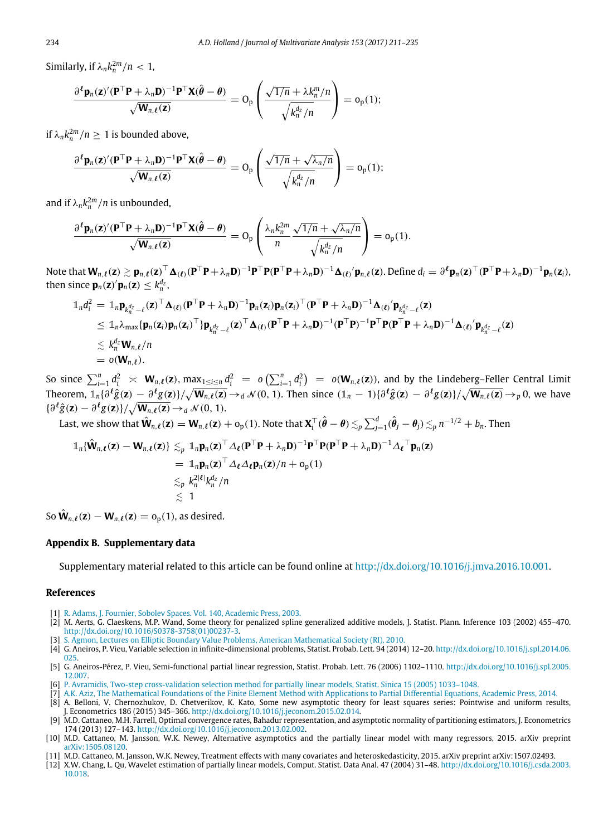Similarly, if  $\lambda_n k_n^{2m}/n < 1$ ,

$$
\frac{\partial^{\ell} \mathbf{p}_n(\mathbf{z})' (\mathbf{P}^{\top} \mathbf{P} + \lambda_n \mathbf{D})^{-1} \mathbf{P}^{\top} \mathbf{X} (\hat{\boldsymbol{\theta}} - \boldsymbol{\theta})}{\sqrt{\mathbf{W}_{n,\ell}(\mathbf{z})}} = O_p\left(\frac{\sqrt{1/n} + \lambda k_n^m/n}{\sqrt{k_n^{d_Z}/n}}\right) = o_p(1);
$$

if  $\lambda_n k_n^{2m}/n \geq 1$  is bounded above,

$$
\frac{\partial^{\ell} \mathbf{p}_n(\mathbf{z})' (\mathbf{P}^{\top} \mathbf{P} + \lambda_n \mathbf{D})^{-1} \mathbf{P}^{\top} \mathbf{X} (\hat{\boldsymbol{\theta}} - \boldsymbol{\theta})}{\sqrt{\mathbf{W}_{n,\ell}(\mathbf{z})}} = O_p\left(\frac{\sqrt{1/n} + \sqrt{\lambda_n/n}}{\sqrt{k_n^{d_2}/n}}\right) = o_p(1);
$$

and if  $\lambda_n k_n^{2m}/n$  is unbounded,

$$
\frac{\partial^{\ell} \mathbf{p}_n(\mathbf{z})'(\mathbf{P}^{\top} \mathbf{P} + \lambda_n \mathbf{D})^{-1} \mathbf{P}^{\top} \mathbf{X}(\hat{\boldsymbol{\theta}} - \boldsymbol{\theta})}{\sqrt{\mathbf{W}_{n,\ell}(\mathbf{z})}} = O_p\left(\frac{\lambda_n k_n^{2m}}{n} \frac{\sqrt{1/n} + \sqrt{\lambda_n/n}}{\sqrt{k_n^{d_z}/n}}\right) = o_p(1).
$$

Note that  $\mathbf{W}_{n,\ell}(\mathbf{z}) \gtrsim \mathbf{p}_{n,\ell}(\mathbf{z})^{\top} \mathbf{\Delta}_{(\ell)} (\mathbf{P}^{\top}\mathbf{P} + \lambda_n \mathbf{D})^{-1} \mathbf{P}^{\top} \mathbf{P} (\mathbf{P}^{\top}\mathbf{P} + \lambda_n \mathbf{D})^{-1} \mathbf{\Delta}_{(\ell)} \prime \mathbf{p}_{n,\ell}(\mathbf{z}).$  Define  $d_i = \partial^{\ell} \mathbf{p}_n(\mathbf{z})^{\top} (\mathbf{P}^{\top}\mathbf{P} + \lambda_n \mathbf{D})^{$ then since  $\mathbf{p}_n(\mathbf{z})' \mathbf{p}_n(\mathbf{z}) \leq k_n^{d_z}$ ,

$$
\begin{split} \mathbb{1}_{n}d_{i}^{2} &= \mathbb{1}_{n}\mathbf{p}_{k_{n}^{d_{z}}-\ell}(\mathbf{z})^{\top}\Delta_{(\ell)}(\mathbf{P}^{\top}\mathbf{P}+\lambda_{n}\mathbf{D})^{-1}\mathbf{p}_{n}(\mathbf{z}_{i})\mathbf{p}_{n}(\mathbf{z}_{i})^{\top}(\mathbf{P}^{\top}\mathbf{P}+\lambda_{n}\mathbf{D})^{-1}\Delta_{(\ell)}\prime\mathbf{p}_{k_{n}^{d_{z}}-\ell}(\mathbf{z}) \\ &\leq \mathbb{1}_{n}\lambda_{\max}\{\mathbf{p}_{n}(\mathbf{z}_{i})\mathbf{p}_{n}(\mathbf{z}_{i})^{\top}\}\mathbf{p}_{k_{n}^{d_{z}}-\ell}(\mathbf{z})^{\top}\Delta_{(\ell)}(\mathbf{P}^{\top}\mathbf{P}+\lambda_{n}\mathbf{D})^{-1}(\mathbf{P}^{\top}\mathbf{P})^{-1}\mathbf{P}^{\top}\mathbf{P}(\mathbf{P}^{\top}\mathbf{P}+\lambda_{n}\mathbf{D})^{-1}\Delta_{(\ell)}\prime\mathbf{p}_{k_{n}^{d_{z}}-\ell}(\mathbf{z}) \\ &\leq k_{n}^{d_{z}}\mathbf{W}_{n,\ell}/n \\ &= o(\mathbf{W}_{n,\ell}).\end{split}
$$

So since  $\sum_{i=1}^n d_i^2 \approx \mathbf{W}_{n,\ell}(\mathbf{z})$ ,  $\max_{1 \leq i \leq n} d_i^2 = o(\sum_{i=1}^n d_i^2) = o(\mathbf{W}_{n,\ell}(\mathbf{z}))$ , and by the Lindeberg–Feller Central Limit Theorem,  $\mathbb{1}_n\{\partial^\ell \hat{g}(\mathbf{z}) - \partial^\ell g(\mathbf{z})\}/\sqrt{\mathbf{W}_{n,\ell}(\mathbf{z})} \rightarrow_d \mathcal{N}(0,\,1).$  Then since  $(\mathbb{1}_n-1)\{\partial^\ell \hat{g}(\mathbf{z}) - \partial^\ell g(\mathbf{z})\}/\sqrt{\mathbf{W}_{n,\ell}(\mathbf{z})} \rightarrow_p 0,$  we have  $\{\partial^{\ell}\hat{g}(\mathbf{z}) - \partial^{\ell}g(\mathbf{z})\}/\sqrt{\mathbf{W}_{n,\ell}(\mathbf{z})} \rightarrow_d \mathcal{N}(0, 1).$ 

Last, we show that  $\hat{\mathbf{W}}_{n,\boldsymbol{\ell}}(\mathbf{z})=\mathbf{W}_{n,\boldsymbol{\ell}}(\mathbf{z})+\mathrm{o}_{\mathrm{p}}(1).$  Note that  $\mathbf{X}_i^\top(\hat{\boldsymbol{\theta}}-\boldsymbol{\theta})\lesssim_p\sum_{j=1}^d(\hat{\theta}_j-\theta_j)\lesssim_p n^{-1/2}+b_n.$  Then

$$
\begin{aligned}\n\mathbb{1}_n \{\hat{\mathbf{W}}_{n,\ell}(\mathbf{z}) - \mathbf{W}_{n,\ell}(\mathbf{z})\} &\lesssim_p \mathbb{1}_n \mathbf{p}_n(\mathbf{z})^\top \Delta_\ell (\mathbf{P}^\top \mathbf{P} + \lambda_n \mathbf{D})^{-1} \mathbf{P}^\top \mathbf{P} (\mathbf{P}^\top \mathbf{P} + \lambda_n \mathbf{D})^{-1} \Delta_\ell^\top \mathbf{p}_n(\mathbf{z}) \\
&= \mathbb{1}_n \mathbf{p}_n(\mathbf{z})^\top \Delta_\ell \Delta_\ell \mathbf{p}_n(\mathbf{z})/n + o_p(1) \\
&\lesssim_p k_n^{2|\ell|} k_n^{d_Z}/n \\
&\lesssim 1\n\end{aligned}
$$

So  $\hat{\mathbf{W}}_{n,\ell}(\mathbf{z}) - \mathbf{W}_{n,\ell}(\mathbf{z}) = o_p(1)$ , as desired.

## **Appendix B. Supplementary data**

<span id="page-24-6"></span>Supplementary material related to this article can be found online at [http://dx.doi.org/10.1016/j.jmva.2016.10.001.](http://dx.doi.org/10.1016/j.jmva.2016.10.001)

### **References**

- <span id="page-24-7"></span>[1] R. [Adams, J. Fournier, Sobolev Spaces. Vol. 140, Academic Press, 2003.](http://refhub.elsevier.com/S0047-259X(16)30111-7/sbref1)
- <span id="page-24-2"></span>[2] M. Aerts, G. Claeskens, M.P. Wand, Some theory for penalized spline generalized additive models, J. Statist. Plann. Inference 103 (2002) 455–470. [http://dx.doi.org/10.1016/S0378-3758\(01\)00237-3.](http://dx.doi.org/10.1016/S0378-3758(01)00237-3)
- <span id="page-24-8"></span>[3] S. A[gmon, Lectures on Elliptic Boundary Value Problems, American Mathematical Society \(RI\), 2010.](http://refhub.elsevier.com/S0047-259X(16)30111-7/sbref3)
- <span id="page-24-10"></span>[4] G. Aneiros, P. Vieu, Variable selection in infinite-dimensional problems, Statist. Probab. Lett. 94 (2014) 12–20. [http://dx.doi.org/10.1016/j.spl.2014.06.](http://dx.doi.org/10.1016/j.spl.2014.06.025) [025.](http://dx.doi.org/10.1016/j.spl.2014.06.025)
- <span id="page-24-11"></span>[5] G. Aneiros-Pérez, P. Vieu, Semi-functional partial linear regression, Statist. Probab. Lett. 76 (2006) 1102–1110. [http://dx.doi.org/10.1016/j.spl.2005.](http://dx.doi.org/10.1016/j.spl.2005.12.007) [12.007.](http://dx.doi.org/10.1016/j.spl.2005.12.007)
- <span id="page-24-12"></span>[6] P. [Avramidis, Two-step cross-validation selection method for partially linear models, Statist. Sinica 15 \(2005\) 1033–1048.](http://refhub.elsevier.com/S0047-259X(16)30111-7/sbref6)
- <span id="page-24-9"></span>[7] A.K[. Aziz, The Mathematical Foundations of the Finite Element Method with Applications to Partial Differential Equations, Academic Press, 2014.](http://refhub.elsevier.com/S0047-259X(16)30111-7/sbref7)

<span id="page-24-5"></span><sup>[8]</sup> A. Belloni, V. Chernozhukov, D. Chetverikov, K. Kato, Some new asymptotic theory for least squares series: Pointwise and uniform results, J. Econometrics 186 (2015) 345–366. [http://dx.doi.org/10.1016/j.jeconom.2015.02.014.](http://dx.doi.org/10.1016/j.jeconom.2015.02.014)

<span id="page-24-4"></span><sup>[9]</sup> M.D. Cattaneo, M.H. Farrell, Optimal convergence rates, Bahadur representation, and asymptotic normality of partitioning estimators, J. Econometrics 174 (2013) 127–143. [http://dx.doi.org/10.1016/j.jeconom.2013.02.002.](http://dx.doi.org/10.1016/j.jeconom.2013.02.002)

<span id="page-24-1"></span><sup>[10]</sup> M.D. Cattaneo, M. Jansson, W.K. Newey, Alternative asymptotics and the partially linear model with many regressors, 2015. arXiv preprint [arXiv:1505.08120.](http://arxiv.org/1505.08120)

<span id="page-24-0"></span><sup>[11]</sup> M.D. Cattaneo, M. Jansson, W.K. Newey, Treatment effects with many covariates and heteroskedasticity, 2015. arXiv preprint arXiv:1507.02493.

<span id="page-24-3"></span><sup>[12]</sup> X.W. Chang, L. Qu, Wavelet estimation of partially linear models, Comput. Statist. Data Anal. 47 (2004) 31–48. [http://dx.doi.org/10.1016/j.csda.2003.](http://dx.doi.org/10.1016/j.csda.2003.10.018) [10.018.](http://dx.doi.org/10.1016/j.csda.2003.10.018)